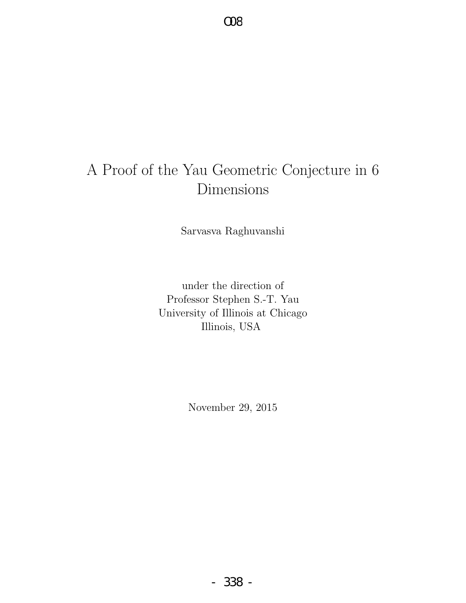# A Proof of the Yau Geometric Conjecture in 6 Dimensions

Sarvasva Raghuvanshi

under the direction of Professor Stephen S.-T. Yau University of Illinois at Chicago Illinois, USA

November 29, 2015

- 338 -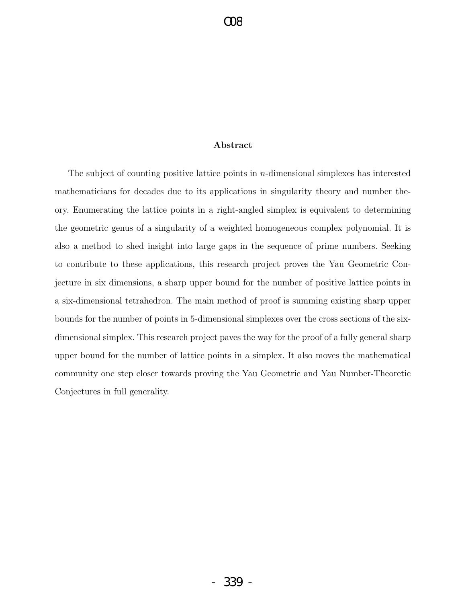#### Abstract

The subject of counting positive lattice points in  $n$ -dimensional simplexes has interested mathematicians for decades due to its applications in singularity theory and number theory. Enumerating the lattice points in a right-angled simplex is equivalent to determining the geometric genus of a singularity of a weighted homogeneous complex polynomial. It is also a method to shed insight into large gaps in the sequence of prime numbers. Seeking to contribute to these applications, this research project proves the Yau Geometric Conjecture in six dimensions, a sharp upper bound for the number of positive lattice points in a six-dimensional tetrahedron. The main method of proof is summing existing sharp upper bounds for the number of points in 5-dimensional simplexes over the cross sections of the sixdimensional simplex. This research project paves the way for the proof of a fully general sharp upper bound for the number of lattice points in a simplex. It also moves the mathematical community one step closer towards proving the Yau Geometric and Yau Number-Theoretic Conjectures in full generality.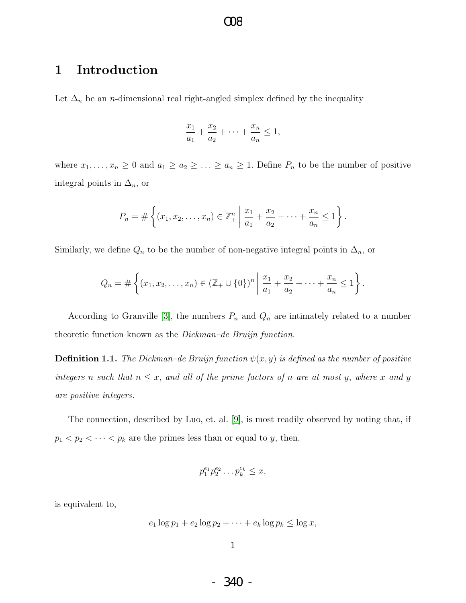### 1 Introduction

Let  $\Delta_n$  be an *n*-dimensional real right-angled simplex defined by the inequality

$$
\frac{x_1}{a_1} + \frac{x_2}{a_2} + \dots + \frac{x_n}{a_n} \le 1,
$$

where  $x_1, \ldots, x_n \geq 0$  and  $a_1 \geq a_2 \geq \ldots \geq a_n \geq 1$ . Define  $P_n$  to be the number of positive integral points in  $\Delta_n$ , or

$$
P_n = \# \left\{ (x_1, x_2, \dots, x_n) \in \mathbb{Z}_+^n \middle| \frac{x_1}{a_1} + \frac{x_2}{a_2} + \dots + \frac{x_n}{a_n} \le 1 \right\}.
$$

Similarly, we define  $Q_n$  to be the number of non-negative integral points in  $\Delta_n$ , or

$$
Q_n = \# \left\{ (x_1, x_2, \dots, x_n) \in (\mathbb{Z}_+ \cup \{0\})^n \mid \frac{x_1}{a_1} + \frac{x_2}{a_2} + \dots + \frac{x_n}{a_n} \le 1 \right\}.
$$

According to Granville [\[3\]](#page-66-0), the numbers  $P_n$  and  $Q_n$  are intimately related to a number theoretic function known as the Dickman–de Bruijn function.

**Definition 1.1.** The Dickman–de Bruijn function  $\psi(x, y)$  is defined as the number of positive integers n such that  $n \leq x$ , and all of the prime factors of n are at most y, where x and y are positive integers.

The connection, described by Luo, et. al. [\[9\]](#page-66-1), is most readily observed by noting that, if  $p_1 < p_2 < \cdots < p_k$  are the primes less than or equal to y, then,

$$
p_1^{e_1} p_2^{e_2} \dots p_k^{e_k} \le x,
$$

is equivalent to,

$$
e_1 \log p_1 + e_2 \log p_2 + \cdots + e_k \log p_k \le \log x,
$$

- 340 -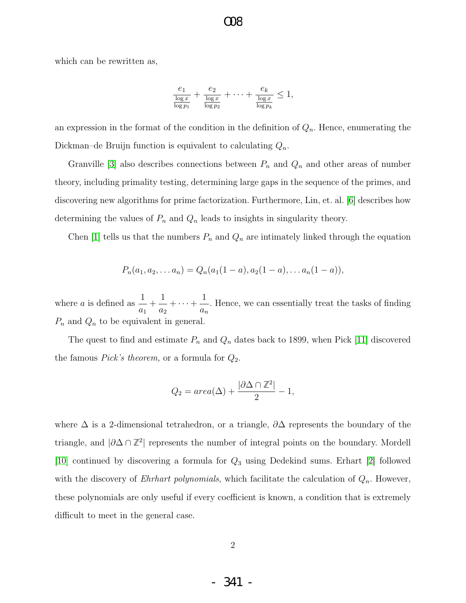which can be rewritten as,

$$
\frac{e_1}{\frac{\log x}{\log p_1}} + \frac{e_2}{\frac{\log x}{\log p_2}} + \dots + \frac{e_k}{\frac{\log x}{\log p_k}} \le 1,
$$

O08

an expression in the format of the condition in the definition of  $Q_n$ . Hence, enumerating the Dickman–de Bruijn function is equivalent to calculating  $Q_n$ .

Granville [\[3\]](#page-66-0) also describes connections between  $P_n$  and  $Q_n$  and other areas of number theory, including primality testing, determining large gaps in the sequence of the primes, and discovering new algorithms for prime factorization. Furthermore, Lin, et. al. [\[6\]](#page-66-2) describes how determining the values of  $P_n$  and  $Q_n$  leads to insights in singularity theory.

Chen [\[1\]](#page-66-3) tells us that the numbers  $P_n$  and  $Q_n$  are intimately linked through the equation

$$
P_n(a_1, a_2,... a_n) = Q_n(a_1(1-a), a_2(1-a),... a_n(1-a)),
$$

where *a* is defined as  $\frac{1}{1}$  $a_1$  $+$ 1  $a_2$  $+\cdots+\frac{1}{n}$  $a_n$ . Hence, we can essentially treat the tasks of finding  $P_n$  and  $Q_n$  to be equivalent in general.

The quest to find and estimate  $P_n$  and  $Q_n$  dates back to 1899, when Pick [\[11\]](#page-66-4) discovered the famous *Pick's theorem*, or a formula for  $Q_2$ .

$$
Q_2 = area(\Delta) + \frac{|\partial \Delta \cap \mathbb{Z}^2|}{2} - 1,
$$

where  $\Delta$  is a 2-dimensional tetrahedron, or a triangle,  $\partial \Delta$  represents the boundary of the triangle, and |∂∆ ∩ **Z** 2 | represents the number of integral points on the boundary. Mordell [\[10\]](#page-66-5) continued by discovering a formula for  $Q_3$  using Dedekind sums. Erhart [\[2\]](#page-66-6) followed with the discovery of *Ehrhart polynomials*, which facilitate the calculation of  $Q_n$ . However, these polynomials are only useful if every coefficient is known, a condition that is extremely difficult to meet in the general case.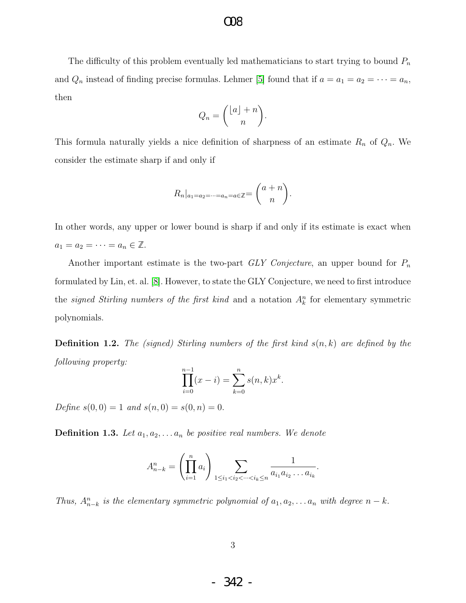The difficulty of this problem eventually led mathematicians to start trying to bound  $P_n$ and  $Q_n$  instead of finding precise formulas. Lehmer [\[5\]](#page-66-7) found that if  $a = a_1 = a_2 = \cdots = a_n$ , then

$$
Q_n = \binom{\lfloor a\rfloor + n}{n}.
$$

This formula naturally yields a nice definition of sharpness of an estimate  $R_n$  of  $Q_n$ . We consider the estimate sharp if and only if

$$
R_n|_{a_1=a_2=\cdots=a_n=a\in\mathbb{Z}}=\binom{a+n}{n}.
$$

In other words, any upper or lower bound is sharp if and only if its estimate is exact when  $a_1 = a_2 = \cdots = a_n \in \mathbb{Z}$ .

Another important estimate is the two-part  $GLY$  Conjecture, an upper bound for  $P_n$ formulated by Lin, et. al. [\[8\]](#page-66-8). However, to state the GLY Conjecture, we need to first introduce the *signed Stirling numbers of the first kind* and a notation  $A_k^n$  for elementary symmetric polynomials.

**Definition 1.2.** The (signed) Stirling numbers of the first kind  $s(n, k)$  are defined by the following property:

$$
\prod_{i=0}^{n-1} (x - i) = \sum_{k=0}^{n} s(n,k) x^{k}.
$$

Define  $s(0,0) = 1$  and  $s(n,0) = s(0,n) = 0$ .

**Definition 1.3.** Let  $a_1, a_2, \ldots, a_n$  be positive real numbers. We denote

$$
A_{n-k}^n = \left(\prod_{i=1}^n a_i\right) \sum_{1 \le i_1 < i_2 < \dots < i_k \le n} \frac{1}{a_{i_1} a_{i_2} \dots a_{i_k}}.
$$

Thus,  $A_{n-k}^n$  is the elementary symmetric polynomial of  $a_1, a_2, \ldots a_n$  with degree  $n-k$ .

- 342 -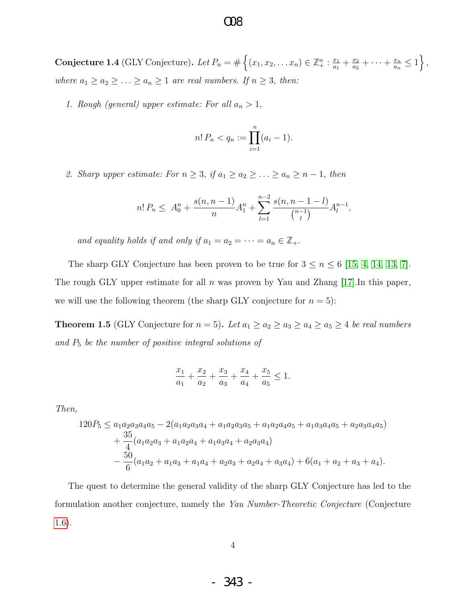### $OR$

**Conjecture 1.4** (GLY Conjecture). Let  $P_n = \#\left\{(x_1, x_2, \ldots x_n) \in \mathbb{Z}_+^n : \frac{x_1}{a_1}\right\}$  $\frac{x_1}{a_1} + \frac{x_2}{a_2}$  $\frac{x_2}{a_2} + \cdots + \frac{x_n}{a_n}$  $\frac{x_n}{a_n} \leq 1$ , where  $a_1 \ge a_2 \ge \ldots \ge a_n \ge 1$  are real numbers. If  $n \ge 3$ , then:

1. Rough (general) upper estimate: For all  $a_n > 1$ ,

$$
n! P_n < q_n := \prod_{i=1}^n (a_i - 1).
$$

2. Sharp upper estimate: For  $n \geq 3$ , if  $a_1 \geq a_2 \geq \ldots \geq a_n \geq n-1$ , then

$$
n! P_n \leq A_0^n + \frac{s(n, n-1)}{n} A_1^n + \sum_{l=1}^{n-2} \frac{s(n, n-1-l)}{\binom{n-1}{l}} A_l^{n-1},
$$

and equality holds if and only if  $a_1 = a_2 = \cdots = a_n \in \mathbb{Z}_+$ .

The sharp GLY Conjecture has been proven to be true for  $3 \le n \le 6$  [\[15,](#page-67-0) [4,](#page-66-9) [14,](#page-67-1) [13,](#page-66-10) [7\]](#page-66-11). The rough GLY upper estimate for all n was proven by Yau and Zhang  $|17|$ . In this paper, we will use the following theorem (the sharp GLY conjecture for  $n = 5$ ):

**Theorem 1.5** (GLY Conjecture for  $n = 5$ ). Let  $a_1 \ge a_2 \ge a_3 \ge a_4 \ge a_5 \ge 4$  be real numbers and  $P_5$  be the number of positive integral solutions of

$$
\frac{x_1}{a_1} + \frac{x_2}{a_2} + \frac{x_3}{a_3} + \frac{x_4}{a_4} + \frac{x_5}{a_5} \le 1.
$$

Then,

$$
120P_5 \le a_1a_2a_3a_4a_5 - 2(a_1a_2a_3a_4 + a_1a_2a_3a_5 + a_1a_2a_4a_5 + a_1a_3a_4a_5 + a_2a_3a_4a_5) + \frac{35}{4}(a_1a_2a_3 + a_1a_2a_4 + a_1a_3a_4 + a_2a_3a_4) -\frac{50}{6}(a_1a_2 + a_1a_3 + a_1a_4 + a_2a_3 + a_2a_4 + a_3a_4) + 6(a_1 + a_2 + a_3 + a_4).
$$

<span id="page-5-0"></span>The quest to determine the general validity of the sharp GLY Conjecture has led to the formulation another conjecture, namely the Yau Number-Theoretic Conjecture (Conjecture [1.6\)](#page-5-0).

- 343 -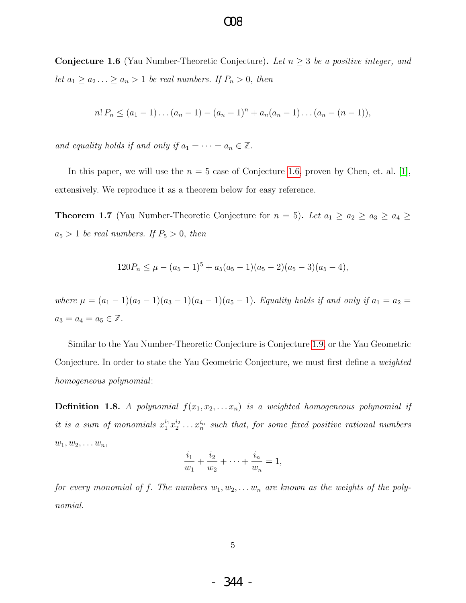**Conjecture 1.6** (Yau Number-Theoretic Conjecture). Let  $n \geq 3$  be a positive integer, and let  $a_1 \ge a_2 \ldots \ge a_n > 1$  be real numbers. If  $P_n > 0$ , then

$$
n! P_n \le (a_1 - 1) \dots (a_n - 1) - (a_n - 1)^n + a_n(a_n - 1) \dots (a_n - (n - 1)),
$$

and equality holds if and only if  $a_1 = \cdots = a_n \in \mathbb{Z}$ .

In this paper, we will use the  $n = 5$  case of Conjecture [1.6,](#page-5-0) proven by Chen, et. al. [\[1\]](#page-66-3), extensively. We reproduce it as a theorem below for easy reference.

<span id="page-6-1"></span>**Theorem 1.7** (Yau Number-Theoretic Conjecture for  $n = 5$ ). Let  $a_1 \ge a_2 \ge a_3 \ge a_4 \ge$  $a_5 > 1$  be real numbers. If  $P_5 > 0$ , then

$$
120P_n \le \mu - (a_5 - 1)^5 + a_5(a_5 - 1)(a_5 - 2)(a_5 - 3)(a_5 - 4),
$$

where  $\mu = (a_1 - 1)(a_2 - 1)(a_3 - 1)(a_4 - 1)(a_5 - 1)$ . Equality holds if and only if  $a_1 = a_2 =$  $a_3 = a_4 = a_5 \in \mathbb{Z}$ .

Similar to the Yau Number-Theoretic Conjecture is Conjecture [1.9,](#page-6-0) or the Yau Geometric Conjecture. In order to state the Yau Geometric Conjecture, we must first define a weighted homogeneous polynomial:

**Definition 1.8.** A polynomial  $f(x_1, x_2, \ldots, x_n)$  is a weighted homogeneous polynomial if it is a sum of monomials  $x_1^{i_1}x_2^{i_2}\ldots x_n^{i_n}$  such that, for some fixed positive rational numbers  $w_1, w_2, \ldots w_n,$ 

$$
\frac{i_1}{w_1} + \frac{i_2}{w_2} + \dots + \frac{i_n}{w_n} = 1,
$$

<span id="page-6-0"></span>for every monomial of f. The numbers  $w_1, w_2, \ldots w_n$  are known as the weights of the polynomial.

- 344 -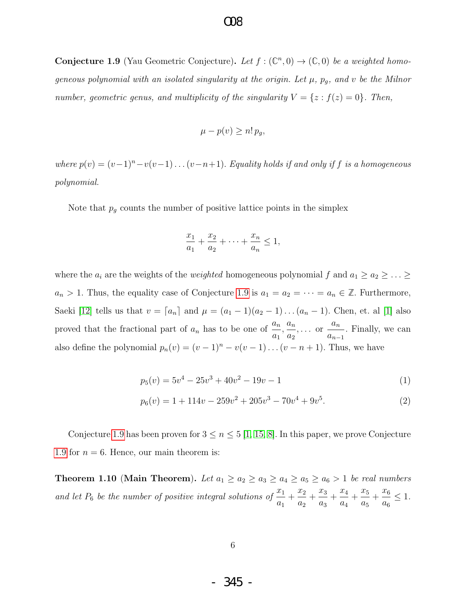### $OR$

**Conjecture 1.9** (Yau Geometric Conjecture). Let  $f : (\mathbb{C}^n, 0) \to (\mathbb{C}, 0)$  be a weighted homogeneous polynomial with an isolated singularity at the origin. Let  $\mu$ ,  $p_g$ , and v be the Milnor number, geometric genus, and multiplicity of the singularity  $V = \{z : f(z) = 0\}$ . Then,

$$
\mu - p(v) \ge n! \, p_g,
$$

where  $p(v) = (v-1)^n - v(v-1) \dots (v-n+1)$ . Equality holds if and only if f is a homogeneous polynomial.

Note that  $p_g$  counts the number of positive lattice points in the simplex

<span id="page-7-1"></span>
$$
\frac{x_1}{a_1} + \frac{x_2}{a_2} + \dots + \frac{x_n}{a_n} \le 1,
$$

where the  $a_i$  are the weights of the *weighted* homogeneous polynomial f and  $a_1 \geq a_2 \geq \ldots \geq a_n$  $a_n > 1$ . Thus, the equality case of Conjecture [1.9](#page-6-0) is  $a_1 = a_2 = \cdots = a_n \in \mathbb{Z}$ . Furthermore, Saeki [\[12\]](#page-66-12) tells us that  $v = [a_n]$  and  $\mu = (a_1 - 1)(a_2 - 1)...(a_n - 1)$ . Chen, et. al [\[1\]](#page-66-3) also proved that the fractional part of  $a_n$  has to be one of  $\frac{a_n}{a_n}$  $a_1$  $\frac{a_n}{a_n}$  $a_2$  $\cdots$  or  $\frac{a_n}{a_n}$  $a_{n-1}$ . Finally, we can also define the polynomial  $p_n(v) = (v-1)^n - v(v-1) \dots (v-n+1)$ . Thus, we have

$$
p_5(v) = 5v^4 - 25v^3 + 40v^2 - 19v - 1
$$
\n<sup>(1)</sup>

$$
p_6(v) = 1 + 114v - 259v^2 + 205v^3 - 70v^4 + 9v^5.
$$
 (2)

Conjecture [1.9](#page-6-0) has been proven for  $3 \le n \le 5$  [\[1,](#page-66-3) [15,](#page-67-0) [8\]](#page-66-8). In this paper, we prove Conjecture [1.9](#page-6-0) for  $n = 6$ . Hence, our main theorem is:

<span id="page-7-0"></span>**Theorem 1.10 (Main Theorem).** Let  $a_1 \ge a_2 \ge a_3 \ge a_4 \ge a_5 \ge a_6 > 1$  be real numbers and let  $P_6$  be the number of positive integral solutions of  $\frac{x_1}{x_2}$  $a_1$  $+\frac{x_2}{x_1}$  $a_2$  $+\frac{x_3}{x_3}$  $a_3$  $+\frac{x_4}{x_5}$  $a_4$  $+\frac{x_5}{x_5}$  $a_5$  $+\frac{x_6}{x_6}$  $a_6$  $\leq 1$ .

- 345 -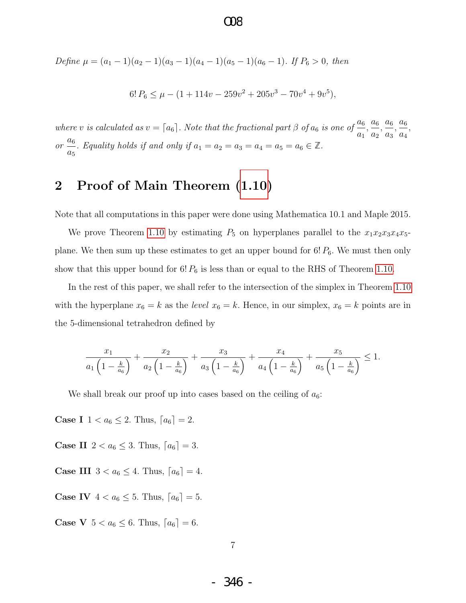$OR$ 

Define 
$$
\mu = (a_1 - 1)(a_2 - 1)(a_3 - 1)(a_4 - 1)(a_5 - 1)(a_6 - 1)
$$
. If  $P_6 > 0$ , then

$$
6! P_6 \le \mu - (1 + 114v - 259v^2 + 205v^3 - 70v^4 + 9v^5),
$$

where v is calculated as  $v = \lceil a_6 \rceil$ . Note that the fractional part  $\beta$  of  $a_6$  is one of  $\frac{a_6}{a_6}$  $a_1$  $\frac{a_6}{a_6}$  $a_2$  $\frac{a_6}{a_6}$  $a_3$  $\frac{a_6}{a_6}$  $a_4$ ,  $or \stackrel{a_6}{\longrightarrow}$  $a_5$ . Equality holds if and only if  $a_1 = a_2 = a_3 = a_4 = a_5 = a_6 \in \mathbb{Z}$ .

### 2 Proof of Main Theorem [\(1.10\)](#page-7-0)

Note that all computations in this paper were done using Mathematica 10.1 and Maple 2015.

We prove Theorem [1.10](#page-7-0) by estimating  $P_5$  on hyperplanes parallel to the  $x_1x_2x_3x_4x_5$ plane. We then sum up these estimates to get an upper bound for  $6! P_6$ . We must then only show that this upper bound for  $6! P_6$  is less than or equal to the RHS of Theorem [1.10.](#page-7-0)

In the rest of this paper, we shall refer to the intersection of the simplex in Theorem [1.10](#page-7-0) with the hyperplane  $x_6 = k$  as the *level*  $x_6 = k$ . Hence, in our simplex,  $x_6 = k$  points are in the 5-dimensional tetrahedron defined by

$$
\frac{x_1}{a_1\left(1-\frac{k}{a_6}\right)} + \frac{x_2}{a_2\left(1-\frac{k}{a_6}\right)} + \frac{x_3}{a_3\left(1-\frac{k}{a_6}\right)} + \frac{x_4}{a_4\left(1-\frac{k}{a_6}\right)} + \frac{x_5}{a_5\left(1-\frac{k}{a_6}\right)} \le 1.
$$

We shall break our proof up into cases based on the ceiling of  $a_6$ :

**Case I**  $1 < a_6 \leq 2$ . Thus,  $[a_6] = 2$ .

**Case II**  $2 < a_6 \leq 3$ . Thus,  $[a_6] = 3$ .

- **Case III**  $3 < a_6 \leq 4$ . Thus,  $[a_6] = 4$ .
- **Case IV**  $4 < a_6 \leq 5$ . Thus,  $[a_6] = 5$ .

**Case V**  $5 < a_6 \leq 6$ . Thus,  $[a_6] = 6$ .

- 346 -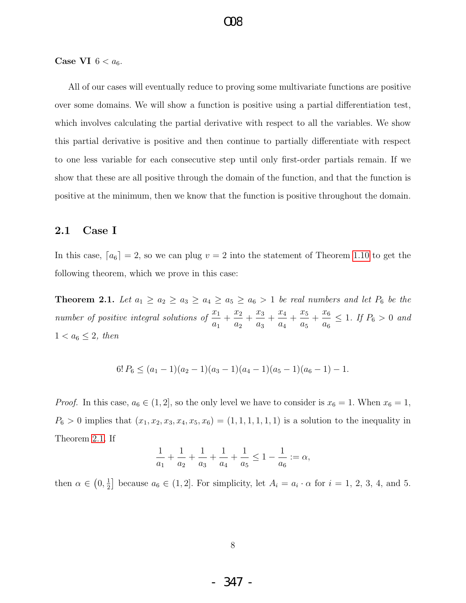Case VI  $6 < a_6$ .

All of our cases will eventually reduce to proving some multivariate functions are positive over some domains. We will show a function is positive using a partial differentiation test, which involves calculating the partial derivative with respect to all the variables. We show this partial derivative is positive and then continue to partially differentiate with respect to one less variable for each consecutive step until only first-order partials remain. If we show that these are all positive through the domain of the function, and that the function is positive at the minimum, then we know that the function is positive throughout the domain.

#### 2.1 Case I

In this case,  $[a_6] = 2$ , so we can plug  $v = 2$  into the statement of Theorem [1.10](#page-7-0) to get the following theorem, which we prove in this case:

<span id="page-9-0"></span>**Theorem 2.1.** Let  $a_1 \ge a_2 \ge a_3 \ge a_4 \ge a_5 \ge a_6 > 1$  be real numbers and let  $P_6$  be the number of positive integral solutions of  $\frac{x_1}{x_2}$  $a_1$  $+\frac{x_2}{x_1}$  $a_2$  $+\frac{x_3}{x_3}$  $a_3$  $+\frac{x_4}{x_5}$  $a_4$  $+\frac{x_5}{x_5}$  $a_5$  $+\frac{x_6}{}$  $a_6$  $\leq 1$ . If  $P_6 > 0$  and  $1 < a_6 \leq 2$ , then

$$
6! P_6 \le (a_1 - 1)(a_2 - 1)(a_3 - 1)(a_4 - 1)(a_5 - 1)(a_6 - 1) - 1.
$$

*Proof.* In this case,  $a_6 \in (1, 2]$ , so the only level we have to consider is  $x_6 = 1$ . When  $x_6 = 1$ ,  $P_6 > 0$  implies that  $(x_1, x_2, x_3, x_4, x_5, x_6) = (1, 1, 1, 1, 1, 1)$  is a solution to the inequality in Theorem [2.1.](#page-9-0) If

$$
\frac{1}{a_1} + \frac{1}{a_2} + \frac{1}{a_3} + \frac{1}{a_4} + \frac{1}{a_5} \le 1 - \frac{1}{a_6} := \alpha,
$$

then  $\alpha \in (0, \frac{1}{2})$  $\frac{1}{2}$  because  $a_6 \in (1,2]$ . For simplicity, let  $A_i = a_i \cdot \alpha$  for  $i = 1, 2, 3, 4$ , and 5.

- 347 -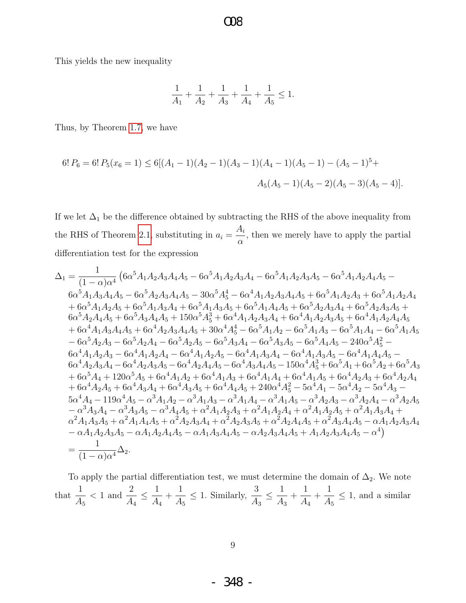$\Omega$ 

This yields the new inequality

$$
\frac{1}{A_1} + \frac{1}{A_2} + \frac{1}{A_3} + \frac{1}{A_4} + \frac{1}{A_5} \le 1.
$$

Thus, by Theorem 1.7, we have

$$
6! P_6 = 6! P_5(x_6 = 1) \le 6[(A_1 - 1)(A_2 - 1)(A_3 - 1)(A_4 - 1)(A_5 - 1) - (A_5 - 1)^5 +
$$
  

$$
A_5(A_5 - 1)(A_5 - 2)(A_5 - 3)(A_5 - 4)].
$$

If we let  $\Delta_1$  be the difference obtained by subtracting the RHS of the above inequality from the RHS of Theorem 2.1, substituting in  $a_i = \frac{A_i}{\alpha}$ , then we merely have to apply the partial differentiation test for the expression

$$
\Delta_1 = \frac{1}{(1 - \alpha)\alpha^4} \left(6\alpha^5 A_1 A_2 A_3 A_4 A_5 - 6\alpha^5 A_1 A_2 A_3 A_4 - 6\alpha^5 A_1 A_2 A_3 A_5 - 6\alpha^5 A_1 A_2 A_4 A_5 - 6\alpha^5 A_1 A_3 A_4 A_5 - 6\alpha^5 A_2 A_3 A_4 A_5 - 30\alpha^5 A_5^4 - 6\alpha^4 A_1 A_2 A_3 A_4 A_5 + 6\alpha^5 A_1 A_2 A_3 + 6\alpha^5 A_1 A_2 A_4 + 6\alpha^5 A_1 A_2 A_5 + 6\alpha^5 A_3 A_4 A_4 + 6\alpha^5 A_1 A_3 A_5 + 6\alpha^5 A_2 A_4 A_5 + 150\alpha^5 A_3^3 + 6\alpha^4 A_1 A_2 A_3 A_4 + 6\alpha^4 A_1 A_2 A_3 A_5 + 6\alpha^4 A_1 A_3 A_4 A_5 + 6\alpha^4 A_2 A_3 A_4 A_5 + 30\alpha^4 A_5^4 - 6\alpha^5 A_1 A_4 - 6\alpha^5 A_1 A_4 - 6\alpha^5 A_1 A_5 - 6\alpha^5 A_2 A_3 - 6\alpha^5 A_2 A_4 - 6\alpha^5 A_2 A_5 - 6\alpha^5 A_3 A_4 - 6\alpha^5 A_3 A_5 - 6\alpha^5 A_4 A_5 - 240\alpha^5 A_5^2 - 6\alpha^4 A_1 A_2 A_3 - 6\alpha^4 A_1 A_2 A_4 - 6\alpha^4 A_1 A_2 A_5 - 6\alpha^4 A_1 A_3 A_4 - 6\alpha^4 A_1 A_3 A_5 - 6\alpha^4 A_2 A_3 A_4 - 6\alpha^4 A_2 A_3 A_5 - 6\alpha^4 A_1 A_3 A_4 - 6\alpha^4 A_1 A_3 A_5 - 240\alpha^5 A_5^2 - 6\alpha^4 A_2 A_3 A_4 - 6\alpha^4 A_2 A_4 A_5 - 6\alpha^4 A_1 A_3 A_4 - 6\alpha^4 A_3 A_4 A_5 - 150\alpha^4 A_3^3 + 6\alpha^5 A_4 + 120\alpha^5 A_
$$

To apply the partial differentiation test, we must determine the domain of  $\Delta_2$ . We note that  $\frac{1}{A_5}$  < 1 and  $\frac{2}{A_4} \leq \frac{1}{A_4} + \frac{1}{A_5} \leq 1$ . Similarly,  $\frac{3}{A_3} \leq \frac{1}{A_3} + \frac{1}{A_4} + \frac{1}{A_5} \leq 1$ , and a similar

 $9$ 

- 348 -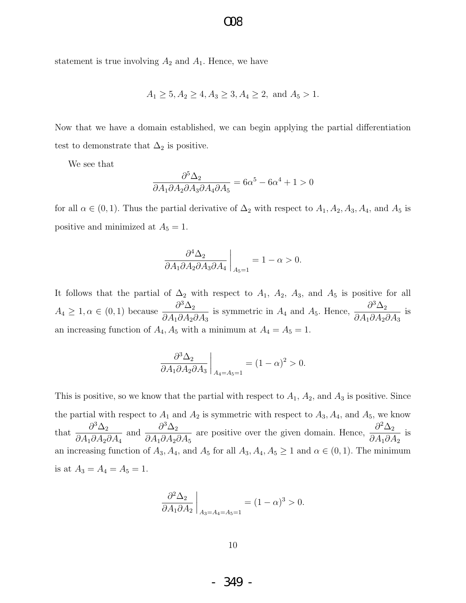statement is true involving  $A_2$  and  $A_1$ . Hence, we have

$$
A_1 \ge 5, A_2 \ge 4, A_3 \ge 3, A_4 \ge 2, \text{ and } A_5 > 1.
$$

Now that we have a domain established, we can begin applying the partial differentiation test to demonstrate that  $\Delta_2$  is positive.

We see that

$$
\frac{\partial^5 \Delta_2}{\partial A_1 \partial A_2 \partial A_3 \partial A_4 \partial A_5} = 6\alpha^5 - 6\alpha^4 + 1 > 0
$$

for all  $\alpha \in (0, 1)$ . Thus the partial derivative of  $\Delta_2$  with respect to  $A_1, A_2, A_3, A_4$ , and  $A_5$  is positive and minimized at  $A_5 = 1$ .

$$
\left. \frac{\partial^4 \Delta_2}{\partial A_1 \partial A_2 \partial A_3 \partial A_4} \right|_{A_5=1} = 1 - \alpha > 0.
$$

It follows that the partial of  $\Delta_2$  with respect to  $A_1$ ,  $A_2$ ,  $A_3$ , and  $A_5$  is positive for all  $A_4 \geq 1, \alpha \in (0,1)$  because  $\frac{\partial^3 \Delta_2}{\partial A_1 \partial A_2}$  $\partial A_1 \partial A_2 \partial A_3$ is symmetric in  $A_4$  and  $A_5$ . Hence,  $\frac{\partial^3 \Delta_2}{\partial A_1 \partial A_2}$  $\partial A_1 \partial A_2 \partial A_3$ is an increasing function of  $A_4$ ,  $A_5$  with a minimum at  $A_4 = A_5 = 1$ .

$$
\left. \frac{\partial^3 \Delta_2}{\partial A_1 \partial A_2 \partial A_3} \right|_{A_4 = A_5 = 1} = (1 - \alpha)^2 > 0.
$$

This is positive, so we know that the partial with respect to  $A_1$ ,  $A_2$ , and  $A_3$  is positive. Since the partial with respect to  $A_1$  and  $A_2$  is symmetric with respect to  $A_3$ ,  $A_4$ , and  $A_5$ , we know that  $\frac{\partial^3 \Delta_2}{\partial A \cdot \partial A}$  $\partial A_1 \partial A_2 \partial A_4$ and  $\frac{\partial^3 \Delta_2}{\partial A \cdot \partial A}$  $\partial A_1 \partial A_2 \partial A_5$ are positive over the given domain. Hence,  $\frac{\partial^2 \Delta_2}{\partial A \partial A}$  $\partial A_1 \partial A_2$ is an increasing function of  $A_3$ ,  $A_4$ , and  $A_5$  for all  $A_3$ ,  $A_4$ ,  $A_5 \ge 1$  and  $\alpha \in (0,1)$ . The minimum is at  $A_3 = A_4 = A_5 = 1$ .

$$
\left. \frac{\partial^2 \Delta_2}{\partial A_1 \partial A_2} \right|_{A_3 = A_4 = A_5 = 1} = (1 - \alpha)^3 > 0.
$$

10

- 349 -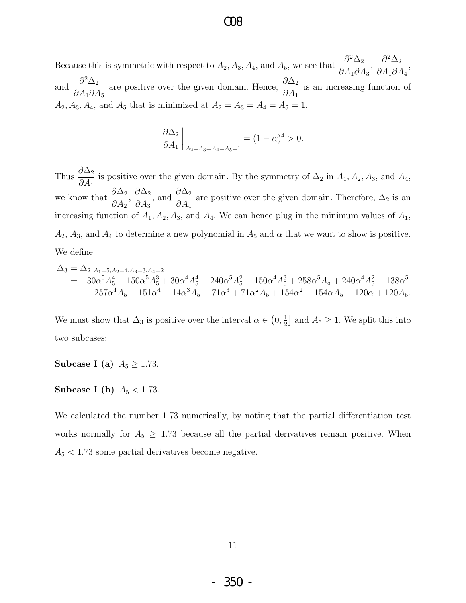Because this is symmetric with respect to  $A_2$ ,  $A_3$ ,  $A_4$ , and  $A_5$ , we see that  $\frac{\partial^2 \Delta_2}{\partial A_3}$  $\partial A_1 \partial A_3$ ,  $\partial^2\Delta_2$  $\partial A_1 \partial A_4$ , and  $\frac{\partial^2 \Delta_2}{\partial A}$  $\partial A_1 \partial A_5$ are positive over the given domain. Hence,  $\frac{\partial \Delta_2}{\partial A}$  $\partial A_1$ is an increasing function of  $A_2, A_3, A_4$ , and  $A_5$  that is minimized at  $A_2 = A_3 = A_4 = A_5 = 1$ .

$$
\left. \frac{\partial \Delta_2}{\partial A_1} \right|_{A_2 = A_3 = A_4 = A_5 = 1} = (1 - \alpha)^4 > 0.
$$

Thus  $\frac{\partial \Delta_2}{\partial A}$  $\partial A_1$ is positive over the given domain. By the symmetry of  $\Delta_2$  in  $A_1, A_2, A_3$ , and  $A_4$ , we know that  $\frac{\partial \Delta_2}{\partial A}$  $\partial A_2$  $\frac{\partial \Delta_2}{\partial 4}$  $\partial A_3$ , and  $\frac{\partial \Delta_2}{\partial A}$  $\partial A_4$ are positive over the given domain. Therefore,  $\Delta_2$  is an increasing function of  $A_1, A_2, A_3$ , and  $A_4$ . We can hence plug in the minimum values of  $A_1$ ,  $A_2$ ,  $A_3$ , and  $A_4$  to determine a new polynomial in  $A_5$  and  $\alpha$  that we want to show is positive. We define

$$
\Delta_3 = \Delta_2|_{A_1=5, A_2=4, A_3=3, A_4=2}
$$
  
=  $-30\alpha^5 A_5^4 + 150\alpha^5 A_5^3 + 30\alpha^4 A_5^4 - 240\alpha^5 A_5^2 - 150\alpha^4 A_5^3 + 258\alpha^5 A_5 + 240\alpha^4 A_5^2 - 138\alpha^5$   
 $- 257\alpha^4 A_5 + 151\alpha^4 - 14\alpha^3 A_5 - 71\alpha^3 + 71\alpha^2 A_5 + 154\alpha^2 - 154\alpha A_5 - 120\alpha + 120A_5.$ 

We must show that  $\Delta_3$  is positive over the interval  $\alpha \in (0, \frac{1}{2})$  $\frac{1}{2}$  and  $A_5 \geq 1$ . We split this into two subcases:

Subcase I (a)  $A_5 \geq 1.73$ .

Subcase I (b)  $A_5 < 1.73$ .

We calculated the number 1.73 numerically, by noting that the partial differentiation test works normally for  $A_5 \geq 1.73$  because all the partial derivatives remain positive. When  $A_5 < 1.73$  some partial derivatives become negative.

- 350 -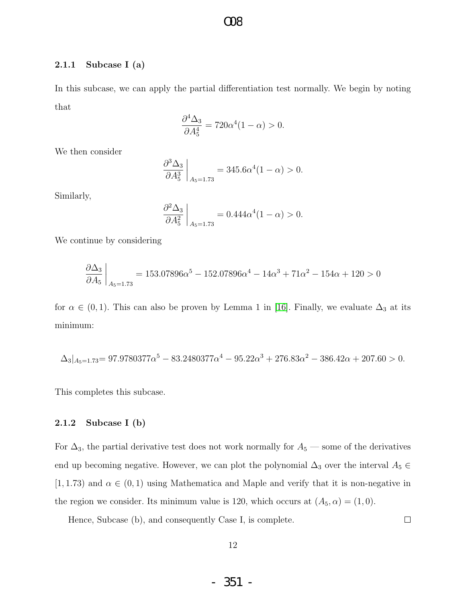#### 2.1.1 Subcase I (a)

In this subcase, we can apply the partial differentiation test normally. We begin by noting that

 $OR$ 

$$
\frac{\partial^4 \Delta_3}{\partial A_5^4} = 720\alpha^4 (1 - \alpha) > 0.
$$

We then consider

$$
\left. \frac{\partial^3 \Delta_3}{\partial A_5^3} \right|_{A_5=1.73} = 345.6 \alpha^4 (1 - \alpha) > 0.
$$

Similarly,

$$
\frac{\partial^2 \Delta_3}{\partial A_5^2}\bigg|_{A_5=1.73} = 0.444\alpha^4 (1-\alpha) > 0.
$$

We continue by considering

$$
\frac{\partial \Delta_3}{\partial A_5}\bigg|_{A_5=1.73} = 153.07896\alpha^5 - 152.07896\alpha^4 - 14\alpha^3 + 71\alpha^2 - 154\alpha + 120 > 0
$$

for  $\alpha \in (0,1)$ . This can also be proven by Lemma 1 in [\[16\]](#page-67-3). Finally, we evaluate  $\Delta_3$  at its minimum:

$$
\Delta_3|_{A_5=1.73}=97.9780377\alpha^5-83.2480377\alpha^4-95.22\alpha^3+276.83\alpha^2-386.42\alpha+207.60>0.
$$

This completes this subcase.

#### 2.1.2 Subcase I (b)

For  $\Delta_3$ , the partial derivative test does not work normally for  $A_5$  — some of the derivatives end up becoming negative. However, we can plot the polynomial  $\Delta_3$  over the interval  $A_5 \in$ [1, 1.73) and  $\alpha \in (0,1)$  using Mathematica and Maple and verify that it is non-negative in the region we consider. Its minimum value is 120, which occurs at  $(A_5, \alpha) = (1, 0)$ .

Hence, Subcase (b), and consequently Case I, is complete.

 $\Box$ 

- 351 -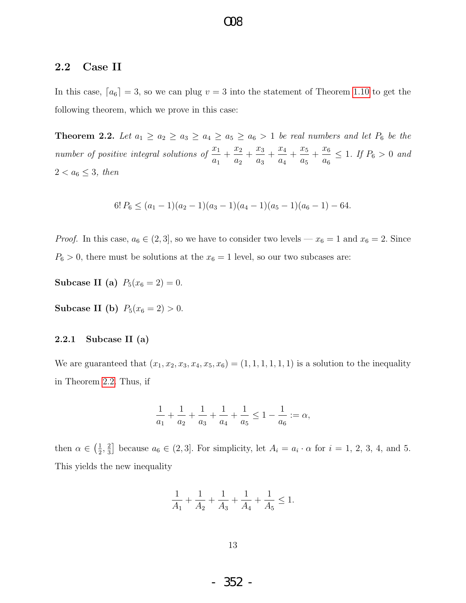### 2.2 Case II

In this case,  $[a_6] = 3$ , so we can plug  $v = 3$  into the statement of Theorem [1.10](#page-7-0) to get the following theorem, which we prove in this case:

O08

<span id="page-14-0"></span>**Theorem 2.2.** Let  $a_1 \ge a_2 \ge a_3 \ge a_4 \ge a_5 \ge a_6 > 1$  be real numbers and let  $P_6$  be the number of positive integral solutions of  $\frac{x_1}{x_2}$  $a_1$  $+\frac{x_2}{x_1}$  $a_2$  $+\frac{x_3}{x_3}$  $a_3$  $+\frac{x_4}{x_5}$  $a_4$  $+\frac{x_5}{x_5}$  $a_5$  $+\frac{x_6}{}$  $a_6$  $\leq 1$ . If  $P_6 > 0$  and  $2 < a_6 \leq 3$ , then

$$
6! P_6 \le (a_1 - 1)(a_2 - 1)(a_3 - 1)(a_4 - 1)(a_5 - 1)(a_6 - 1) - 64.
$$

*Proof.* In this case,  $a_6 \in (2, 3]$ , so we have to consider two levels —  $x_6 = 1$  and  $x_6 = 2$ . Since  $P_6 > 0$ , there must be solutions at the  $x_6 = 1$  level, so our two subcases are:

Subcase II (a)  $P_5(x_6 = 2) = 0$ .

Subcase II (b)  $P_5(x_6 = 2) > 0$ .

#### 2.2.1 Subcase II (a)

We are guaranteed that  $(x_1, x_2, x_3, x_4, x_5, x_6) = (1, 1, 1, 1, 1, 1)$  is a solution to the inequality in Theorem [2.2.](#page-14-0) Thus, if

$$
\frac{1}{a_1} + \frac{1}{a_2} + \frac{1}{a_3} + \frac{1}{a_4} + \frac{1}{a_5} \le 1 - \frac{1}{a_6} := \alpha,
$$

then  $\alpha \in \left(\frac{1}{2}\right)$  $\frac{1}{2}$ ,  $\frac{2}{3}$  $\frac{2}{3}$  because  $a_6 \in (2,3]$ . For simplicity, let  $A_i = a_i \cdot \alpha$  for  $i = 1, 2, 3, 4$ , and 5. This yields the new inequality

$$
\frac{1}{A_1} + \frac{1}{A_2} + \frac{1}{A_3} + \frac{1}{A_4} + \frac{1}{A_5} \le 1.
$$

- 352 -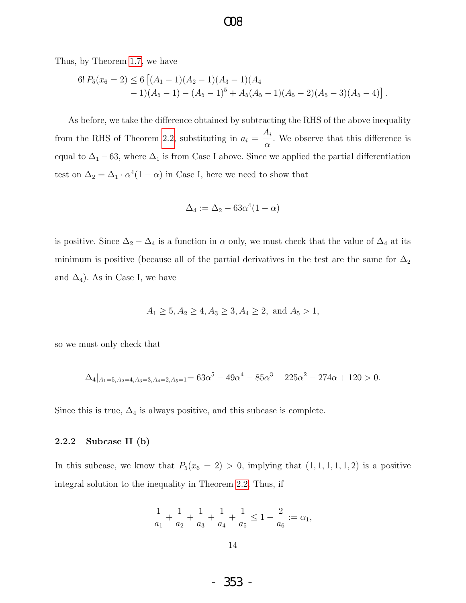### $OR$

Thus, by Theorem [1.7,](#page-6-1) we have

$$
6! P_5(x_6 = 2) \le 6 [(A_1 - 1)(A_2 - 1)(A_3 - 1)(A_4 - 1)(A_5 - 1) - (A_5 - 1)^5 + A_5(A_5 - 1)(A_5 - 2)(A_5 - 3)(A_5 - 4)].
$$

As before, we take the difference obtained by subtracting the RHS of the above inequality from the RHS of Theorem [2.2,](#page-14-0) substituting in  $a_i =$  $A_i$  $\alpha$ . We observe that this difference is equal to  $\Delta_1 - 63$ , where  $\Delta_1$  is from Case I above. Since we applied the partial differentiation test on  $\Delta_2 = \Delta_1 \cdot \alpha^4 (1 - \alpha)$  in Case I, here we need to show that

$$
\Delta_4 := \Delta_2 - 63\alpha^4(1-\alpha)
$$

is positive. Since  $\Delta_2 - \Delta_4$  is a function in  $\alpha$  only, we must check that the value of  $\Delta_4$  at its minimum is positive (because all of the partial derivatives in the test are the same for  $\Delta_2$ and  $\Delta_4$ ). As in Case I, we have

$$
A_1 \ge 5, A_2 \ge 4, A_3 \ge 3, A_4 \ge 2, \text{ and } A_5 > 1,
$$

so we must only check that

$$
\Delta_4|_{A_1=5, A_2=4, A_3=3, A_4=2, A_5=1}=63\alpha^5-49\alpha^4-85\alpha^3+225\alpha^2-274\alpha+120>0.
$$

Since this is true,  $\Delta_4$  is always positive, and this subcase is complete.

#### 2.2.2 Subcase II (b)

In this subcase, we know that  $P_5(x_6 = 2) > 0$ , implying that  $(1, 1, 1, 1, 1, 2)$  is a positive integral solution to the inequality in Theorem [2.2.](#page-14-0) Thus, if

$$
\frac{1}{a_1} + \frac{1}{a_2} + \frac{1}{a_3} + \frac{1}{a_4} + \frac{1}{a_5} \le 1 - \frac{2}{a_6} := \alpha_1,
$$

- 353 -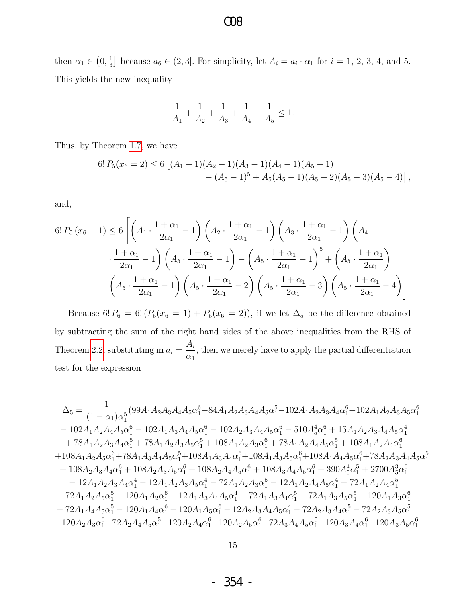### then  $\alpha_1 \in \left(0, \frac{1}{3}\right)$  $\frac{1}{3}$  because  $a_6 \in (2,3]$ . For simplicity, let  $A_i = a_i \cdot \alpha_1$  for  $i = 1, 2, 3, 4$ , and 5. This yields the new inequality

$$
\frac{1}{A_1}+\frac{1}{A_2}+\frac{1}{A_3}+\frac{1}{A_4}+\frac{1}{A_5}\leq 1.
$$

Thus, by Theorem [1.7,](#page-6-1) we have

$$
6! P_5(x_6 = 2) \le 6 [(A_1 - 1)(A_2 - 1)(A_3 - 1)(A_4 - 1)(A_5 - 1)- (A_5 - 1)^5 + A_5(A_5 - 1)(A_5 - 2)(A_5 - 3)(A_5 - 4)],
$$

and,

$$
6! P_5(x_6 = 1) \le 6 \left[ \left( A_1 \cdot \frac{1 + \alpha_1}{2\alpha_1} - 1 \right) \left( A_2 \cdot \frac{1 + \alpha_1}{2\alpha_1} - 1 \right) \left( A_3 \cdot \frac{1 + \alpha_1}{2\alpha_1} - 1 \right) \left( A_4 \cdot \frac{1 + \alpha_1}{2\alpha_1} - 1 \right) \cdot \frac{1 + \alpha_1}{2\alpha_1} - 1 \right) \cdot \left( A_5 \cdot \frac{1 + \alpha_1}{2\alpha_1} - 1 \right) - \left( A_5 \cdot \frac{1 + \alpha_1}{2\alpha_1} - 1 \right)^5 + \left( A_5 \cdot \frac{1 + \alpha_1}{2\alpha_1} \right) \cdot \left( A_5 \cdot \frac{1 + \alpha_1}{2\alpha_1} - 1 \right) \cdot \left( A_5 \cdot \frac{1 + \alpha_1}{2\alpha_1} - 2 \right) \cdot \left( A_5 \cdot \frac{1 + \alpha_1}{2\alpha_1} - 3 \right) \cdot \left( A_5 \cdot \frac{1 + \alpha_1}{2\alpha_1} - 4 \right) \cdot \left( A_5 \cdot \frac{1 + \alpha_1}{2\alpha_1} - 1 \right)
$$

Because 6!  $P_6 = 6! (P_5(x_6 = 1) + P_5(x_6 = 2))$ , if we let  $\Delta_5$  be the difference obtained by subtracting the sum of the right hand sides of the above inequalities from the RHS of Theorem [2.2,](#page-14-0) substituting in  $a_i =$  $A_i$  $\alpha_1$ , then we merely have to apply the partial differentiation test for the expression

$$
\begin{aligned} \Delta_5&=\frac{1}{(1-\alpha_1)\alpha_1^5}(99A_1A_2A_3A_4A_5\alpha_1^6-84A_1A_2A_3A_4A_5\alpha_1^5-102A_1A_2A_3A_4\alpha_1^6-102A_1A_2A_3A_5\alpha_1^6\\&-102A_1A_2A_4A_5\alpha_1^6-102A_1A_3A_4A_5\alpha_1^6-102A_2A_3A_4A_5\alpha_1^6-510A_5^4\alpha_1^6+15A_1A_2A_3A_4A_5\alpha_1^4\\&+78A_1A_2A_3A_4\alpha_1^5+78A_1A_2A_3A_5\alpha_1^5+108A_1A_2A_3\alpha_1^6+78A_1A_2A_4A_5\alpha_1^5+108A_1A_2A_4\alpha_1^6\\&+108A_1A_2A_5\alpha_1^6+78A_1A_3A_4A_5\alpha_1^5+108A_1A_3A_4\alpha_1^6+108A_1A_3A_5\alpha_1^6+108A_1A_4A_5\alpha_1^6+78A_2A_3A_4A_5\alpha_1^6\\&+108A_2A_3A_4\alpha_1^6+108A_2A_3A_5\alpha_1^6+108A_2A_4A_5\alpha_1^6+108A_3A_4A_5\alpha_1^6+390A_5^4\alpha_1^5+2700A_5^3\alpha_1^6\\&-12A_1A_2A_3A_4\alpha_1^4-12A_1A_2A_3A_5\alpha_1^4-72A_1A_2A_3\alpha_1^5-12A_1A_2A_4A_5\alpha_1^4-72A_1A_2A_4\alpha_1^5\\&-72A_1A_2A_5\alpha_1^5-120A_1A_2\alpha_1^6-12A_1A_3A_4A_5\alpha_1^4-72A_1A_3A_4\alpha_1^5-72A_1A_3A_5\alpha_1^5-120A_1A
$$

- 354 -

O08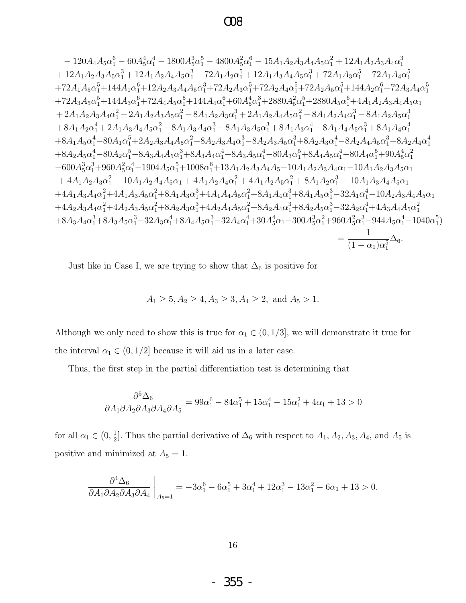### $\Omega$

$$
-120A_{4}A_{5}\alpha _{1}^{6}-60A_{5}^{4}\alpha _{1}^{4}-1800A_{5}^{3}\alpha _{1}^{5}-4800A_{5}^{2}\alpha _{1}^{6}-15A_{1}A_{2}A_{3}A_{4}A_{5}\alpha _{1}^{2}+12A_{1}A_{2}A_{3}A_{4}\alpha _{1}^{3} +12A_{1}A_{2}A_{3}A_{5}\alpha _{1}^{3}+12A_{1}A_{2}A_{4}A_{5}\alpha _{1}^{3}+72A_{1}A_{2}\alpha _{1}^{5}+12A_{1}A_{3}A_{4}A_{5}\alpha _{1}^{3}+72A_{1}A_{3}\alpha _{1}^{5}+72A_{1}A_{3}\alpha _{1}^{5}+72A_{1}A_{4}\alpha _{1}^{5} +72A_{1}A_{5}\alpha _{1}^{5}+144A_{1}\alpha _{1}^{6}+12A_{2}A_{3}A_{4}A_{5}\alpha _{1}^{3}+72A_{2}A_{3}\alpha _{1}^{5}+72A_{2}A_{4}\alpha _{1}^{5}+72A_{2}A_{3}\alpha _{1}^{5}+144A_{2}\alpha _{1}^{6}+72A_{3}A_{4}\alpha _{1}^{5} +72A_{3}A_{5}\alpha _{1}^{5}+144A_{3}\alpha _{1}^{6}+72A_{4}A_{5}\alpha _{1}^{3}+144A_{4}\alpha _{1}^{6}+60A_{5}^{4}\alpha _{1}^{3}+2880A_{5}^{2}\alpha _{1}^{5}+2880A_{5}\alpha _{1}^{6}+4A_{1}A_{2}A_{3}A_{4}A_{5}\alpha _{1} +2A_{1}A_{2}A_{3}A_{4}\alpha _{1}^{2}+2A_{1}A_{2}A_{3}A_{5}\alpha _{1}^{2}-8A_{1}A_{2}A_{3}\alpha _{1}^{3}+2A_{1}A_{2}A_{4}\alpha _{1}^{2}-8A_{1}A_{2}A_{4}\alpha _{1}^{3}-8A_{1}A_{2}A_{3}\alpha _{1}^{3} +8A_{1}A_{2}\alpha _{1}^{4
$$

Just like in Case I, we are trying to show that  $\Delta_6$  is positive for

$$
A_1 \ge 5, A_2 \ge 4, A_3 \ge 3, A_4 \ge 2, \text{ and } A_5 > 1.
$$

Although we only need to show this is true for  $\alpha_1 \in (0, 1/3]$ , we will demonstrate it true for the interval  $\alpha_1 \in (0, 1/2]$  because it will aid us in a later case.

Thus, the first step in the partial differentiation test is determining that

$$
\frac{\partial^5 \Delta_6}{\partial A_1 \partial A_2 \partial A_3 \partial A_4 \partial A_5} = 99\alpha_1^6 - 84\alpha_1^5 + 15\alpha_1^4 - 15\alpha_1^2 + 4\alpha_1 + 13 > 0
$$

for all  $\alpha_1 \in (0, \frac{1}{2}]$ . Thus the partial derivative of  $\Delta_6$  with respect to  $A_1, A_2, A_3, A_4$ , and  $A_5$  is positive and minimized at  $A_5 = 1$ .

$$
\left. \frac{\partial^4 \Delta_6}{\partial A_1 \partial A_2 \partial A_3 \partial A_4} \right|_{A_5=1} = -3\alpha_1^6 - 6\alpha_1^5 + 3\alpha_1^4 + 12\alpha_1^3 - 13\alpha_1^2 - 6\alpha_1 + 13 > 0.
$$

355 - $\Box$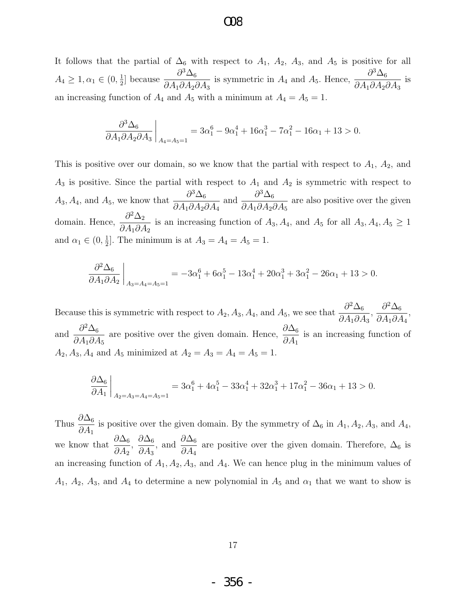### $\alpha$

It follows that the partial of  $\Delta_6$  with respect to  $A_1$ ,  $A_2$ ,  $A_3$ , and  $A_5$  is positive for all  $A_4 \geq 1, \alpha_1 \in (0, \frac{1}{2})$  $\frac{1}{2}$  because  $\frac{\partial^3 \Delta_6}{\partial A_1 \partial A_2}$  $\partial A_1 \partial A_2 \partial A_3$ is symmetric in  $A_4$  and  $A_5$ . Hence,  $\frac{\partial^3 \Delta_6}{\partial A_3 A_4}$  $\partial A_1 \partial A_2 \partial A_3$ is an increasing function of  $A_4$  and  $A_5$  with a minimum at  $A_4 = A_5 = 1$ .

$$
\left. \frac{\partial^3 \Delta_6}{\partial A_1 \partial A_2 \partial A_3} \right|_{A_4 = A_5 = 1} = 3\alpha_1^6 - 9\alpha_1^4 + 16\alpha_1^3 - 7\alpha_1^2 - 16\alpha_1 + 13 > 0.
$$

This is positive over our domain, so we know that the partial with respect to  $A_1$ ,  $A_2$ , and  $A_3$  is positive. Since the partial with respect to  $A_1$  and  $A_2$  is symmetric with respect to  $A_3, A_4$ , and  $A_5$ , we know that  $\frac{\partial^3 \Delta_6}{\partial A_3 A_4}$  $\partial A_1 \partial A_2 \partial A_4$ and  $\frac{\partial^3 \Delta_6}{\partial A}$  $\partial A_1 \partial A_2 \partial A_5$ are also positive over the given domain. Hence,  $\frac{\partial^2 \Delta_2}{\partial A \partial A}$  $\partial A_1\partial A_2$ is an increasing function of  $A_3, A_4$ , and  $A_5$  for all  $A_3, A_4, A_5 \ge 1$ and  $\alpha_1 \in (0, \frac{1}{2})$  $\frac{1}{2}$ . The minimum is at  $A_3 = A_4 = A_5 = 1$ .

$$
\frac{\partial^2 \Delta_6}{\partial A_1 \partial A_2}\bigg|_{A_3 = A_4 = A_5 = 1} = -3\alpha_1^6 + 6\alpha_1^5 - 13\alpha_1^4 + 20\alpha_1^3 + 3\alpha_1^2 - 26\alpha_1 + 13 > 0.
$$

Because this is symmetric with respect to  $A_2$ ,  $A_3$ ,  $A_4$ , and  $A_5$ , we see that  $\frac{\partial^2 \Delta_6}{\partial A_3}$  $\partial A_1 \partial A_3$ ,  $\partial^2\Delta_6$  $\partial A_1\partial A_4$ , and  $\frac{\partial^2 \Delta_6}{\partial A}$  $\partial A_1 \partial A_5$ are positive over the given domain. Hence,  $\frac{\partial \Delta_6}{\partial A}$  $\partial A_1$ is an increasing function of  $A_2, A_3, A_4$  and  $A_5$  minimized at  $A_2 = A_3 = A_4 = A_5 = 1$ .

$$
\frac{\partial \Delta_6}{\partial A_1}\bigg|_{A_2 = A_3 = A_4 = A_5 = 1} = 3\alpha_1^6 + 4\alpha_1^5 - 33\alpha_1^4 + 32\alpha_1^3 + 17\alpha_1^2 - 36\alpha_1 + 13 > 0.
$$

Thus  $\frac{\partial \Delta_6}{\partial A}$  $\partial A_1$ is positive over the given domain. By the symmetry of  $\Delta_6$  in  $A_1, A_2, A_3$ , and  $A_4$ , we know that  $\frac{\partial \Delta_6}{\partial A}$  $\partial A_2$  $\frac{\partial \Delta_6}{\partial 4}$  $\partial A_3$ , and  $\frac{\partial \Delta_6}{\partial A}$  $\partial A_4$ are positive over the given domain. Therefore,  $\Delta_6$  is an increasing function of  $A_1, A_2, A_3$ , and  $A_4$ . We can hence plug in the minimum values of  $A_1$ ,  $A_2$ ,  $A_3$ , and  $A_4$  to determine a new polynomial in  $A_5$  and  $\alpha_1$  that we want to show is

- 356 -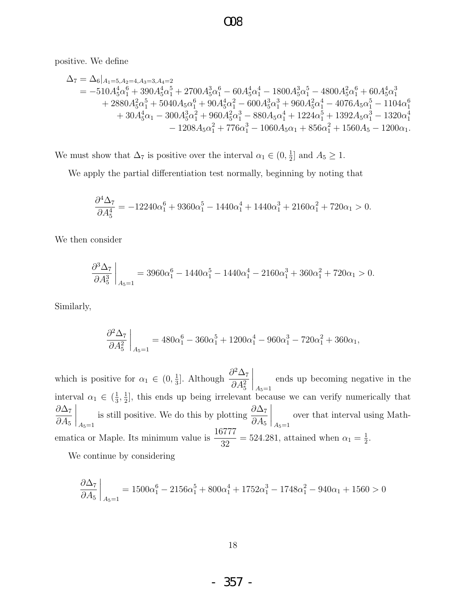positive. We define

$$
\begin{aligned} \Delta_7 &= \Delta_6|_{A_1=5, A_2=4, A_3=3, A_4=2} \\ &= -510A_5^4\alpha_1^6+390A_5^4\alpha_1^5+2700A_5^3\alpha_1^6-60A_5^4\alpha_1^4-1800A_5^3\alpha_1^5-4800A_5^2\alpha_1^6+60A_5^4\alpha_1^3 \\ &\quad+2880A_5^2\alpha_1^5+5040A_5\alpha_1^6+90A_5^4\alpha_1^2-600A_5^3\alpha_1^3+960A_5^2\alpha_1^4-4076A_5\alpha_1^5-1104\alpha_1^6 \\ &\quad+30A_5^4\alpha_1-300A_5^3\alpha_1^2+960A_5^2\alpha_1^3-880A_5\alpha_1^4+1224\alpha_1^5+1392A_5\alpha_1^3-1320\alpha_1^4 \\ &\quad-1208A_5\alpha_1^2+776\alpha_1^3-1060A_5\alpha_1+856\alpha_1^2+1560A_5-1200\alpha_1. \end{aligned}
$$

We must show that  $\Delta_7$  is positive over the interval  $\alpha_1 \in (0, \frac{1}{2})$  $\frac{1}{2}$  and  $A_5 \geq 1$ .

We apply the partial differentiation test normally, beginning by noting that

$$
\frac{\partial^4 \Delta_7}{\partial A_5^4} = -12240\alpha_1^6 + 9360\alpha_1^5 - 1440\alpha_1^4 + 1440\alpha_1^3 + 2160\alpha_1^2 + 720\alpha_1 > 0.
$$

We then consider

$$
\frac{\partial^3 \Delta_7}{\partial A_5^3}\bigg|_{A_5=1} = 3960\alpha_1^6 - 1440\alpha_1^5 - 1440\alpha_1^4 - 2160\alpha_1^3 + 360\alpha_1^2 + 720\alpha_1 > 0.
$$

Similarly,

$$
\frac{\partial^2 \Delta_7}{\partial A_5^2}\bigg|_{A_5=1} = 480\alpha_1^6 - 360\alpha_1^5 + 1200\alpha_1^4 - 960\alpha_1^3 - 720\alpha_1^2 + 360\alpha_1,
$$

which is positive for  $\alpha_1 \in (0, \frac{1}{3})$  $\frac{1}{3}$ ]. Although  $\frac{\partial^2 \Delta_7}{\partial A^2}$  $\partial A_5^2$  $\Bigg|_{A_5=1}$ ends up becoming negative in the interval  $\alpha_1 \in \left(\frac{1}{3}, \frac{1}{2}\right]$ , this ends up being irrelevant because we can verify numerically that 1  $\partial\Delta_7$  $\partial A_5$  $\Bigg\vert_{A_5=1}$ is still positive. We do this by plotting  $\frac{\partial \Delta_7}{\partial A}$  $\partial A_5$  $\Bigg\vert_{A_5=1}$ over that interval using Mathematica or Maple. Its minimum value is  $\frac{16777}{28}$  $\frac{3717}{32}$  = 524.281, attained when  $\alpha_1 = \frac{1}{2}$  $\frac{1}{2}$ .

We continue by considering

$$
\frac{\partial \Delta_7}{\partial A_5}\bigg|_{A_5=1} = 1500\alpha_1^6 - 2156\alpha_1^5 + 800\alpha_1^4 + 1752\alpha_1^3 - 1748\alpha_1^2 - 940\alpha_1 + 1560 > 0
$$

- 357 -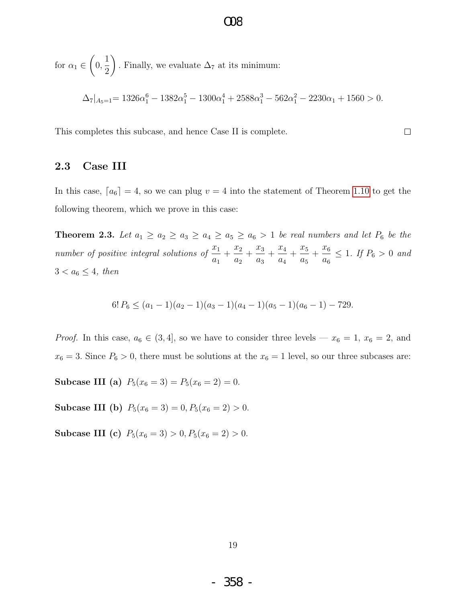for  $\alpha_1 \in$  $\sqrt{ }$ 0, 1 2  $\setminus$ . Finally, we evaluate  $\Delta_7$  at its minimum:  $\Delta_7|_{A_5=1} = 1326\alpha_1^6 - 1382\alpha_1^5 - 1300\alpha_1^4 + 2588\alpha_1^3 - 562\alpha_1^2 - 2230\alpha_1 + 1560 > 0.$ 

O08

This completes this subcase, and hence Case II is complete.

#### 2.3 Case III

In this case,  $[a_6] = 4$ , so we can plug  $v = 4$  into the statement of Theorem [1.10](#page-7-0) to get the following theorem, which we prove in this case:

 $\Box$ 

<span id="page-20-0"></span>**Theorem 2.3.** Let  $a_1 \ge a_2 \ge a_3 \ge a_4 \ge a_5 \ge a_6 > 1$  be real numbers and let  $P_6$  be the number of positive integral solutions of  $\frac{x_1}{x_2}$  $a_1$  $+\frac{x_2}{x_1}$  $a_2$  $+\frac{x_3}{x_3}$  $a_3$  $+\frac{x_4}{x_5}$  $a_4$  $+\frac{x_5}{x_5}$  $a_5$  $+\frac{x_6}{x_6}$  $a_6$  $\leq 1$ . If  $P_6 > 0$  and  $3 < a_6 \leq 4$ , then

$$
6! P_6 \le (a_1 - 1)(a_2 - 1)(a_3 - 1)(a_4 - 1)(a_5 - 1)(a_6 - 1) - 729.
$$

*Proof.* In this case,  $a_6 \in (3, 4]$ , so we have to consider three levels —  $x_6 = 1$ ,  $x_6 = 2$ , and  $x_6 = 3$ . Since  $P_6 > 0$ , there must be solutions at the  $x_6 = 1$  level, so our three subcases are:

Subcase III (a)  $P_5(x_6 = 3) = P_5(x_6 = 2) = 0.$ 

Subcase III (b)  $P_5(x_6 = 3) = 0, P_5(x_6 = 2) > 0.$ 

Subcase III (c)  $P_5(x_6 = 3) > 0, P_5(x_6 = 2) > 0.$ 

- 358 -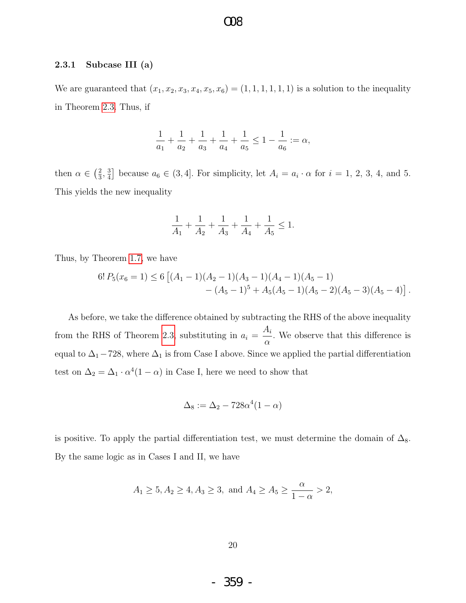#### 2.3.1 Subcase III (a)

We are guaranteed that  $(x_1, x_2, x_3, x_4, x_5, x_6) = (1, 1, 1, 1, 1, 1)$  is a solution to the inequality in Theorem [2.3.](#page-20-0) Thus, if

$$
\frac{1}{a_1} + \frac{1}{a_2} + \frac{1}{a_3} + \frac{1}{a_4} + \frac{1}{a_5} \le 1 - \frac{1}{a_6} := \alpha,
$$

then  $\alpha \in \left(\frac{2}{3}\right)$  $\frac{2}{3}, \frac{3}{4}$  $\frac{3}{4}$  because  $a_6 \in (3, 4]$ . For simplicity, let  $A_i = a_i \cdot \alpha$  for  $i = 1, 2, 3, 4$ , and 5. This yields the new inequality

$$
\frac{1}{A_1}+\frac{1}{A_2}+\frac{1}{A_3}+\frac{1}{A_4}+\frac{1}{A_5}\leq 1.
$$

Thus, by Theorem [1.7,](#page-6-1) we have

$$
6! P_5(x_6 = 1) \le 6 [(A_1 - 1)(A_2 - 1)(A_3 - 1)(A_4 - 1)(A_5 - 1)- (A_5 - 1)^5 + A_5(A_5 - 1)(A_5 - 2)(A_5 - 3)(A_5 - 4)].
$$

As before, we take the difference obtained by subtracting the RHS of the above inequality from the RHS of Theorem [2.3,](#page-20-0) substituting in  $a_i =$  $A_i$  $\alpha$ . We observe that this difference is equal to  $\Delta_1$  – 728, where  $\Delta_1$  is from Case I above. Since we applied the partial differentiation test on  $\Delta_2 = \Delta_1 \cdot \alpha^4 (1 - \alpha)$  in Case I, here we need to show that

$$
\Delta_8 := \Delta_2 - 728\alpha^4(1-\alpha)
$$

is positive. To apply the partial differentiation test, we must determine the domain of  $\Delta_8$ . By the same logic as in Cases I and II, we have

$$
A_1 \ge 5, A_2 \ge 4, A_3 \ge 3
$$
, and  $A_4 \ge A_5 \ge \frac{\alpha}{1-\alpha} > 2$ ,

- 359 -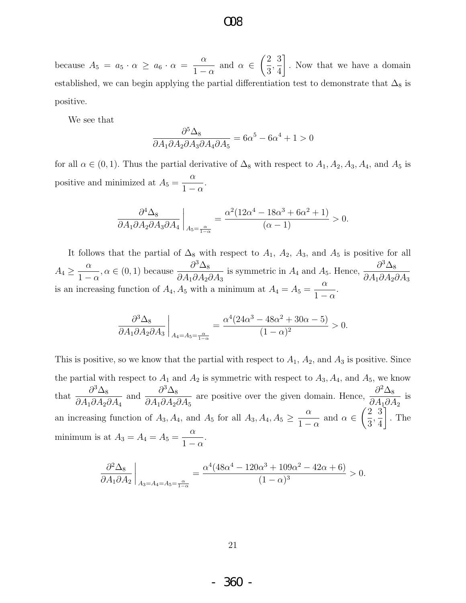because  $A_5 = a_5 \cdot \alpha \ge a_6 \cdot \alpha = \frac{\alpha}{1}$  $1 - \alpha$ and  $\alpha \in$  $\sqrt{2}$ 3 , 3 4 1 . Now that we have a domain established, we can begin applying the partial differentiation test to demonstrate that  $\Delta_8$  is positive.

We see that

$$
\frac{\partial^5 \Delta_8}{\partial A_1 \partial A_2 \partial A_3 \partial A_4 \partial A_5} = 6\alpha^5 - 6\alpha^4 + 1 > 0
$$

for all  $\alpha \in (0,1)$ . Thus the partial derivative of  $\Delta_8$  with respect to  $A_1, A_2, A_3, A_4$ , and  $A_5$  is positive and minimized at  $A_5 =$  $\alpha$  $1 - \alpha$ .

$$
\frac{\partial^4 \Delta_8}{\partial A_1 \partial A_2 \partial A_3 \partial A_4}\bigg|_{A_5=\frac{\alpha}{1-\alpha}} = \frac{\alpha^2 (12\alpha^4 - 18\alpha^3 + 6\alpha^2 + 1)}{(\alpha - 1)} > 0.
$$

It follows that the partial of  $\Delta_8$  with respect to  $A_1$ ,  $A_2$ ,  $A_3$ , and  $A_5$  is positive for all  $A_4 \geq \frac{\alpha}{1}$  $1 - \alpha$  $, \alpha \in (0, 1)$  because  $\frac{\partial^3 \Delta_8}{\partial 4 \partial 4}$  $\partial A_1 \partial A_2 \partial A_3$ is symmetric in  $A_4$  and  $A_5$ . Hence,  $\frac{\partial^3 \Delta_8}{\partial A_3}$  $\partial A_1 \partial A_2 \partial A_3$ is an increasing function of  $A_4$ ,  $A_5$  with a minimum at  $A_4 = A_5 =$ α  $1 - \alpha$ .

$$
\frac{\partial^3 \Delta_8}{\partial A_1 \partial A_2 \partial A_3} \bigg|_{A_4 = A_5 = \frac{\alpha}{1 - \alpha}} = \frac{\alpha^4 (24\alpha^3 - 48\alpha^2 + 30\alpha - 5)}{(1 - \alpha)^2} > 0.
$$

This is positive, so we know that the partial with respect to  $A_1$ ,  $A_2$ , and  $A_3$  is positive. Since the partial with respect to  $A_1$  and  $A_2$  is symmetric with respect to  $A_3$ ,  $A_4$ , and  $A_5$ , we know that  $\frac{\partial^3 \Delta_8}{\partial 4 \partial 4}$  $\partial A_1 \partial A_2 \partial A_4$ and  $\frac{\partial^3 \Delta_8}{\partial 4 \partial 4}$  $\partial A_1 \partial A_2 \partial A_5$ are positive over the given domain. Hence,  $\frac{\partial^2 \Delta_8}{\partial 4 \partial \phi^2}$  $\partial A_1\partial A_2$ is an increasing function of  $A_3, A_4$ , and  $A_5$  for all  $A_3, A_4, A_5 \geq \frac{\alpha}{1-\alpha}$  $1 - \alpha$ and  $\alpha \in$  $\sqrt{2}$ 3 , 3 4 1 . The minimum is at  $A_3 = A_4 = A_5 =$ α  $1 - \alpha$ .

$$
\frac{\partial^2 \Delta_8}{\partial A_1 \partial A_2}\bigg|_{A_3 = A_4 = A_5 = \frac{\alpha}{1-\alpha}} = \frac{\alpha^4 (48\alpha^4 - 120\alpha^3 + 109\alpha^2 - 42\alpha + 6)}{(1-\alpha)^3} > 0.
$$

21

- 360 -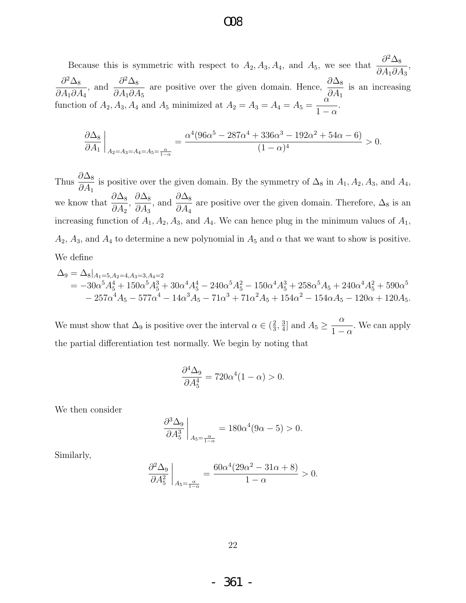Because this is symmetric with respect to  $A_2, A_3, A_4$ , and  $A_5$ , we see that  $\frac{\partial^2 \Delta_8}{\partial A_3}$  $\partial A_1 \partial A_3$ ,  $\partial^2\Delta_8$  $\partial A_1 \partial A_4$ , and  $\frac{\partial^2 \Delta_8}{\partial A}$  $\partial A_1 \partial A_5$ are positive over the given domain. Hence,  $\frac{\partial \Delta_8}{\partial A}$  $\partial A_1$ is an increasing function of  $A_2$ ,  $A_3$ ,  $A_4$  and  $A_5$  minimized at  $A_2 = A_3 = A_4 = A_5 =$ α  $1 - \alpha$ .

$$
\frac{\partial \Delta_8}{\partial A_1}\bigg|_{A_2 = A_3 = A_4 = A_5 = \frac{\alpha}{1-\alpha}} = \frac{\alpha^4 (96\alpha^5 - 287\alpha^4 + 336\alpha^3 - 192\alpha^2 + 54\alpha - 6)}{(1-\alpha)^4} > 0.
$$

Thus  $\frac{\partial \Delta_8}{\partial A}$  $\partial A_1$ is positive over the given domain. By the symmetry of  $\Delta_8$  in  $A_1, A_2, A_3$ , and  $A_4$ , we know that  $\frac{\partial \Delta_8}{\partial A}$  $\partial A_2$  $\frac{\partial \Delta_8}{\partial 4}$  $\partial A_3$ , and  $\frac{\partial \Delta_8}{\partial A}$  $\partial A_4$ are positive over the given domain. Therefore,  $\Delta_8$  is an increasing function of  $A_1, A_2, A_3$ , and  $A_4$ . We can hence plug in the minimum values of  $A_1$ ,  $A_2$ ,  $A_3$ , and  $A_4$  to determine a new polynomial in  $A_5$  and  $\alpha$  that we want to show is positive. We define

$$
\Delta_9 = \Delta_8|_{A_1=5, A_2=4, A_3=3, A_4=2}
$$
  
=  $-30\alpha^5 A_5^4 + 150\alpha^5 A_5^3 + 30\alpha^4 A_5^4 - 240\alpha^5 A_5^2 - 150\alpha^4 A_5^3 + 258\alpha^5 A_5 + 240\alpha^4 A_5^2 + 590\alpha^5$   
 $- 257\alpha^4 A_5 - 577\alpha^4 - 14\alpha^3 A_5 - 71\alpha^3 + 71\alpha^2 A_5 + 154\alpha^2 - 154\alpha A_5 - 120\alpha + 120A_5.$ 

We must show that  $\Delta_9$  is positive over the interval  $\alpha \in (\frac{2}{3})$  $\frac{2}{3}, \frac{3}{4}$  $\frac{3}{4}$  and  $A_5 \geq \frac{\alpha}{1-\alpha}$  $1 - \alpha$ . We can apply the partial differentiation test normally. We begin by noting that

$$
\frac{\partial^4 \Delta_9}{\partial A_5^4} = 720\alpha^4 (1 - \alpha) > 0.
$$

We then consider

$$
\left. \frac{\partial^3 \Delta_9}{\partial A_5^3} \right|_{A_5 = \frac{\alpha}{1-\alpha}} = 180\alpha^4 (9\alpha - 5) > 0.
$$

Similarly,

$$
\left. \frac{\partial^2 \Delta_9}{\partial A_5^2} \right|_{A_5 = \frac{\alpha}{1-\alpha}} = \frac{60\alpha^4 (29\alpha^2 - 31\alpha + 8)}{1-\alpha} > 0.
$$

22

- 361 -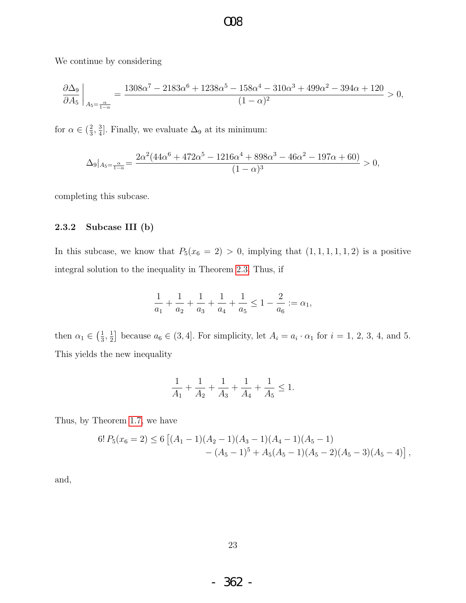We continue by considering

$$
\frac{\partial \Delta_9}{\partial A_5}\bigg|_{A_5=\frac{\alpha}{1-\alpha}}=\frac{1308\alpha^7-2183\alpha^6+1238\alpha^5-158\alpha^4-310\alpha^3+499\alpha^2-394\alpha+120}{(1-\alpha)^2}>0,
$$

for  $\alpha \in (\frac{2}{3})$  $\frac{2}{3}, \frac{3}{4}$  $\frac{3}{4}$ . Finally, we evaluate  $\Delta_9$  at its minimum:

$$
\Delta_9|_{A_5=\frac{\alpha}{1-\alpha}}=\frac{2\alpha^2(44\alpha^6+472\alpha^5-1216\alpha^4+898\alpha^3-46\alpha^2-197\alpha+60)}{(1-\alpha)^3}>0,
$$

completing this subcase.

#### 2.3.2 Subcase III (b)

In this subcase, we know that  $P_5(x_6 = 2) > 0$ , implying that  $(1, 1, 1, 1, 1, 2)$  is a positive integral solution to the inequality in Theorem [2.3.](#page-20-0) Thus, if

$$
\frac{1}{a_1} + \frac{1}{a_2} + \frac{1}{a_3} + \frac{1}{a_4} + \frac{1}{a_5} \le 1 - \frac{2}{a_6} := \alpha_1,
$$

then  $\alpha_1 \in \left(\frac{1}{3}\right)$  $\frac{1}{3}, \frac{1}{2}$  $\frac{1}{2}$  because  $a_6 \in (3, 4]$ . For simplicity, let  $A_i = a_i \cdot \alpha_1$  for  $i = 1, 2, 3, 4$ , and 5. This yields the new inequality

$$
\frac{1}{A_1} + \frac{1}{A_2} + \frac{1}{A_3} + \frac{1}{A_4} + \frac{1}{A_5} \le 1.
$$

Thus, by Theorem [1.7,](#page-6-1) we have

$$
6! P_5(x_6 = 2) \le 6 [(A_1 - 1)(A_2 - 1)(A_3 - 1)(A_4 - 1)(A_5 - 1)- (A_5 - 1)^5 + A_5(A_5 - 1)(A_5 - 2)(A_5 - 3)(A_5 - 4)],
$$

and,

- 362 -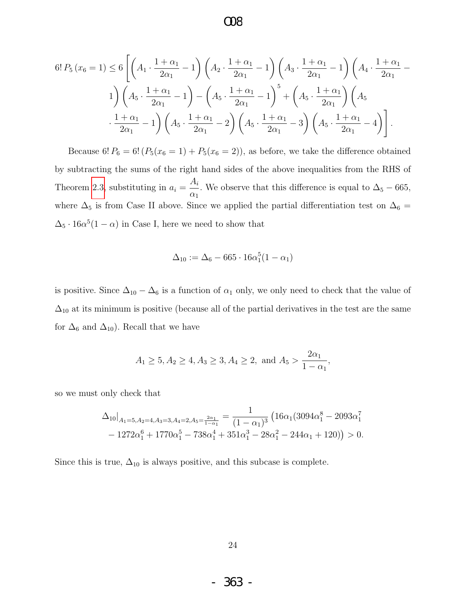$$
6! P_5(x_6 = 1) \le 6 \left[ \left( A_1 \cdot \frac{1 + \alpha_1}{2\alpha_1} - 1 \right) \left( A_2 \cdot \frac{1 + \alpha_1}{2\alpha_1} - 1 \right) \left( A_3 \cdot \frac{1 + \alpha_1}{2\alpha_1} - 1 \right) \left( A_4 \cdot \frac{1 + \alpha_1}{2\alpha_1} - 1 \right) \right]
$$
  

$$
1 \right) \left( A_5 \cdot \frac{1 + \alpha_1}{2\alpha_1} - 1 \right) - \left( A_5 \cdot \frac{1 + \alpha_1}{2\alpha_1} - 1 \right)^5 + \left( A_5 \cdot \frac{1 + \alpha_1}{2\alpha_1} \right) \left( A_5 \cdot \frac{1 + \alpha_1}{2\alpha_1} - 1 \right)
$$
  

$$
\cdot \frac{1 + \alpha_1}{2\alpha_1} - 1 \right) \left( A_5 \cdot \frac{1 + \alpha_1}{2\alpha_1} - 2 \right) \left( A_5 \cdot \frac{1 + \alpha_1}{2\alpha_1} - 3 \right) \left( A_5 \cdot \frac{1 + \alpha_1}{2\alpha_1} - 4 \right) \right].
$$

Because 6!  $P_6 = 6! (P_5(x_6 = 1) + P_5(x_6 = 2))$ , as before, we take the difference obtained by subtracting the sums of the right hand sides of the above inequalities from the RHS of Theorem [2.3,](#page-20-0) substituting in  $a_i =$  $A_i$  $\alpha_1$ . We observe that this difference is equal to  $\Delta_5 - 665$ , where  $\Delta_5$  is from Case II above. Since we applied the partial differentiation test on  $\Delta_6 =$  $\Delta_5 \cdot 16\alpha^5(1-\alpha)$  in Case I, here we need to show that

$$
\Delta_{10} := \Delta_6 - 665 \cdot 16\alpha_1^5 (1 - \alpha_1)
$$

is positive. Since  $\Delta_{10} - \Delta_6$  is a function of  $\alpha_1$  only, we only need to check that the value of  $\Delta_{10}$  at its minimum is positive (because all of the partial derivatives in the test are the same for  $\Delta_6$  and  $\Delta_{10}$ ). Recall that we have

$$
A_1 \ge 5, A_2 \ge 4, A_3 \ge 3, A_4 \ge 2, \text{ and } A_5 > \frac{2\alpha_1}{1 - \alpha_1},
$$

so we must only check that

$$
\Delta_{10}|_{A_1=5, A_2=4, A_3=3, A_4=2, A_5=\frac{2\alpha_1}{1-\alpha_1}}=\frac{1}{(1-\alpha_1)^3}\left(16\alpha_1(3094\alpha_1^8-2093\alpha_1^7\right.-1272\alpha_1^6+1770\alpha_1^5-738\alpha_1^4+351\alpha_1^3-28\alpha_1^2-244\alpha_1+120)\right)>0.
$$

Since this is true,  $\Delta_{10}$  is always positive, and this subcase is complete.

- 363 -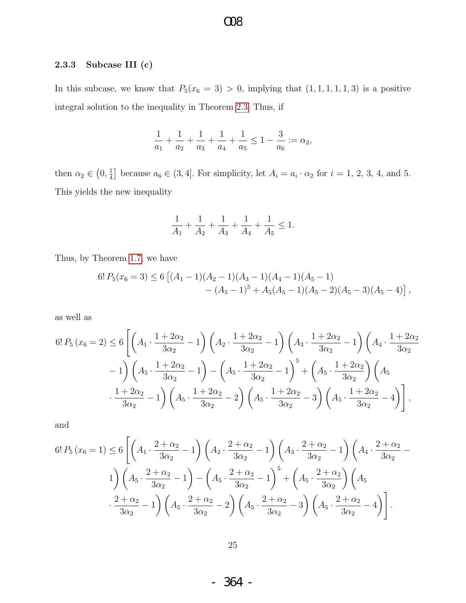#### 2.3.3 Subcase III (c)

In this subcase, we know that  $P_5(x_6 = 3) > 0$ , implying that  $(1, 1, 1, 1, 1, 3)$  is a positive integral solution to the inequality in Theorem [2.3.](#page-20-0) Thus, if

$$
\frac{1}{a_1} + \frac{1}{a_2} + \frac{1}{a_3} + \frac{1}{a_4} + \frac{1}{a_5} \le 1 - \frac{3}{a_6} := \alpha_2,
$$

then  $\alpha_2 \in \left(0, \frac{1}{4}\right)$  $\frac{1}{4}$  because  $a_6 \in (3, 4]$ . For simplicity, let  $A_i = a_i \cdot \alpha_2$  for  $i = 1, 2, 3, 4$ , and 5. This yields the new inequality

$$
\frac{1}{A_1}+\frac{1}{A_2}+\frac{1}{A_3}+\frac{1}{A_4}+\frac{1}{A_5}\leq 1.
$$

Thus, by Theorem [1.7,](#page-6-1) we have

$$
6! P_5(x_6=3) \le 6 [(A_1-1)(A_2-1)(A_3-1)(A_4-1)(A_5-1)-(A_5-1)^5 + A_5(A_5-1)(A_5-2)(A_5-3)(A_5-4)],
$$

as well as

$$
6! P_5(x_6 = 2) \le 6 \left[ \left( A_1 \cdot \frac{1 + 2\alpha_2}{3\alpha_2} - 1 \right) \left( A_2 \cdot \frac{1 + 2\alpha_2}{3\alpha_2} - 1 \right) \left( A_3 \cdot \frac{1 + 2\alpha_2}{3\alpha_2} - 1 \right) \left( A_4 \cdot \frac{1 + 2\alpha_2}{3\alpha_2} - 1 \right) - 1 \right] \left( A_5 \cdot \frac{1 + 2\alpha_2}{3\alpha_2} - 1 \right) - \left( A_5 \cdot \frac{1 + 2\alpha_2}{3\alpha_2} - 1 \right)^5 + \left( A_5 \cdot \frac{1 + 2\alpha_2}{3\alpha_2} \right) \left( A_5 \cdot \frac{1 + 2\alpha_2}{3\alpha_2} - 1 \right) \left( A_5 \cdot \frac{1 + 2\alpha_2}{3\alpha_2} - 2 \right) \left( A_5 \cdot \frac{1 + 2\alpha_2}{3\alpha_2} - 3 \right) \left( A_5 \cdot \frac{1 + 2\alpha_2}{3\alpha_2} - 4 \right) \right],
$$

and

$$
6! P_5(x_6 = 1) \le 6 \left[ \left( A_1 \cdot \frac{2 + \alpha_2}{3\alpha_2} - 1 \right) \left( A_2 \cdot \frac{2 + \alpha_2}{3\alpha_2} - 1 \right) \left( A_3 \cdot \frac{2 + \alpha_2}{3\alpha_2} - 1 \right) \left( A_4 \cdot \frac{2 + \alpha_2}{3\alpha_2} - 1 \right) \right]
$$
  

$$
1) \left( A_5 \cdot \frac{2 + \alpha_2}{3\alpha_2} - 1 \right) - \left( A_5 \cdot \frac{2 + \alpha_2}{3\alpha_2} - 1 \right)^5 + \left( A_5 \cdot \frac{2 + \alpha_2}{3\alpha_2} \right) \left( A_5 \cdot \frac{2 + \alpha_2}{3\alpha_2} - 1 \right) \cdot \frac{2 + \alpha_2}{3\alpha_2} - 1} \left( A_5 \cdot \frac{2 + \alpha_2}{3\alpha_2} - 2 \right) \left( A_5 \cdot \frac{2 + \alpha_2}{3\alpha_2} - 3 \right) \left( A_5 \cdot \frac{2 + \alpha_2}{3\alpha_2} - 4 \right) \cdot \frac{2 + \alpha_2}{3\alpha_2} - 1} \cdot \frac{2 + \alpha_2}{3\alpha_2} - 1} \cdot \frac{2 + \alpha_2}{3\alpha_2} - 1} \cdot \frac{2 + \alpha_2}{3\alpha_2} - 2} \cdot \frac{2 + \alpha_2}{3\alpha_2} - 3 \cdot \frac{2}{3\alpha_2} - 3} \cdot \frac{2 + \alpha_2}{3\alpha_2} - 4} \cdot \frac{2 + \alpha_2}{3\alpha_2} - 4} \cdot \frac{2 + \alpha_2}{3\alpha_2} - 1} \cdot \frac{2 + \alpha_2}{3\alpha_2} - 1} \cdot \frac{2 + \alpha_2}{3\alpha_2} - 1} \cdot \frac{2 + \alpha_2}{3\alpha_2} - 1} \cdot \frac{2 + \alpha_2}{3\alpha_2} - 1} \cdot \frac{2 + \alpha_2}{3\alpha_2} - 1} \cdot \frac{2 + \alpha_2}{3\alpha_2} - 1} \cdot \frac{2 + \alpha_2}{3\alpha_2} - 1} \cdot \frac{2 + \alpha_2}{3\alpha_2} - 1} \cdot \frac{2
$$

- 364 -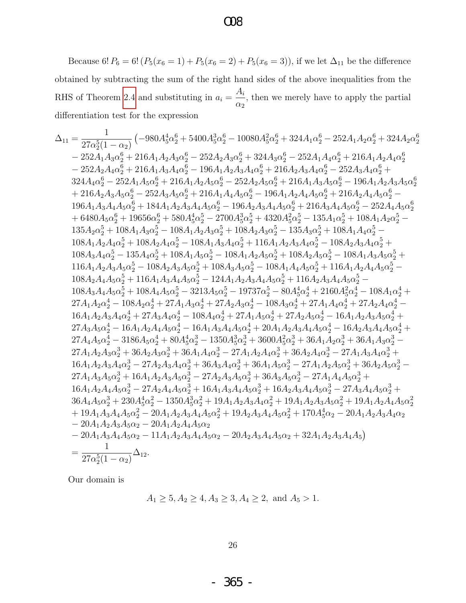### $\infty$

Because 6!  $P_6 = 6! (P_5(x_6 = 1) + P_5(x_6 = 2) + P_5(x_6 = 3))$ , if we let  $\Delta_{11}$  be the difference obtained by subtracting the sum of the right hand sides of the above inequalities from the RHS of Theorem 2.4 and substituting in  $a_i = \frac{A_i}{\alpha_2}$ , then we merely have to apply the partial differentiation test for the expression

$$
\Delta_{11}=\frac{1}{27\alpha_{2}^{5}(1-\alpha_{2})}\left(-980A_{5}^{4}\alpha_{2}^{6}+5400A_{5}^{3}\alpha_{2}^{6}-10080A_{5}^{2}\alpha_{2}^{6}+324A_{1}\alpha_{2}^{6}-252A_{1}A_{2}\alpha_{2}^{6}+324A_{2}\alpha_{2}^{6}+324A_{2}\alpha_{2}^{6}+324A_{2}\alpha_{2}^{6}+324A_{2}\alpha_{2}^{6}-252A_{1}A_{2}\alpha_{2}^{6}+216A_{1}A_{2}A_{3}\alpha_{2}^{6}-252A_{2}A_{3}\alpha_{2}^{6}+324A_{3}\alpha_{2}^{6}-252A_{1}A_{4}\alpha_{2}^{6}+216A_{1}A_{2}A_{4}\alpha_{2}^{6}-252A_{2}A_{3}\alpha_{2}^{6}+324A_{4}\alpha_{2}^{6}+216A_{1}A_{2}A_{3}A_{3}\alpha_{2}^{6}-252A_{2}A_{3}\alpha_{2}^{6}+216A_{2}A_{3}A_{3}\alpha_{2}^{6}-252A_{3}A_{3}\alpha_{2}^{6}+216A_{2}A_{3}A_{3}\alpha_{2}^{6}-252A_{3}A_{3}\alpha_{2}^{6}+216A_{2}A_{3}A_{3}\alpha_{2}^{6}-252A_{3}A_{3}\alpha_{2}^{6}+216A_{1}A_{4}A_{3}\alpha_{2}^{6}-216A_{1}A_{2}A_{3}A_{3}\alpha_{2}^{6}-252A_{3}A_{3}\alpha_{2}^{6}+216A_{1}A_{2}A_{3}\alpha_{2}^{6}+216A_{2}A_{3}A_{3}\alpha_{2}^{6}-252A_{3}A_{3}\alpha_{2}^{6}+216A_{1}A_{2}A_{3}\alpha_{2}^{6}+216A_{2}A_{3}A_{3}\alpha_{2}^{6}-252A_{3}A_{3}\alpha_{2}^{6}+184A_{1}A_{2}A_{3}\alpha_{2}^{6}-196A_{2}A_{3}A_{4}\alpha_{2}^{6}+216A_{2}A_{4}A_{3}\alpha_{2}^{6}-252
$$

Our domain is

$$
A_1 \ge 5, A_2 \ge 4, A_3 \ge 3, A_4 \ge 2, \text{ and } A_5 > 1.
$$

 $26\,$ 

365 -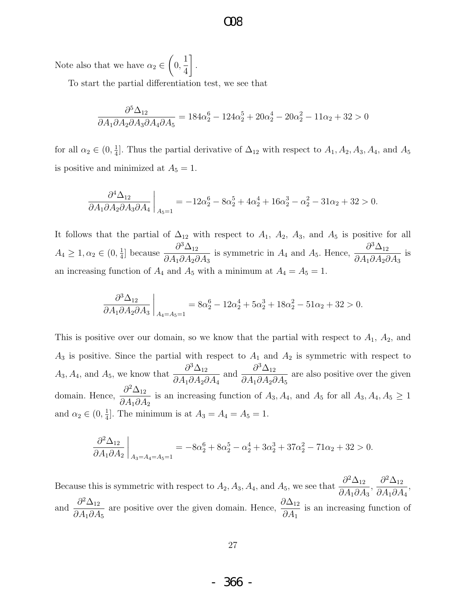#### $\alpha$

Note also that we have  $\alpha_2 \in$  $\sqrt{ }$ 0, 1 4 1 .

To start the partial differentiation test, we see that

$$
\frac{\partial^5 \Delta_{12}}{\partial A_1 \partial A_2 \partial A_3 \partial A_4 \partial A_5} = 184\alpha_2^6 - 124\alpha_2^5 + 20\alpha_2^4 - 20\alpha_2^2 - 11\alpha_2 + 32 > 0
$$

for all  $\alpha_2 \in (0, \frac{1}{4})$  $\frac{1}{4}$ . Thus the partial derivative of  $\Delta_{12}$  with respect to  $A_1, A_2, A_3, A_4$ , and  $A_5$ is positive and minimized at  $A_5 = 1$ .

$$
\frac{\partial^4 \Delta_{12}}{\partial A_1 \partial A_2 \partial A_3 \partial A_4}\bigg|_{A_5=1} = -12\alpha_2^6 - 8\alpha_2^5 + 4\alpha_2^4 + 16\alpha_2^3 - \alpha_2^2 - 31\alpha_2 + 32 > 0.
$$

It follows that the partial of  $\Delta_{12}$  with respect to  $A_1$ ,  $A_2$ ,  $A_3$ , and  $A_5$  is positive for all  $A_4 \geq 1, \alpha_2 \in (0, \frac{1}{4})$  $\frac{1}{4}$ ] because  $\frac{\partial^3 \Delta_{12}}{\partial A_1 \partial A_2 \partial A_3}$  $\partial A_1 \partial A_2 \partial A_3$ is symmetric in  $A_4$  and  $A_5$ . Hence,  $\frac{\partial^3 \Delta_{12}}{\partial A_1 \partial A_2}$  $\partial A_1 \partial A_2 \partial A_3$ is an increasing function of  $A_4$  and  $A_5$  with a minimum at  $A_4 = A_5 = 1$ .

$$
\frac{\partial^3 \Delta_{12}}{\partial A_1 \partial A_2 \partial A_3}\bigg|_{A_4 = A_5 = 1} = 8\alpha_2^6 - 12\alpha_2^4 + 5\alpha_2^3 + 18\alpha_2^2 - 51\alpha_2 + 32 > 0.
$$

This is positive over our domain, so we know that the partial with respect to  $A_1$ ,  $A_2$ , and  $A_3$  is positive. Since the partial with respect to  $A_1$  and  $A_2$  is symmetric with respect to  $A_3, A_4$ , and  $A_5$ , we know that  $\frac{\partial^3 \Delta_{12}}{\partial A_3 A_4}$  $\partial A_1 \partial A_2 \partial A_4$ and  $\frac{\partial^3 \Delta_{12}}{\partial A \cdot \partial A}$  $\partial A_1 \partial A_2 \partial A_5$ are also positive over the given domain. Hence,  $\frac{\partial^2 \Delta_{12}}{\partial A}$  $\partial A_1 \partial A_2$ is an increasing function of  $A_3, A_4$ , and  $A_5$  for all  $A_3, A_4, A_5 \ge 1$ and  $\alpha_2 \in (0, \frac{1}{4})$  $\frac{1}{4}$ . The minimum is at  $A_3 = A_4 = A_5 = 1$ .

$$
\frac{\partial^2 \Delta_{12}}{\partial A_1 \partial A_2}\bigg|_{A_3 = A_4 = A_5 = 1} = -8\alpha_2^6 + 8\alpha_2^5 - \alpha_2^4 + 3\alpha_2^3 + 37\alpha_2^2 - 71\alpha_2 + 32 > 0.
$$

Because this is symmetric with respect to  $A_2$ ,  $A_3$ ,  $A_4$ , and  $A_5$ , we see that  $\frac{\partial^2 \Delta_{12}}{\partial A_3 A_4}$  $\partial A_1 \partial A_3$ ,  $\partial^2\Delta_{12}$  $\partial A_1\partial A_4$ , and  $\frac{\partial^2 \Delta_{12}}{\partial A \cdot \partial A}$  $\partial A_1 \partial A_5$ are positive over the given domain. Hence,  $\frac{\partial \Delta_{12}}{\partial A}$  $\partial A_1$ is an increasing function of

- 366 -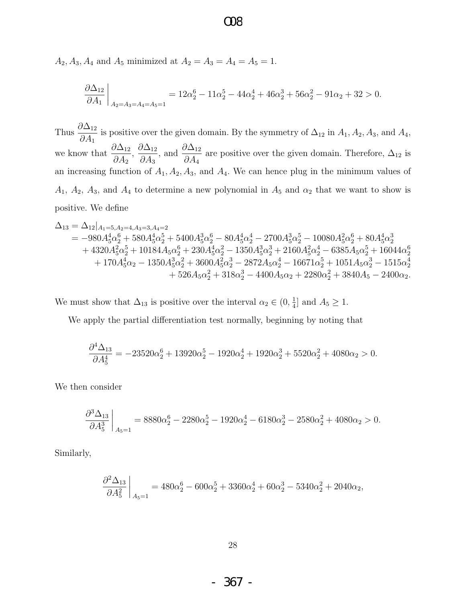$A_2, A_3, A_4$  and  $A_5$  minimized at  $A_2 = A_3 = A_4 = A_5 = 1$ .

$$
\frac{\partial \Delta_{12}}{\partial A_1}\bigg|_{A_2=A_3=A_4=A_5=1}=12\alpha_2^6-11\alpha_2^5-44\alpha_2^4+46\alpha_2^3+56\alpha_2^2-91\alpha_2+32>0.
$$

Thus  $\frac{\partial \Delta_{12}}{\partial A}$  $\partial A_1$ is positive over the given domain. By the symmetry of  $\Delta_{12}$  in  $A_1, A_2, A_3$ , and  $A_4$ , we know that  $\frac{\partial \Delta_{12}}{\partial A}$  $\partial A_2$  $\frac{\partial \Delta_{12}}{\partial 4}$  $\partial A_3$ , and  $\frac{\partial \Delta_{12}}{\partial A}$  $\partial A_4$ are positive over the given domain. Therefore,  $\Delta_{12}$  is an increasing function of  $A_1, A_2, A_3$ , and  $A_4$ . We can hence plug in the minimum values of  $A_1$ ,  $A_2$ ,  $A_3$ , and  $A_4$  to determine a new polynomial in  $A_5$  and  $\alpha_2$  that we want to show is positive. We define

$$
\begin{aligned} \Delta_{13} &= \Delta_{12}|_{A_1=5, A_2=4, A_3=3, A_4=2} \\ &= -980A_5^4\alpha_2^6 + 580A_5^4\alpha_2^5 + 5400A_5^3\alpha_2^6 - 80A_5^4\alpha_2^4 - 2700A_5^3\alpha_2^5 - 10080A_5^2\alpha_2^6 + 80A_5^4\alpha_2^3 \\ &\quad + 4320A_5^2\alpha_2^5 + 10184A_5\alpha_2^6 + 230A_5^4\alpha_2^2 - 1350A_5^3\alpha_2^3 + 2160A_5^2\alpha_2^4 - 6385A_5\alpha_2^5 + 16044\alpha_2^6 \\ &\quad + 170A_5^4\alpha_2 - 1350A_5^3\alpha_2^2 + 3600A_5^2\alpha_2^3 - 2872A_5\alpha_2^4 - 16671\alpha_2^5 + 1051A_5\alpha_2^3 - 1515\alpha_2^4 \\ &\quad + 526A_5\alpha_2^2 + 318\alpha_2^3 - 4400A_5\alpha_2 + 2280\alpha_2^2 + 3840A_5 - 2400\alpha_2. \end{aligned}
$$

We must show that  $\Delta_{13}$  is positive over the interval  $\alpha_2 \in (0, \frac{1}{4})$  $\frac{1}{4}$  and  $A_5 \geq 1$ .

We apply the partial differentiation test normally, beginning by noting that

$$
\frac{\partial^4 \Delta_{13}}{\partial A_5^4} = -23520\alpha_2^6 + 13920\alpha_2^5 - 1920\alpha_2^4 + 1920\alpha_2^3 + 5520\alpha_2^2 + 4080\alpha_2 > 0.
$$

We then consider

$$
\frac{\partial^3 \Delta_{13}}{\partial A_5^3}\bigg|_{A_5=1} = 8880\alpha_2^6 - 2280\alpha_2^5 - 1920\alpha_2^4 - 6180\alpha_2^3 - 2580\alpha_2^2 + 4080\alpha_2 > 0.
$$

Similarly,

$$
\frac{\partial^2 \Delta_{13}}{\partial A_5^2}\bigg|_{A_5=1} = 480\alpha_2^6 - 600\alpha_2^5 + 3360\alpha_2^4 + 60\alpha_2^3 - 5340\alpha_2^2 + 2040\alpha_2,
$$

- 367 -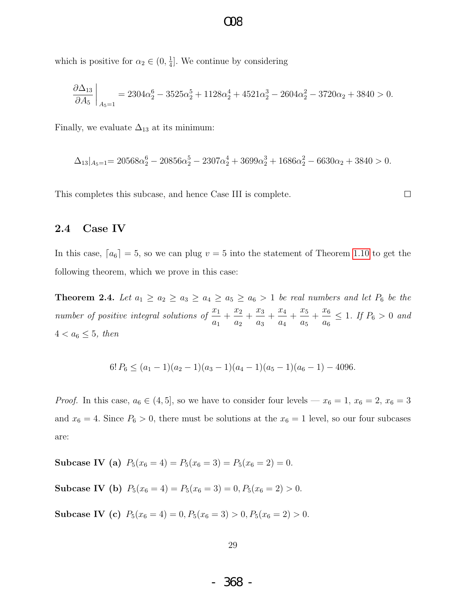which is positive for  $\alpha_2 \in (0, \frac{1}{4})$  $\frac{1}{4}$ . We continue by considering

$$
\frac{\partial \Delta_{13}}{\partial A_5}\bigg|_{A_5=1} = 2304\alpha_2^6 - 3525\alpha_2^5 + 1128\alpha_2^4 + 4521\alpha_2^3 - 2604\alpha_2^2 - 3720\alpha_2 + 3840 > 0.
$$

Finally, we evaluate  $\Delta_{13}$  at its minimum:

$$
\Delta_{13}|_{A_5=1} = 20568\alpha_2^6 - 20856\alpha_2^5 - 2307\alpha_2^4 + 3699\alpha_2^3 + 1686\alpha_2^2 - 6630\alpha_2 + 3840 > 0.
$$

This completes this subcase, and hence Case III is complete.

 $\Box$ 

#### 2.4 Case IV

In this case,  $[a_6] = 5$ , so we can plug  $v = 5$  into the statement of Theorem [1.10](#page-7-0) to get the following theorem, which we prove in this case:

<span id="page-30-0"></span>**Theorem 2.4.** Let  $a_1 \ge a_2 \ge a_3 \ge a_4 \ge a_5 \ge a_6 > 1$  be real numbers and let  $P_6$  be the number of positive integral solutions of  $\frac{x_1}{x_2}$  $a_1$  $+\frac{x_2}{x_1}$  $a_2$  $+\frac{x_3}{x_3}$  $a_3$  $+\frac{x_4}{x_5}$  $a_4$  $+\frac{x_5}{x_5}$  $a_5$  $+\frac{x_6}{}$  $a_6$  $\leq 1$ . If  $P_6 > 0$  and  $4 < a_6 \leq 5$ , then

$$
6! P_6 \le (a_1 - 1)(a_2 - 1)(a_3 - 1)(a_4 - 1)(a_5 - 1)(a_6 - 1) - 4096.
$$

*Proof.* In this case,  $a_6 \in (4, 5]$ , so we have to consider four levels —  $x_6 = 1$ ,  $x_6 = 2$ ,  $x_6 = 3$ and  $x_6 = 4$ . Since  $P_6 > 0$ , there must be solutions at the  $x_6 = 1$  level, so our four subcases are:

Subcase IV (a)  $P_5(x_6 = 4) = P_5(x_6 = 3) = P_5(x_6 = 2) = 0.$ 

Subcase IV (b)  $P_5(x_6 = 4) = P_5(x_6 = 3) = 0, P_5(x_6 = 2) > 0.$ 

Subcase IV (c)  $P_5(x_6 = 4) = 0, P_5(x_6 = 3) > 0, P_5(x_6 = 2) > 0.$ 

- 368 -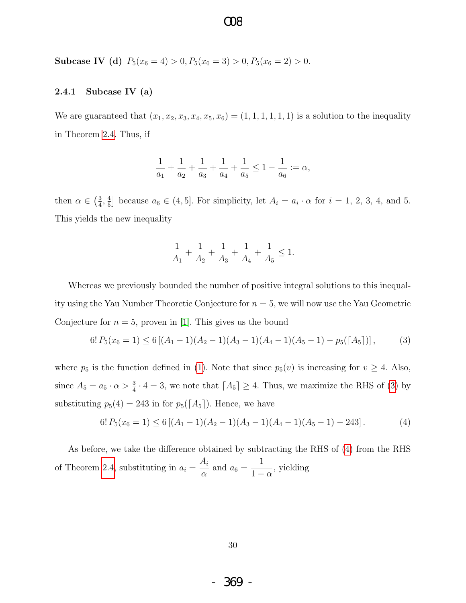### $OR$

Subcase IV (d)  $P_5(x_6 = 4) > 0, P_5(x_6 = 3) > 0, P_5(x_6 = 2) > 0.$ 

#### <span id="page-31-0"></span>2.4.1 Subcase IV (a)

We are guaranteed that  $(x_1, x_2, x_3, x_4, x_5, x_6) = (1, 1, 1, 1, 1, 1)$  is a solution to the inequality in Theorem [2.4.](#page-30-0) Thus, if

$$
\frac{1}{a_1}+\frac{1}{a_2}+\frac{1}{a_3}+\frac{1}{a_4}+\frac{1}{a_5}\leq 1-\frac{1}{a_6}:=\alpha,
$$

then  $\alpha \in \left(\frac{3}{4}\right)$  $\frac{3}{4}, \frac{4}{5}$  $\frac{4}{5}$  because  $a_6 \in (4, 5]$ . For simplicity, let  $A_i = a_i \cdot \alpha$  for  $i = 1, 2, 3, 4$ , and 5. This yields the new inequality

$$
\frac{1}{A_1} + \frac{1}{A_2} + \frac{1}{A_3} + \frac{1}{A_4} + \frac{1}{A_5} \le 1.
$$

Whereas we previously bounded the number of positive integral solutions to this inequality using the Yau Number Theoretic Conjecture for  $n = 5$ , we will now use the Yau Geometric Conjecture for  $n = 5$ , proven in [\[1\]](#page-66-3). This gives us the bound

$$
6! P_5(x_6 = 1) \le 6 [(A_1 - 1)(A_2 - 1)(A_3 - 1)(A_4 - 1)(A_5 - 1) - p_5(\lceil A_5 \rceil)], \tag{3}
$$

where  $p_5$  is the function defined in [\(1\)](#page-7-1). Note that since  $p_5(v)$  is increasing for  $v \geq 4$ . Also, since  $A_5 = a_5 \cdot \alpha > \frac{3}{4} \cdot 4 = 3$ , we note that  $[A_5] \geq 4$ . Thus, we maximize the RHS of [\(3\)](#page-31-0) by substituting  $p_5(4) = 243$  in for  $p_5(\lceil A_5 \rceil)$ . Hence, we have

$$
6! P_5(x_6 = 1) \le 6 [(A_1 - 1)(A_2 - 1)(A_3 - 1)(A_4 - 1)(A_5 - 1) - 243]. \tag{4}
$$

As before, we take the difference obtained by subtracting the RHS of [\(4\)](#page-31-0) from the RHS of Theorem [2.4,](#page-30-0) substituting in  $a_i =$  $A_i$  $\frac{a_1}{\alpha}$  and  $a_6 =$ 1  $1 - \alpha$ , yielding

- 369 -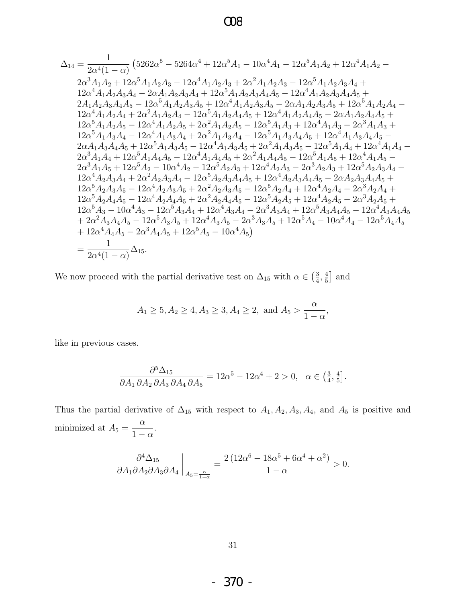$$
\Delta_{14} = \frac{1}{2\alpha^{4}(1-\alpha)} \left(5262\alpha^{5}-5264\alpha^{4}+12\alpha^{5}A_{1}-10\alpha^{4}A_{1}-12\alpha^{5}A_{1}A_{2}+12\alpha^{4}A_{1}A_{2}-\right.\\ \left. 2\alpha^{3}A_{1}A_{2}+12\alpha^{5}A_{1}A_{2}A_{3}-12\alpha^{4}A_{1}A_{2}A_{3}+2\alpha^{2}A_{1}A_{2}A_{3}-12\alpha^{5}A_{1}A_{2}A_{3}A_{4}+\right.\\ \left. 12\alpha^{4}A_{1}A_{2}A_{3}A_{4}-2\alpha A_{1}A_{2}A_{3}A_{4}+12\alpha^{5}A_{1}A_{2}A_{3}A_{4}A_{5}-12\alpha^{4}A_{1}A_{2}A_{3}A_{4}A_{5}+\right.\\ \left. 2A_{1}A_{2}A_{3}A_{4}A_{5}-12\alpha^{5}A_{1}A_{2}A_{3}A_{5}+12\alpha^{4}A_{1}A_{2}A_{3}A_{5}-2\alpha A_{1}A_{2}A_{3}A_{5}+12\alpha^{5}A_{1}A_{2}A_{4}A_{5}+\right.\\ \left. 12\alpha^{5}A_{1}A_{2}A_{4}+2\alpha^{2}A_{1}A_{2}A_{4}-12\alpha^{5}A_{1}A_{2}A_{4}A_{5}+12\alpha^{4}A_{1}A_{2}A_{4}A_{5}-2\alpha A_{1}A_{2}A_{4}A_{5}+\right.\\ \left. 12\alpha^{5}A_{1}A_{2}A_{5}-12\alpha^{4}A_{1}A_{2}A_{5}+2\alpha^{2}A_{1}A_{2}A_{5}-12\alpha^{5}A_{1}A_{3}A_{4}+12\alpha^{4}A_{1}A_{3}-2\alpha^{3}A_{1}A_{3}+12\alpha^{5}A_{1}A_{3}A_{4}-12\alpha^{5}A_{1}A_{3}A_{4}-12\alpha^{5}A_{1}A_{3}A_{4}-12\alpha^{5}A_{1}A_{3}A_{4}-12\alpha^{5}A_{1}A_{3}A_{4}-12\alpha^{5}A_{1}A_{3
$$

We now proceed with the partial derivative test on  $\Delta_{15}$  with  $\alpha\in\left(\frac{3}{4},\frac{4}{5}\right]$  and

$$
A_1 \ge 5, A_2 \ge 4, A_3 \ge 3, A_4 \ge 2, \text{ and } A_5 > \frac{\alpha}{1-\alpha},
$$

like in previous cases.

$$
\frac{\partial^5 \Delta_{15}}{\partial A_1 \partial A_2 \partial A_3 \partial A_4 \partial A_5} = 12\alpha^5 - 12\alpha^4 + 2 > 0, \alpha \in \left(\frac{3}{4}, \frac{4}{5}\right].
$$

Thus the partial derivative of  $\Delta_{15}$  with respect to  $A_1, A_2, A_3, A_4$ , and  $A_5$  is positive and minimized at  $A_5 = \frac{\alpha}{1 - \alpha}$ .

$$
\frac{\partial^4 \Delta_{15}}{\partial A_1 \partial A_2 \partial A_3 \partial A_4}\bigg|_{A_5=\frac{\alpha}{1-\alpha}} = \frac{2\left(12\alpha^6 - 18\alpha^5 + 6\alpha^4 + \alpha^2\right)}{1-\alpha} > 0.
$$

 $-370-$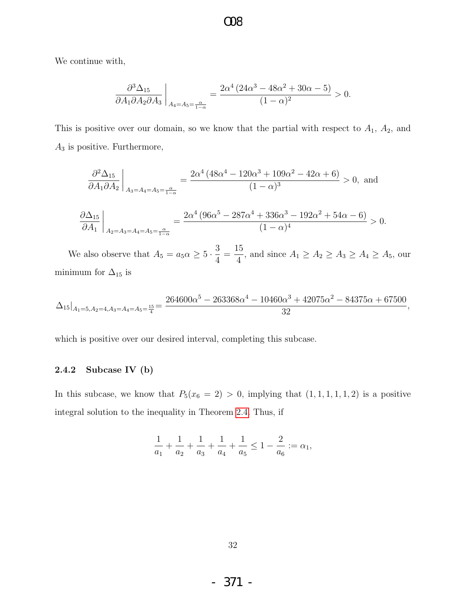We continue with,

$$
\frac{\partial^3 \Delta_{15}}{\partial A_1 \partial A_2 \partial A_3}\bigg|_{A_4 = A_5 = \frac{\alpha}{1-\alpha}} = \frac{2\alpha^4 \left(24\alpha^3 - 48\alpha^2 + 30\alpha - 5\right)}{(1-\alpha)^2} > 0.
$$

This is positive over our domain, so we know that the partial with respect to  $A_1$ ,  $A_2$ , and  $A_3$  is positive. Furthermore,

$$
\frac{\partial^2 \Delta_{15}}{\partial A_1 \partial A_2}\bigg|_{A_3 = A_4 = A_5 = \frac{\alpha}{1-\alpha}} = \frac{2\alpha^4 \left(48\alpha^4 - 120\alpha^3 + 109\alpha^2 - 42\alpha + 6\right)}{(1-\alpha)^3} > 0, \text{ and}
$$

$$
\frac{\partial \Delta_{15}}{\partial A_1}\bigg|_{A_2 = A_3 = A_4 = A_5 = \frac{\alpha}{1-\alpha}} = \frac{2\alpha^4 \left(96\alpha^5 - 287\alpha^4 + 336\alpha^3 - 192\alpha^2 + 54\alpha - 6\right)}{(1-\alpha)^4} > 0.
$$

We also observe that  $A_5 = a_5 \alpha \geq 5 \cdot \frac{3}{4}$ 4 = 15  $\frac{16}{4}$ , and since  $A_1 \ge A_2 \ge A_3 \ge A_4 \ge A_5$ , our minimum for  $\Delta_{15}$  is

$$
\Delta_{15}|_{A_1=5, A_2=4, A_3=A_4=A_5=\frac{15}{4}}=\frac{264600\alpha^5-263368\alpha^4-10460\alpha^3+42075\alpha^2-84375\alpha+67500}{32},
$$

which is positive over our desired interval, completing this subcase.

#### 2.4.2 Subcase IV (b)

In this subcase, we know that  $P_5(x_6 = 2) > 0$ , implying that  $(1, 1, 1, 1, 1, 2)$  is a positive integral solution to the inequality in Theorem [2.4.](#page-30-0) Thus, if

$$
\frac{1}{a_1}+\frac{1}{a_2}+\frac{1}{a_3}+\frac{1}{a_4}+\frac{1}{a_5}\leq 1-\frac{2}{a_6}:=\alpha_1,
$$

- 371 -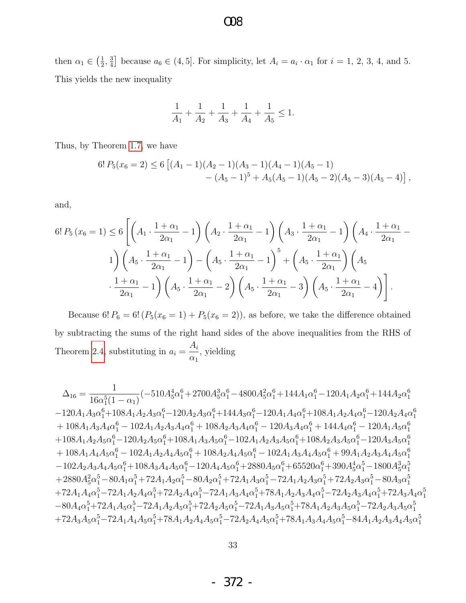#### then  $\alpha_1 \in \left(\frac{1}{2}\right)$  $\frac{1}{2}, \frac{3}{4}$  $\frac{3}{4}$  because  $a_6 \in (4, 5]$ . For simplicity, let  $A_i = a_i \cdot \alpha_1$  for  $i = 1, 2, 3, 4$ , and 5. This yields the new inequality

O08

$$
\frac{1}{A_1}+\frac{1}{A_2}+\frac{1}{A_3}+\frac{1}{A_4}+\frac{1}{A_5}\leq 1.
$$

Thus, by Theorem [1.7,](#page-6-1) we have

$$
6! P_5(x_6 = 2) \le 6 [(A_1 - 1)(A_2 - 1)(A_3 - 1)(A_4 - 1)(A_5 - 1)- (A_5 - 1)^5 + A_5(A_5 - 1)(A_5 - 2)(A_5 - 3)(A_5 - 4)],
$$

and,

$$
6! P_5(x_6 = 1) \le 6 \left[ \left( A_1 \cdot \frac{1+\alpha_1}{2\alpha_1} - 1 \right) \left( A_2 \cdot \frac{1+\alpha_1}{2\alpha_1} - 1 \right) \left( A_3 \cdot \frac{1+\alpha_1}{2\alpha_1} - 1 \right) \left( A_4 \cdot \frac{1+\alpha_1}{2\alpha_1} - 1 \right) \right]
$$
  

$$
1 \right) \left( A_5 \cdot \frac{1+\alpha_1}{2\alpha_1} - 1 \right) - \left( A_5 \cdot \frac{1+\alpha_1}{2\alpha_1} - 1 \right)^5 + \left( A_5 \cdot \frac{1+\alpha_1}{2\alpha_1} \right) \left( A_5 \cdot \frac{1+\alpha_1}{2\alpha_1} - 1 \right)
$$
  

$$
\cdot \frac{1+\alpha_1}{2\alpha_1} - 1 \right) \left( A_5 \cdot \frac{1+\alpha_1}{2\alpha_1} - 2 \right) \left( A_5 \cdot \frac{1+\alpha_1}{2\alpha_1} - 3 \right) \left( A_5 \cdot \frac{1+\alpha_1}{2\alpha_1} - 4 \right) \right].
$$

Because 6!  $P_6 = 6! (P_5(x_6 = 1) + P_5(x_6 = 2))$ , as before, we take the difference obtained by subtracting the sums of the right hand sides of the above inequalities from the RHS of Theorem [2.4,](#page-30-0) substituting in  $a_i =$  $A_i$  $\alpha_1$ , yielding

$$
\begin{aligned} \Delta_{16} &= \frac{1}{16\alpha_{1}^{5}(1-\alpha_{1})} (-510A_{5}^{4}\alpha_{1}^{6} + 2700A_{5}^{3}\alpha_{1}^{6} - 4800A_{5}^{2}\alpha_{1}^{6} + 144A_{1}\alpha_{1}^{6} - 120A_{1}A_{2}\alpha_{1}^{6} + 144A_{2}\alpha_{1}^{6} \\ &- 120A_{1}A_{3}\alpha_{1}^{6} + 108A_{1}A_{2}A_{3}\alpha_{1}^{6} - 120A_{2}A_{3}\alpha_{1}^{6} + 144A_{3}\alpha_{1}^{6} - 120A_{1}A_{4}\alpha_{1}^{6} + 108A_{1}A_{2}A_{4}\alpha_{1}^{6} - 120A_{2}A_{4}\alpha_{1}^{6} \\ &+ 108A_{1}A_{3}A_{4}\alpha_{1}^{6} - 102A_{1}A_{2}A_{3}A_{4}\alpha_{1}^{6} + 108A_{2}A_{3}A_{4}\alpha_{1}^{6} - 120A_{3}A_{4}\alpha_{1}^{6} + 144A_{4}\alpha_{1}^{6} - 120A_{1}A_{5}\alpha_{1}^{6} \\ &+ 108A_{1}A_{2}A_{5}\alpha_{1}^{6} - 120A_{2}A_{5}\alpha_{1}^{6} + 108A_{1}A_{3}A_{5}\alpha_{1}^{6} - 102A_{1}A_{2}A_{3}A_{5}\alpha_{1}^{6} + 108A_{2}A_{3}A_{5}\alpha_{1}^{6} - 120A_{3}A_{5}\alpha_{1}^{6} \\ &+ 108A_{1}A_{4}A_{5}\alpha_{1}^{6} - 102A_{1}A_{2}A_{4}A_{5}\alpha_{1}^{6} + 108A_{2}A_{4}A_{5}\alpha_{1}^{6} - 102A_{1}A_{3}A_{4}A_{5}\alpha_{1}^{6} + 99A_{1}A_{2}A_{3}A_{4}\alpha_{1}^{6} \\ &- 102A_{2}A_{3}A_{4}A_{5}\alpha_{1}^{6} + 108A_{3}A_{4}A_{5}\alpha_{1}^{6} - 120A_{
$$

- 372 -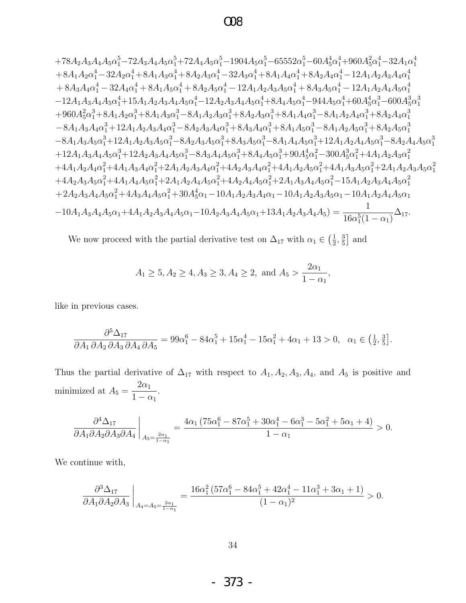### $\Omega$

$$
+78A_{2}A_{3}A_{4}A_{5}\alpha _{1}^{5}-72A_{3}A_{4}A_{5}\alpha _{1}^{5}+72A_{4}A_{5}\alpha _{1}^{5}-1904A_{5}\alpha _{1}^{5}-65552\alpha _{1}^{5}-60A_{5}^{4}\alpha _{1}^{4}+960A_{5}^{2}\alpha _{1}^{4}-32A_{1}\alpha _{1}^{4} \\+8A_{1}A_{2}\alpha _{1}^{4}-32A_{2}\alpha _{1}^{4}+8A_{1}A_{3}\alpha _{1}^{4}+8A_{2}A_{3}\alpha _{1}^{4}-32A_{3}\alpha _{1}^{4}+8A_{1}A_{4}\alpha _{1}^{4}+8A_{2}A_{4}\alpha _{1}^{4}-12A_{1}A_{2}A_{3}A_{4}\alpha _{1}^{4} \\+8A_{3}A_{4}\alpha _{1}^{4}-32A_{4}\alpha _{1}^{4}+8A_{1}A_{5}\alpha _{1}^{4}+8A_{2}A_{5}\alpha _{1}^{4}-12A_{1}A_{2}A_{3}A_{5}\alpha _{1}^{4}+8A_{3}A_{5}\alpha _{1}^{4}-12A_{1}A_{2}A_{3}A_{4}\alpha _{1}^{4} \\-12A_{1}A_{3}A_{4}\alpha _{1}^{4}+15A_{1}A_{2}A_{3}A_{4}\alpha _{1}^{4}-12A_{2}A_{3}A_{4}A_{5}\alpha _{1}^{4}+8A_{4}A_{5}\alpha _{1}^{4}+80A_{4}^{4}A_{5}\alpha _{1}^{3}-600A_{5}^{3}\alpha _{1}^{3} \\-12A_{1}A_{3}A_{4}\alpha _{1}^{3}+12A_{1}A_{2}A_{3}A_{4}\alpha _{1}^{3}-8A_{1}A_{2}A_{3}\alpha _{1}^{3}+8A_{2}A_{3}\alpha _{1}^{3}+8A_{1}A_{4}\alpha _{1}^{3}-8A_{1}A_{2}A_{4}\alpha _{1}^{3}+8A_{2}A_{4}\alpha _{1}^{3} \\-8A_{1}A_{3}A_{4}\alpha _{1}^{3}+12A_{1}A_{2}A_{3}A_{4}\alpha _{
$$

We now proceed with the partial derivative test on  $\Delta_{17}$  with  $\alpha_1\in\left(\frac{1}{2},\frac{3}{5}\right]$  and

$$
A_1 \ge 5, A_2 \ge 4, A_3 \ge 3, A_4 \ge 2, \text{ and } A_5 > \frac{2\alpha_1}{1 - \alpha_1},
$$

like in previous cases.

$$
\frac{\partial^5 \Delta_{17}}{\partial A_1 \partial A_2 \partial A_3 \partial A_4 \partial A_5} = 99\alpha_1^6 - 84\alpha_1^5 + 15\alpha_1^4 - 15\alpha_1^2 + 4\alpha_1 + 13 > 0, \ \ \alpha_1 \in \left(\frac{1}{2}, \frac{3}{5}\right].
$$

Thus the partial derivative of  $\Delta_{17}$  with respect to  $A_1, A_2, A_3, A_4$ , and  $A_5$  is positive and minimized at  $A_5 = \frac{2\alpha_1}{1 - \alpha_1}$ .

$$
\frac{\partial^4 \Delta_{17}}{\partial A_1 \partial A_2 \partial A_3 \partial A_4}\bigg|_{A_5=\frac{2\alpha_1}{1-\alpha_1}}=\frac{4\alpha_1 \left(75\alpha_1^6-87\alpha_1^5+30\alpha_1^4-6\alpha_1^3-5\alpha_1^2+5\alpha_1+4\right)}{1-\alpha_1}>0.
$$

We continue with,

$$
\left.\frac{\partial^3 \Delta_{17}}{\partial A_1 \partial A_2 \partial A_3}\right|_{A_4 = A_5 = \frac{2\alpha_1}{1-\alpha_1}} = \frac{16\alpha_1^2 \left(57\alpha_1^6 - 84\alpha_1^5 + 42\alpha_1^4 - 11\alpha_1^3 + 3\alpha_1 + 1\right)}{(1-\alpha_1)^2} > 0.
$$

- 373 -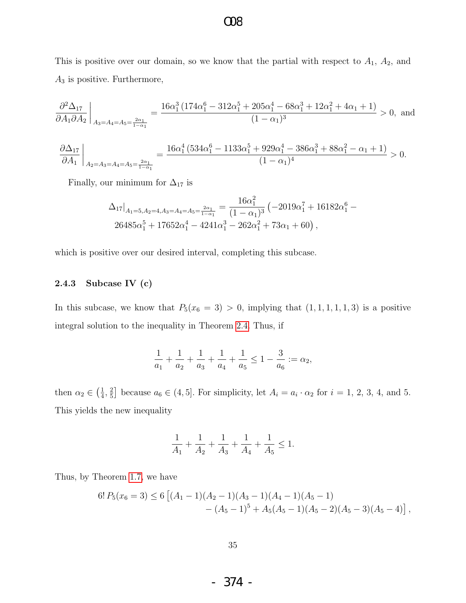This is positive over our domain, so we know that the partial with respect to  $A_1$ ,  $A_2$ , and  $A_3$  is positive. Furthermore,

$$
\frac{\partial^2 \Delta_{17}}{\partial A_1 \partial A_2}\bigg|_{A_3 = A_4 = A_5 = \frac{2\alpha_1}{1 - \alpha_1}} = \frac{16\alpha_1^3 \left(174\alpha_1^6 - 312\alpha_1^5 + 205\alpha_1^4 - 68\alpha_1^3 + 12\alpha_1^2 + 4\alpha_1 + 1\right)}{(1 - \alpha_1)^3} > 0, \text{ and}
$$

$$
\frac{\partial \Delta_{17}}{\partial A_1}\bigg|_{A_2=A_3=A_4=A_5=\frac{2\alpha_1}{1-\alpha_1}}=\frac{16\alpha_1^4\left(534\alpha_1^6-1133\alpha_1^5+929\alpha_1^4-386\alpha_1^3+88\alpha_1^2-\alpha_1+1\right)}{(1-\alpha_1)^4}>0.
$$

Finally, our minimum for  $\Delta_{17}$  is

$$
\Delta_{17}|_{A_1=5, A_2=4, A_3=A_4=A_5=\frac{2\alpha_1}{1-\alpha_1}} = \frac{16\alpha_1^2}{(1-\alpha_1)^3} \left(-2019\alpha_1^7 + 16182\alpha_1^6 - 26485\alpha_1^5 + 17652\alpha_1^4 - 4241\alpha_1^3 - 262\alpha_1^2 + 73\alpha_1 + 60\right),
$$

which is positive over our desired interval, completing this subcase.

#### 2.4.3 Subcase IV (c)

In this subcase, we know that  $P_5(x_6 = 3) > 0$ , implying that  $(1, 1, 1, 1, 1, 3)$  is a positive integral solution to the inequality in Theorem [2.4.](#page-30-0) Thus, if

$$
\frac{1}{a_1} + \frac{1}{a_2} + \frac{1}{a_3} + \frac{1}{a_4} + \frac{1}{a_5} \le 1 - \frac{3}{a_6} := \alpha_2,
$$

then  $\alpha_2 \in \left(\frac{1}{4}\right)$  $\frac{1}{4}$ ,  $\frac{2}{5}$  $\frac{2}{5}$  because  $a_6 \in (4, 5]$ . For simplicity, let  $A_i = a_i \cdot \alpha_2$  for  $i = 1, 2, 3, 4$ , and 5. This yields the new inequality

$$
\frac{1}{A_1}+\frac{1}{A_2}+\frac{1}{A_3}+\frac{1}{A_4}+\frac{1}{A_5}\leq 1.
$$

Thus, by Theorem [1.7,](#page-6-1) we have

$$
6! P_5(x_6=3) \le 6 [(A_1-1)(A_2-1)(A_3-1)(A_4-1)(A_5-1)-(A_5-1)^5 + A_5(A_5-1)(A_5-2)(A_5-3)(A_5-4)],
$$

- 374 -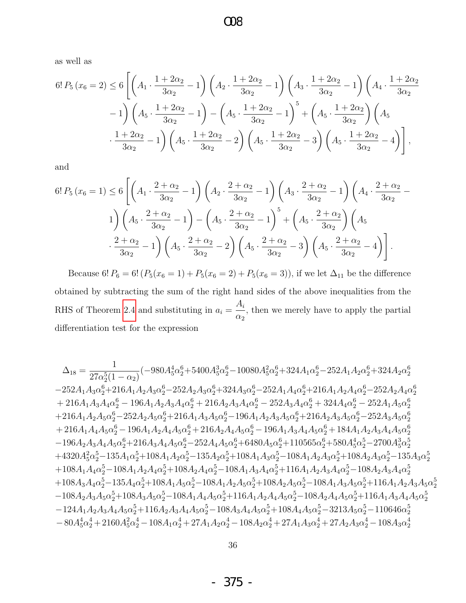as well as

$$
6! P_5(x_6 = 2) \le 6 \left[ \left( A_1 \cdot \frac{1 + 2\alpha_2}{3\alpha_2} - 1 \right) \left( A_2 \cdot \frac{1 + 2\alpha_2}{3\alpha_2} - 1 \right) \left( A_3 \cdot \frac{1 + 2\alpha_2}{3\alpha_2} - 1 \right) \left( A_4 \cdot \frac{1 + 2\alpha_2}{3\alpha_2} - 1 \right) - 1 \right] \left( A_5 \cdot \frac{1 + 2\alpha_2}{3\alpha_2} - 1 \right) - \left( A_5 \cdot \frac{1 + 2\alpha_2}{3\alpha_2} - 1 \right)^5 + \left( A_5 \cdot \frac{1 + 2\alpha_2}{3\alpha_2} \right) \left( A_5 \cdot \frac{1 + 2\alpha_2}{3\alpha_2} - 1 \right) \left( A_5 \cdot \frac{1 + 2\alpha_2}{3\alpha_2} - 2 \right) \left( A_5 \cdot \frac{1 + 2\alpha_2}{3\alpha_2} - 3 \right) \left( A_5 \cdot \frac{1 + 2\alpha_2}{3\alpha_2} - 4 \right) \right],
$$

and

$$
6! P_5(x_6 = 1) \le 6 \left[ \left( A_1 \cdot \frac{2 + \alpha_2}{3\alpha_2} - 1 \right) \left( A_2 \cdot \frac{2 + \alpha_2}{3\alpha_2} - 1 \right) \left( A_3 \cdot \frac{2 + \alpha_2}{3\alpha_2} - 1 \right) \left( A_4 \cdot \frac{2 + \alpha_2}{3\alpha_2} - 1 \right) \right] \n1) \left( A_5 \cdot \frac{2 + \alpha_2}{3\alpha_2} - 1 \right) - \left( A_5 \cdot \frac{2 + \alpha_2}{3\alpha_2} - 1 \right)^5 + \left( A_5 \cdot \frac{2 + \alpha_2}{3\alpha_2} \right) \left( A_5 \cdot \frac{2 + \alpha_2}{3\alpha_2} - 1 \right) \cdot \frac{2 + \alpha_2}{3\alpha_2} - 1} \left( A_5 \cdot \frac{2 + \alpha_2}{3\alpha_2} - 2 \right) \left( A_5 \cdot \frac{2 + \alpha_2}{3\alpha_2} - 3 \right) \left( A_5 \cdot \frac{2 + \alpha_2}{3\alpha_2} - 4 \right) \cdot \frac{2 + \alpha_2}{3\alpha_2} - 1} \cdot \frac{2 + \alpha_2}{3\alpha_2} - 1} \cdot \frac{2 + \alpha_2}{3\alpha_2} - 1} \cdot \frac{2 + \alpha_2}{3\alpha_2} - 2} \cdot \frac{2 + \alpha_2}{3\alpha_2} - 3 \cdot \frac{2}{3\alpha_2} - 3} \cdot \frac{2 + \alpha_2}{3\alpha_2} - 4} \cdot \frac{2 + \alpha_2}{3\alpha_2} - 4} \cdot \frac{2 + \alpha_2}{3\alpha_2} - 1} \cdot \frac{2 + \alpha_2}{3\alpha_2} - 1} \cdot \frac{2 + \alpha_2}{3\alpha_2} - 1} \cdot \frac{2 + \alpha_2}{3\alpha_2} - 1} \cdot \frac{2 + \alpha_2}{3\alpha_2} - 1} \cdot \frac{2 + \alpha_2}{3\alpha_2} - 1} \cdot \frac{2 + \alpha_2}{3\alpha_2} - 1} \cdot \frac{2 + \alpha_2}{3\alpha_2} - 1} \cdot \frac{2 + \alpha_2}{3\alpha_2} - 1} \cdot \frac{2 + \alpha_2
$$

Because 6!  $P_6 = 6! (P_5(x_6 = 1) + P_5(x_6 = 2) + P_5(x_6 = 3))$ , if we let  $\Delta_{11}$  be the difference obtained by subtracting the sum of the right hand sides of the above inequalities from the RHS of Theorem [2.4](#page-30-0) and substituting in  $a_i =$  $A_i$  $\alpha_2$ , then we merely have to apply the partial differentiation test for the expression

$$
\Delta_{18}=\frac{1}{27\alpha_{2}^{5}(1-\alpha_{2})}(-980A_{5}^{4}\alpha_{2}^{6}+5400A_{5}^{3}\alpha_{2}^{6}-10080A_{5}^{2}\alpha_{2}^{6}+324A_{1}\alpha_{2}^{6}-252A_{1}A_{2}\alpha_{2}^{6}+324A_{2}\alpha_{2}^{6}\\-252A_{1}A_{3}\alpha_{2}^{6}+216A_{1}A_{2}A_{3}\alpha_{2}^{6}-252A_{2}A_{3}\alpha_{2}^{6}+324A_{3}\alpha_{2}^{6}-252A_{1}A_{4}\alpha_{2}^{6}+216A_{1}A_{2}A_{4}\alpha_{2}^{6}-252A_{2}A_{4}\alpha_{2}^{6}\\+216A_{1}A_{3}A_{4}\alpha_{2}^{6}-196A_{1}A_{2}A_{3}A_{4}\alpha_{2}^{6}+216A_{2}A_{3}A_{4}\alpha_{2}^{6}-252A_{3}A_{4}\alpha_{2}^{6}+324A_{4}\alpha_{2}^{6}-252A_{1}A_{5}\alpha_{2}^{6}\\+216A_{1}A_{2}A_{5}\alpha_{2}^{6}-252A_{2}A_{5}\alpha_{2}^{6}+216A_{1}A_{3}A_{5}\alpha_{2}^{6}-196A_{1}A_{2}A_{3}A_{5}\alpha_{2}^{6}+216A_{2}A_{3}A_{5}\alpha_{2}^{6}-252A_{3}A_{5}\alpha_{2}^{6}\\+216A_{1}A_{4}A_{5}\alpha_{2}^{6}-196A_{1}A_{2}A_{4}A_{5}\alpha_{2}^{6}+216A_{2}A_{4}A_{5}\alpha_{2}^{6}-196A_{1}A_{3}A_{4}A_{5}\alpha_{2}^{6}+184A_{1}A_{2}A_{3}A_{4}A_{5}\alpha_{2}^{6}\\-196A_{2}A_{3}A_{4}A_{5}\alpha_{2}^{6}+216A_{3}A_{4}A_{5}\alpha_{2}^{6}+216A_{2}A_{4}A_{5}\alpha_{2}^{6}+196A_{1}A_{3}A_{4}A_{5}\alpha_{2}^{6}+184A_{1}A_{2
$$

- 375 -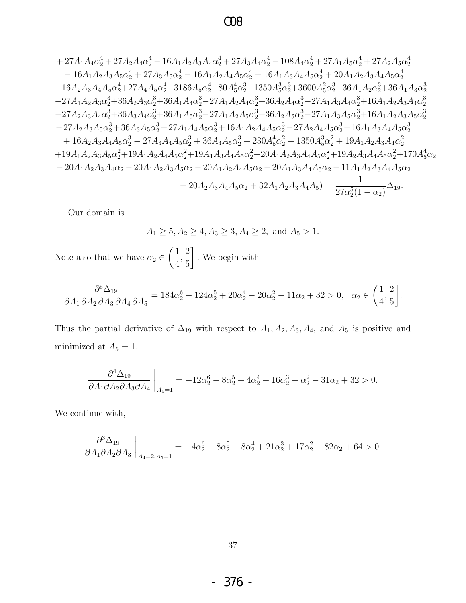### $\Omega$

$$
+27A_{1}A_{4}\alpha _{2}^{4}+27A_{2}A_{4}\alpha _{2}^{4}-16A_{1}A_{2}A_{3}A_{4}\alpha _{2}^{4}+27A_{3}A_{4}\alpha _{2}^{4}-108A_{4}\alpha _{2}^{4}+27A_{1}A_{5}\alpha _{2}^{4}+27A_{2}A_{5}\alpha _{2}^{4} \\ -16A_{1}A_{2}A_{3}A_{5}\alpha _{2}^{4}+27A_{3}A_{5}\alpha _{2}^{4}-16A_{1}A_{2}A_{4}A_{5}\alpha _{2}^{4}-16A_{1}A_{3}A_{4}A_{5}\alpha _{2}^{4}+20A_{1}A_{2}A_{3}A_{4}A_{5}\alpha _{2}^{4} \\ -16A_{2}A_{3}A_{4}A_{5}\alpha _{2}^{4}+27A_{4}A_{5}\alpha _{2}^{4}-3186A_{5}\alpha _{2}^{4}+80A_{5}^{4}\alpha _{2}^{3}-1350A_{3}^{3}\alpha _{2}^{3}+3600A_{5}^{2}\alpha _{2}^{3}+36A_{1}A_{2}\alpha _{2}^{3}+36A_{1}A_{3}\alpha _{2}^{3} \\ -27A_{1}A_{2}A_{3}\alpha _{2}^{3}+36A_{2}A_{3}\alpha _{2}^{3}+36A_{1}A_{4}\alpha _{2}^{3}-27A_{1}A_{2}A_{4}\alpha _{2}^{3}+36A_{2}A_{4}\alpha _{2}^{3}-27A_{1}A_{3}A_{4}\alpha _{2}^{3}+16A_{1}A_{2}A_{3}A_{4}\alpha _{2}^{3} \\ -27A_{2}A_{3}A_{4}\alpha _{2}^{3}+36A_{3}A_{4}\alpha _{2}^{3}+36A_{1}A_{5}\alpha _{2}^{3}-27A_{1}A_{2}A_{5}\alpha _{2}^{3}+36A_{2}A_{5}\alpha _{2}^{3}-27A_{1}A_{3}A_{3}A_{5}\alpha _{2}^{3}+16A_{1}A_{2}A_{3}A_{4}\alpha _{2}^{3} \\ -27A_{2}A_{3}A_{4}\alpha _{2}^{3}+36
$$

Our domain is

 $A_1 \ge 5, A_2 \ge 4, A_3 \ge 3, A_4 \ge 2$ , and  $A_5 > 1$ .

Note also that we have  $\alpha_2\in\left(\frac{1}{4},\frac{2}{5}\right].$  We begin with

$$
\frac{\partial^5 \Delta_{19}}{\partial A_1 \partial A_2 \partial A_3 \partial A_4 \partial A_5} = 184\alpha_2^6 - 124\alpha_2^5 + 20\alpha_2^4 - 20\alpha_2^2 - 11\alpha_2 + 32 > 0, \quad \alpha_2 \in \left(\frac{1}{4}, \frac{2}{5}\right)
$$

Thus the partial derivative of  $\Delta_{19}$  with respect to  $A_1, A_2, A_3, A_4$ , and  $A_5$  is positive and minimized at  $A_5 = 1$ .

$$
\frac{\partial^4 \Delta_{19}}{\partial A_1 \partial A_2 \partial A_3 \partial A_4}\bigg|_{A_5=1} = -12\alpha_2^6 - 8\alpha_2^5 + 4\alpha_2^4 + 16\alpha_2^3 - \alpha_2^2 - 31\alpha_2 + 32 > 0.
$$

We continue with,

$$
\left. \frac{\partial^3 \Delta_{19}}{\partial A_1 \partial A_2 \partial A_3} \right|_{A_4=2, A_5=1} = -4\alpha_2^6 - 8\alpha_2^5 - 8\alpha_2^4 + 21\alpha_2^3 + 17\alpha_2^2 - 82\alpha_2 + 64 > 0
$$

 $-376$  -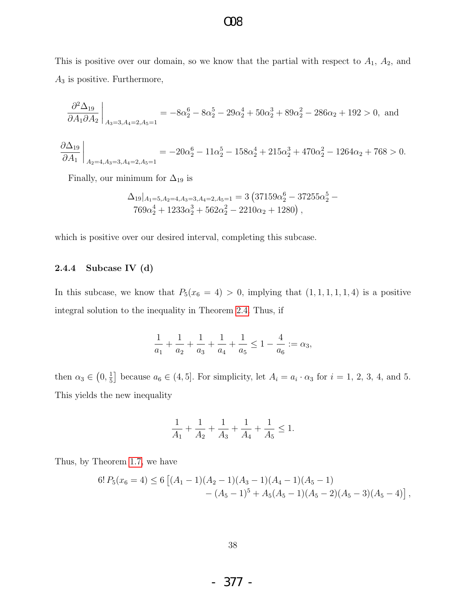This is positive over our domain, so we know that the partial with respect to  $A_1$ ,  $A_2$ , and  $A_3$  is positive. Furthermore,

$$
\frac{\partial^2 \Delta_{19}}{\partial A_1 \partial A_2}\bigg|_{A_3=3, A_4=2, A_5=1} = -8\alpha_2^6 - 8\alpha_2^5 - 29\alpha_2^4 + 50\alpha_2^3 + 89\alpha_2^2 - 286\alpha_2 + 192 > 0, \text{ and}
$$

$$
\frac{\partial \Delta_{19}}{\partial A_1}\bigg|_{A_2=4, A_3=3, A_4=2, A_5=1} = -20\alpha_2^6 - 11\alpha_2^5 - 158\alpha_2^4 + 215\alpha_2^3 + 470\alpha_2^2 - 1264\alpha_2 + 768 > 0.
$$

Finally, our minimum for  $\Delta_{19}$  is

$$
\Delta_{19}|_{A_1=5, A_2=4, A_3=3, A_4=2, A_5=1} = 3 \left(37159 \alpha_2^6 - 37255 \alpha_2^5 - 769 \alpha_2^4 + 1233 \alpha_2^3 + 562 \alpha_2^2 - 2210 \alpha_2 + 1280\right),
$$

which is positive over our desired interval, completing this subcase.

#### 2.4.4 Subcase IV (d)

In this subcase, we know that  $P_5(x_6 = 4) > 0$ , implying that  $(1, 1, 1, 1, 1, 4)$  is a positive integral solution to the inequality in Theorem [2.4.](#page-30-0) Thus, if

$$
\frac{1}{a_1} + \frac{1}{a_2} + \frac{1}{a_3} + \frac{1}{a_4} + \frac{1}{a_5} \le 1 - \frac{4}{a_6} := \alpha_3,
$$

then  $\alpha_3 \in (0, \frac{1}{5})$  $\frac{1}{5}$  because  $a_6 \in (4, 5]$ . For simplicity, let  $A_i = a_i \cdot \alpha_3$  for  $i = 1, 2, 3, 4$ , and 5. This yields the new inequality

$$
\frac{1}{A_1} + \frac{1}{A_2} + \frac{1}{A_3} + \frac{1}{A_4} + \frac{1}{A_5} \le 1.
$$

Thus, by Theorem [1.7,](#page-6-1) we have

$$
6! P_5(x_6 = 4) \le 6 [(A_1 - 1)(A_2 - 1)(A_3 - 1)(A_4 - 1)(A_5 - 1)- (A_5 - 1)^5 + A_5(A_5 - 1)(A_5 - 2)(A_5 - 3)(A_5 - 4)],
$$

- 377 -

### O08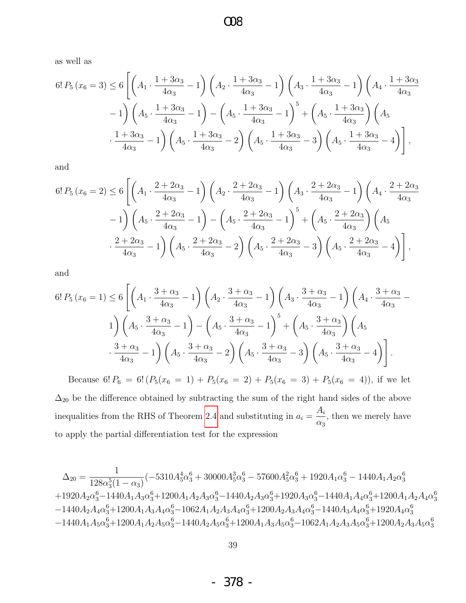$\infty$ 

as well as

$$
6! P_5(x_6 = 3) \le 6 \left[ \left( A_1 \cdot \frac{1 + 3\alpha_3}{4\alpha_3} - 1 \right) \left( A_2 \cdot \frac{1 + 3\alpha_3}{4\alpha_3} - 1 \right) \left( A_3 \cdot \frac{1 + 3\alpha_3}{4\alpha_3} - 1 \right) \left( A_4 \cdot \frac{1 + 3\alpha_3}{4\alpha_3} - 1 \right) - 1 \right] \left( A_5 \cdot \frac{1 + 3\alpha_3}{4\alpha_3} - 1 \right) - \left( A_5 \cdot \frac{1 + 3\alpha_3}{4\alpha_3} - 1 \right)^5 + \left( A_5 \cdot \frac{1 + 3\alpha_3}{4\alpha_3} \right) \left( A_5 \cdot \frac{1 + 3\alpha_3}{4\alpha_3} - 1 \right) \left( A_5 \cdot \frac{1 + 3\alpha_3}{4\alpha_3} - 2 \right) \left( A_5 \cdot \frac{1 + 3\alpha_3}{4\alpha_3} - 3 \right) \left( A_5 \cdot \frac{1 + 3\alpha_3}{4\alpha_3} - 4 \right) \right],
$$

and

$$
6! P_5(x_6 = 2) \le 6 \left[ \left( A_1 \cdot \frac{2 + 2\alpha_3}{4\alpha_3} - 1 \right) \left( A_2 \cdot \frac{2 + 2\alpha_3}{4\alpha_3} - 1 \right) \left( A_3 \cdot \frac{2 + 2\alpha_3}{4\alpha_3} - 1 \right) \left( A_4 \cdot \frac{2 + 2\alpha_3}{4\alpha_3} - 1 \right) - 1 \right] \left( A_5 \cdot \frac{2 + 2\alpha_3}{4\alpha_3} - 1 \right) - \left( A_5 \cdot \frac{2 + 2\alpha_3}{4\alpha_3} - 1 \right)^5 + \left( A_5 \cdot \frac{2 + 2\alpha_3}{4\alpha_3} \right) \left( A_5 \cdot \frac{2 + 2\alpha_3}{4\alpha_3} - 1 \right) \left( A_5 \cdot \frac{2 + 2\alpha_3}{4\alpha_3} - 2 \right) \left( A_5 \cdot \frac{2 + 2\alpha_3}{4\alpha_3} - 3 \right) \left( A_5 \cdot \frac{2 + 2\alpha_3}{4\alpha_3} - 4 \right) \right],
$$

and

$$
6! P_5(x_6 = 1) \le 6 \left[ \left( A_1 \cdot \frac{3 + \alpha_3}{4\alpha_3} - 1 \right) \left( A_2 \cdot \frac{3 + \alpha_3}{4\alpha_3} - 1 \right) \left( A_3 \cdot \frac{3 + \alpha_3}{4\alpha_3} - 1 \right) \left( A_4 \cdot \frac{3 + \alpha_3}{4\alpha_3} - 1 \right) \right] \times \left( A_5 \cdot \frac{3 + \alpha_3}{4\alpha_3} - 1 \right) - \left( A_5 \cdot \frac{3 + \alpha_3}{4\alpha_3} - 1 \right)^5 + \left( A_5 \cdot \frac{3 + \alpha_3}{4\alpha_3} \right) \left( A_5 \cdot \frac{3 + \alpha_3}{4\alpha_3} - 1 \right) \times \left( A_5 \cdot \frac{3 + \alpha_3}{4\alpha_3} - 2 \right) \left( A_5 \cdot \frac{3 + \alpha_3}{4\alpha_3} - 3 \right) \left( A_5 \cdot \frac{3 + \alpha_3}{4\alpha_3} - 4 \right) \right].
$$

Because 6!  $P_6 = 6! (P_5(x_6 = 1) + P_5(x_6 = 2) + P_5(x_6 = 3) + P_5(x_6 = 4))$ , if we let  $\Delta_{20}$  be the difference obtained by subtracting the sum of the right hand sides of the above inequalities from the RHS of Theorem 2.4 and substituting in  $a_i = \frac{A_i}{\alpha_3}$ , then we merely have to apply the partial differentiation test for the expression

$$
\Delta_{20}=\frac{1}{128\alpha_{3}^{5}(1-\alpha_{3})}(-5310A_{5}^{4}\alpha_{3}^{6}+30000A_{5}^{3}\alpha_{3}^{6}-57600A_{5}^{2}\alpha_{3}^{6}+1920A_{1}\alpha_{3}^{6}-1440A_{1}A_{2}\alpha_{3}^{6} \\+1920A_{2}\alpha_{3}^{6}-1440A_{1}A_{3}\alpha_{3}^{6}+1200A_{1}A_{2}A_{3}\alpha_{3}^{6}-1440A_{2}A_{3}\alpha_{3}^{6}+1920A_{3}\alpha_{3}^{6}-1440A_{1}A_{4}\alpha_{3}^{6}+1200A_{1}A_{2}A_{4}\alpha_{3}^{6} \\-1440A_{2}A_{4}\alpha_{3}^{6}+1200A_{1}A_{3}A_{4}\alpha_{3}^{6}-1062A_{1}A_{2}A_{3}A_{4}\alpha_{3}^{6}+1200A_{2}A_{3}A_{4}\alpha_{3}^{6}-1440A_{3}A_{4}\alpha_{3}^{6}+1920A_{4}\alpha_{3}^{6} \\-1440A_{1}A_{5}\alpha_{3}^{6}+1200A_{1}A_{2}A_{5}\alpha_{3}^{6}-1440A_{2}A_{5}\alpha_{3}^{6}+1200A_{1}A_{3}A_{5}\alpha_{3}^{6}-1062A_{1}A_{2}A_{3}A_{5}\alpha_{3}^{6}+1200A_{2}A_{3}A_{5}\alpha_{3}^{6} \label{eq:Delta100}
$$

378 -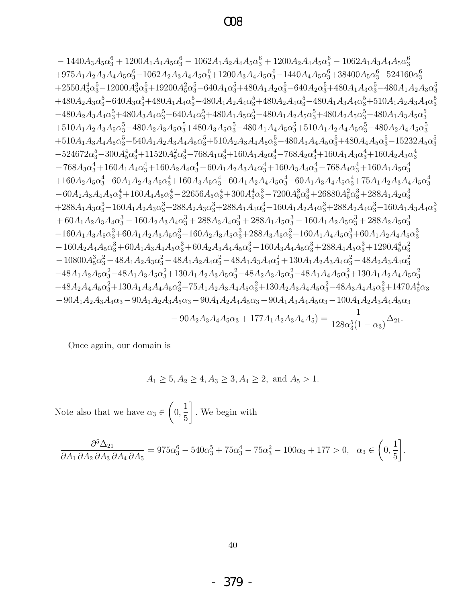$-1440A_3A_5\alpha_3^6+1200A_1A_4A_5\alpha_3^6-1062A_1A_2A_4A_5\alpha_3^6+1200A_2A_4A_5\alpha_3^6-1062A_1A_3A_4A_5\alpha_3^6$  $+975A_1A_2A_3A_4A_5\alpha_3^6-1062A_2A_3A_4A_5\alpha_3^6+1200A_3A_4A_5\alpha_3^6-1440A_4A_5\alpha_3^6+38400A_5\alpha_3^6+524160\alpha_3^6$  $+2550A_5^4\alpha_3^5-12000A_5^3\alpha_3^5+19200A_5^2\alpha_3^5-640A_1\alpha_3^5+480A_1A_2\alpha_3^5-640A_2\alpha_3^5+480A_1A_3\alpha_3^5-480A_1A_2A_3\alpha_3^5$  $+480A_2A_3\alpha_3^5-640A_3\alpha_3^5+480A_1A_4\alpha_3^5-480A_1A_2A_4\alpha_3^5+480A_2A_4\alpha_3^5-480A_1A_3A_4\alpha_3^5+510A_1A_2A_3A_4\alpha_3^5$  $-480A_2A_3A_4\alpha_2^5+480A_3A_4\alpha_2^5-640A_4\alpha_2^5+480A_1A_5\alpha_2^5-480A_1A_2A_5\alpha_2^5+480A_2A_5\alpha_2^5-480A_1A_3A_5\alpha_2^5$  $+510A_1A_2A_3A_5\alpha_2^5-480A_2A_3A_5\alpha_2^5+480A_3A_5\alpha_2^5-480A_1A_4A_5\alpha_2^5+510A_1A_2A_4A_5\alpha_2^5-480A_2A_4A_5\alpha_2^5$  $+510A_1A_3A_4A_5\alpha_3^5-540A_1A_2A_3A_4A_5\alpha_3^5+510A_2A_3A_4A_5\alpha_3^5-480A_3A_4A_5\alpha_3^5+480A_4A_5\alpha_3^5-15232A_5\alpha_3^5$  $-524672\alpha_3^5 - 300A_5^4\alpha_3^4 + 11520A_5^2\alpha_3^4 - 768A_1\alpha_3^4 + 160A_1A_2\alpha_3^4 - 768A_2\alpha_3^4 + 160A_1A_3\alpha_3^4 + 160A_2A_3\alpha_3^4$  $-768A_3\alpha_3^4 + 160A_1A_4\alpha_3^4 + 160A_2A_4\alpha_3^4 - 60A_1A_2A_3A_4\alpha_3^4 + 160A_3A_4\alpha_3^4 - 768A_4\alpha_3^4 + 160A_1A_5\alpha_3^4$  $+160A_2A_5\alpha_3^4-60A_1A_2A_3A_5\alpha_3^4+160A_3A_5\alpha_3^4-60A_1A_2A_4A_5\alpha_3^4-60A_1A_3A_4A_5\alpha_3^4+75A_1A_2A_3A_4A_5\alpha_3^4$  $-60A_2A_3A_4A_5\alpha_3^4 + 160A_4A_5\alpha_3^4 - 22656A_5\alpha_3^4 + 300A_5^4\alpha_3^3 - 7200A_5^3\alpha_3^3 + 26880A_5^2\alpha_3^3 + 288A_1A_2\alpha_3^3$  $+288A_1A_3\alpha_3^3-160A_1A_2A_3\alpha_3^3+288A_2A_3\alpha_3^3+288A_1A_4\alpha_3^3-160A_1A_2A_4\alpha_3^3+288A_2A_4\alpha_3^3-160A_1A_3A_4\alpha_3^3$  $+60A_1A_2A_3A_4\alpha_3^3-160A_2A_3A_4\alpha_3^3+288A_3A_4\alpha_3^3+288A_1A_5\alpha_3^3-160A_1A_2A_5\alpha_3^3+288A_2A_5\alpha_3^3$  $-160A_1A_3A_5\alpha_3^3+60A_1A_2A_3A_5\alpha_3^3-160A_2A_3A_5\alpha_3^3+288A_3A_5\alpha_3^3-160A_1A_4A_5\alpha_3^3+60A_1A_2A_4A_5\alpha_3^3$  $-160A_2A_4A_5\alpha_3^3+60A_1A_3A_4A_5\alpha_3^3+60A_2A_3A_4A_5\alpha_3^3-160A_3A_4A_5\alpha_3^3+288A_4A_5\alpha_3^3+1290A_5^4\alpha_3^3$  $-10800A_5^3\alpha_3^2 - 48A_1A_2A_3\alpha_3^2 - 48A_1A_2A_4\alpha_3^2 - 48A_1A_3A_4\alpha_3^2 + 130A_1A_2A_3A_4\alpha_3^2 - 48A_2A_3A_4\alpha_3^2$  $-48A_1A_2A_5\alpha_3^2-48A_1A_3A_5\alpha_3^2+130A_1A_2A_3A_5\alpha_3^2-48A_2A_3A_5\alpha_3^2-48A_1A_4A_5\alpha_3^2+130A_1A_2A_4A_5\alpha_3^2$  $-48A_2A_4A_5\alpha_3^2+130A_1A_3A_4A_5\alpha_3^2-75A_1A_2A_3A_4A_5\alpha_3^2+130A_2A_3A_4A_5\alpha_3^2-48A_3A_4A_5\alpha_3^2+1470A_5^4\alpha_3$  $-90A_1A_2A_3A_4\alpha_3-90A_1A_2A_3A_5\alpha_3-90A_1A_2A_4A_5\alpha_3-90A_1A_3A_4A_5\alpha_3-100A_1A_2A_3A_4A_5\alpha_3$ 

$$
-90A_2A_3A_4A_5\alpha_3 + 177A_1A_2A_3A_4A_5 = \frac{1}{128\alpha_3^5(1-\alpha_3)}\Delta_{21}
$$

Once again, our domain is

$$
A_1 \ge 5, A_2 \ge 4, A_3 \ge 3, A_4 \ge 2, \text{ and } A_5 > 1.
$$

Note also that we have  $\alpha_3 \in \left(0, \frac{1}{5}\right]$ . We begin with

$$
\frac{\partial^5 \Delta_{21}}{\partial A_1 \partial A_2 \partial A_3 \partial A_4 \partial A_5} = 975\alpha_3^6 - 540\alpha_3^5 + 75\alpha_3^4 - 75\alpha_3^2 - 100\alpha_3 + 177 > 0, \alpha_3 \in \left(0, \frac{1}{5}\right]
$$

- 379 -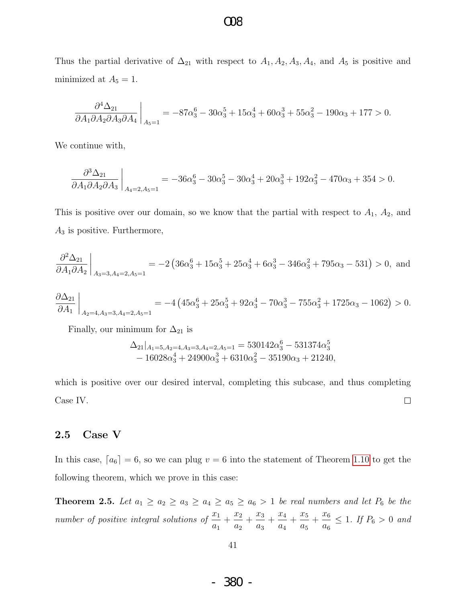Thus the partial derivative of  $\Delta_{21}$  with respect to  $A_1, A_2, A_3, A_4$ , and  $A_5$  is positive and minimized at  $A_5 = 1$ .

$$
\frac{\partial^4 \Delta_{21}}{\partial A_1 \partial A_2 \partial A_3 \partial A_4}\bigg|_{A_5=1} = -87\alpha_3^6 - 30\alpha_3^5 + 15\alpha_3^4 + 60\alpha_3^3 + 55\alpha_3^2 - 190\alpha_3 + 177 > 0.
$$

We continue with,

$$
\frac{\partial^3 \Delta_{21}}{\partial A_1 \partial A_2 \partial A_3} \bigg|_{A_4=2, A_5=1} = -36\alpha_3^6 - 30\alpha_3^5 - 30\alpha_3^4 + 20\alpha_3^3 + 192\alpha_3^2 - 470\alpha_3 + 354 > 0.
$$

This is positive over our domain, so we know that the partial with respect to  $A_1$ ,  $A_2$ , and  $A_3$  is positive. Furthermore,

$$
\frac{\partial^2 \Delta_{21}}{\partial A_1 \partial A_2}\bigg|_{A_3=3, A_4=2, A_5=1} = -2\left(36\alpha_3^6 + 15\alpha_3^5 + 25\alpha_3^4 + 6\alpha_3^3 - 346\alpha_3^2 + 795\alpha_3 - 531\right) > 0, \text{ and}
$$

$$
\frac{\partial \Delta_{21}}{\partial A_1}\bigg|_{A_2=4, A_3=3, A_4=2, A_5=1} = -4\left(45\alpha_3^6 + 25\alpha_3^5 + 92\alpha_3^4 - 70\alpha_3^3 - 755\alpha_3^2 + 1725\alpha_3 - 1062\right) > 0.
$$

Finally, our minimum for  $\Delta_{21}$  is

$$
\Delta_{21}|_{A_1=5, A_2=4, A_3=3, A_4=2, A_5=1} = 530142\alpha_3^6 - 531374\alpha_3^5 - 16028\alpha_3^4 + 24900\alpha_3^3 + 6310\alpha_3^2 - 35190\alpha_3 + 21240,
$$

which is positive over our desired interval, completing this subcase, and thus completing Case IV.  $\Box$ 

#### 2.5 Case V

In this case,  $[a_6] = 6$ , so we can plug  $v = 6$  into the statement of Theorem [1.10](#page-7-0) to get the following theorem, which we prove in this case:

<span id="page-42-0"></span>**Theorem 2.5.** Let  $a_1 \ge a_2 \ge a_3 \ge a_4 \ge a_5 \ge a_6 > 1$  be real numbers and let  $P_6$  be the number of positive integral solutions of  $\frac{x_1}{x_2}$  $a_1$  $+\frac{x_2}{x_1}$  $a_2$  $+\frac{x_3}{x_3}$  $a_3$  $+\frac{x_4}{x_5}$  $a_4$  $+\frac{x_5}{x_5}$  $a_5$  $+\frac{x_6}{}$  $a_6$  $\leq 1$ . If  $P_6 > 0$  and

41

- 380 -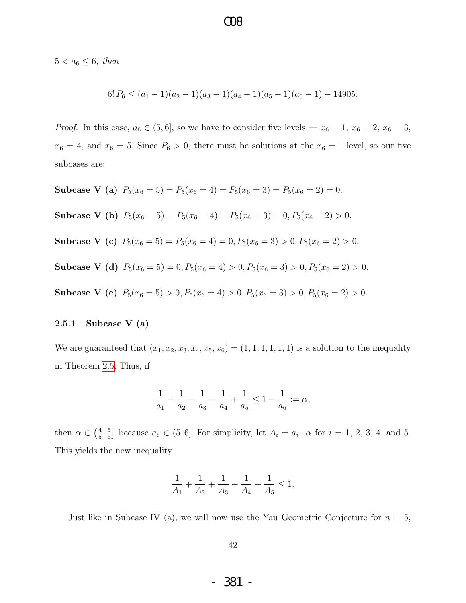$5 < a_6 \leq 6$ , then

$$
6! P_6 \le (a_1 - 1)(a_2 - 1)(a_3 - 1)(a_4 - 1)(a_5 - 1)(a_6 - 1) - 14905.
$$

 $OR$ 

*Proof.* In this case,  $a_6 \in (5, 6]$ , so we have to consider five levels —  $x_6 = 1, x_6 = 2, x_6 = 3$ ,  $x_6 = 4$ , and  $x_6 = 5$ . Since  $P_6 > 0$ , there must be solutions at the  $x_6 = 1$  level, so our five subcases are:

Subcase V (a)  $P_5(x_6 = 5) = P_5(x_6 = 4) = P_5(x_6 = 3) = P_5(x_6 = 2) = 0.$ Subcase V (b)  $P_5(x_6 = 5) = P_5(x_6 = 4) = P_5(x_6 = 3) = 0, P_5(x_6 = 2) > 0.$ Subcase V (c)  $P_5(x_6 = 5) = P_5(x_6 = 4) = 0, P_5(x_6 = 3) > 0, P_5(x_6 = 2) > 0.$ Subcase V (d)  $P_5(x_6 = 5) = 0, P_5(x_6 = 4) > 0, P_5(x_6 = 3) > 0, P_5(x_6 = 2) > 0.$ Subcase V (e)  $P_5(x_6 = 5) > 0, P_5(x_6 = 4) > 0, P_5(x_6 = 3) > 0, P_5(x_6 = 2) > 0.$ 

#### <span id="page-43-0"></span>2.5.1 Subcase V (a)

We are guaranteed that  $(x_1, x_2, x_3, x_4, x_5, x_6) = (1, 1, 1, 1, 1, 1)$  is a solution to the inequality in Theorem [2.5.](#page-42-0) Thus, if

$$
\frac{1}{a_1} + \frac{1}{a_2} + \frac{1}{a_3} + \frac{1}{a_4} + \frac{1}{a_5} \le 1 - \frac{1}{a_6} := \alpha,
$$

then  $\alpha \in \left(\frac{4}{5}\right)$  $\frac{4}{5}, \frac{5}{6}$  $\frac{5}{6}$  because  $a_6 \in (5, 6]$ . For simplicity, let  $A_i = a_i \cdot \alpha$  for  $i = 1, 2, 3, 4$ , and 5. This yields the new inequality

$$
\frac{1}{A_1} + \frac{1}{A_2} + \frac{1}{A_3} + \frac{1}{A_4} + \frac{1}{A_5} \le 1.
$$

Just like in Subcase IV (a), we will now use the Yau Geometric Conjecture for  $n = 5$ ,

42

- 381 -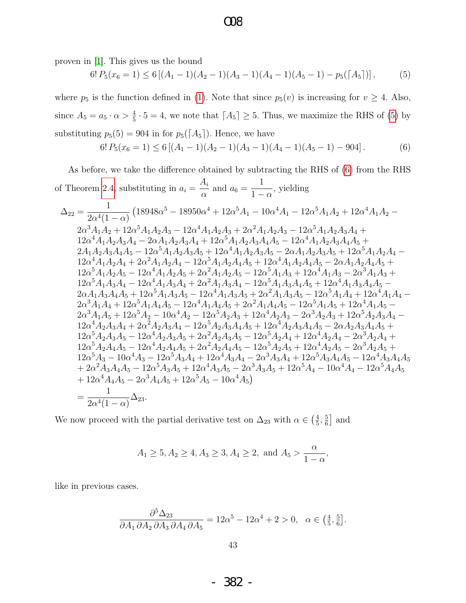$OR$ 

proven in [\[1\]](#page-66-3). This gives us the bound

$$
6! P_5(x_6 = 1) \le 6 [(A_1 - 1)(A_2 - 1)(A_3 - 1)(A_4 - 1)(A_5 - 1) - p_5([A_5])],
$$
 (5)

where  $p_5$  is the function defined in [\(1\)](#page-7-1). Note that since  $p_5(v)$  is increasing for  $v \ge 4$ . Also, since  $A_5 = a_5 \cdot \alpha > \frac{4}{5} \cdot 5 = 4$ , we note that  $[A_5] \geq 5$ . Thus, we maximize the RHS of [\(5\)](#page-43-0) by substituting  $p_5(5) = 904$  in for  $p_5(\lceil A_5 \rceil)$ . Hence, we have

$$
6! P_5(x_6 = 1) \le 6 [(A_1 - 1)(A_2 - 1)(A_3 - 1)(A_4 - 1)(A_5 - 1) - 904]. \tag{6}
$$

As before, we take the difference obtained by subtracting the RHS of [\(6\)](#page-43-0) from the RHS of Theorem [2.4,](#page-30-0) substituting in  $a_i =$  $A_i$  $\frac{a}{\alpha}$  and  $a_6 =$   $1 - \alpha$ , yielding

$$
\Delta_{22} = \frac{1}{2\alpha^{4}(1-\alpha)} \left(18948\alpha^{5}-18950\alpha^{4}+12\alpha^{5}A_{1}-10\alpha^{4}A_{1}-12\alpha^{5}A_{1}A_{2}+12\alpha^{4}A_{1}A_{2}-\right.\\ \left.2\alpha^{3}A_{1}A_{2}+12\alpha^{5}A_{1}A_{2}A_{3}-12\alpha^{4}A_{1}A_{2}A_{3}+2\alpha^{2}A_{1}A_{2}A_{3}-12\alpha^{5}A_{1}A_{2}A_{3}A_{4}+\right.\\ \left.12\alpha^{4}A_{1}A_{2}A_{3}A_{4}-2\alpha A_{1}A_{2}A_{3}A_{4}+12\alpha^{5}A_{1}A_{2}A_{3}A_{4}A_{5}-12\alpha^{4}A_{1}A_{2}A_{3}A_{4}A_{5}+\right.\\ \left.2A_{1}A_{2}A_{3}A_{4}A_{5}-12\alpha^{5}A_{1}A_{2}A_{3}A_{4}+12\alpha^{5}A_{1}A_{2}A_{3}A_{4}A_{5}-12\alpha^{4}A_{1}A_{2}A_{3}A_{5}+12\alpha^{5}A_{1}A_{2}A_{4}A_{5}+\right.\\ \left.2\alpha^{4}A_{1}A_{2}A_{4}+2\alpha^{2}A_{1}A_{2}A_{4}-12\alpha^{5}A_{1}A_{2}A_{4}A_{5}+12\alpha^{4}A_{1}A_{2}A_{4}A_{5}-2\alpha A_{1}A_{2}A_{4}A_{5}+\right.\\ \left.2\alpha^{5}A_{1}A_{2}A_{5}-12\alpha^{4}A_{1}A_{2}A_{5}+2\alpha^{2}A_{1}A_{2}A_{5}-12\alpha^{5}A_{1}A_{3}+12\alpha^{4}A_{1}A_{3}-2\alpha^{3}A_{1}A_{3}+\right.\\ \left.2\alpha^{5}A_{1}A_{3}A_{4}-12\alpha^{5}A_{1}A_{3}A_{4}+2\alpha^{2}A_{1}A_{3}A_{4}-12\alpha^{5}A_{1}A_{3}A_{4}+12\alpha^{4}A_{1}A_{3}A_{4}+12\alpha^{4}A
$$

We now proceed with the partial derivative test on  $\Delta_{23}$  with  $\alpha \in \left(\frac{4}{5}\right)$  $\frac{4}{5}, \frac{5}{6}$  $\frac{5}{6}$  and

$$
A_1 \ge 5, A_2 \ge 4, A_3 \ge 3, A_4 \ge 2, \text{ and } A_5 > \frac{\alpha}{1-\alpha},
$$

like in previous cases.

$$
\frac{\partial^5 \Delta_{23}}{\partial A_1 \partial A_2 \partial A_3 \partial A_4 \partial A_5} = 12\alpha^5 - 12\alpha^4 + 2 > 0, \quad \alpha \in \left(\frac{4}{5}, \frac{5}{6}\right].
$$

- 382 -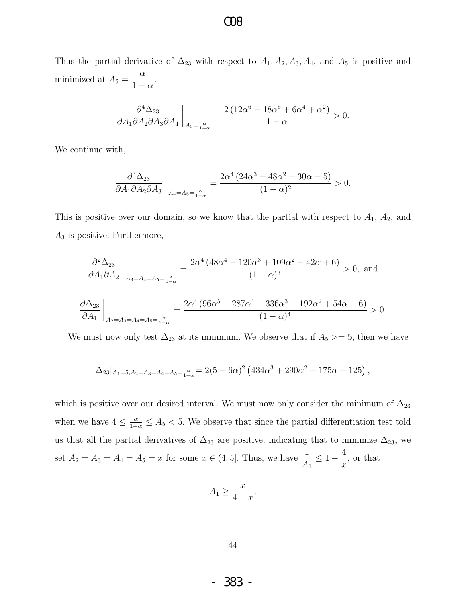Thus the partial derivative of  $\Delta_{23}$  with respect to  $A_1, A_2, A_3, A_4$ , and  $A_5$  is positive and minimized at  $A_5 =$  $\alpha$  $1 - \alpha$ .

O08

$$
\frac{\partial^4 \Delta_{23}}{\partial A_1 \partial A_2 \partial A_3 \partial A_4}\bigg|_{A_5=\frac{\alpha}{1-\alpha}} = \frac{2\left(12\alpha^6 - 18\alpha^5 + 6\alpha^4 + \alpha^2\right)}{1-\alpha} > 0.
$$

We continue with,

$$
\left. \frac{\partial^3 \Delta_{23}}{\partial A_1 \partial A_2 \partial A_3} \right|_{A_4 = A_5 = \frac{\alpha}{1 - \alpha}} = \frac{2\alpha^4 \left( 24\alpha^3 - 48\alpha^2 + 30\alpha - 5 \right)}{(1 - \alpha)^2} > 0.
$$

This is positive over our domain, so we know that the partial with respect to  $A_1$ ,  $A_2$ , and  $A_3$  is positive. Furthermore,

$$
\frac{\partial^2 \Delta_{23}}{\partial A_1 \partial A_2}\Big|_{A_3 = A_4 = A_5 = \frac{\alpha}{1-\alpha}} = \frac{2\alpha^4 \left(48\alpha^4 - 120\alpha^3 + 109\alpha^2 - 42\alpha + 6\right)}{(1-\alpha)^3} > 0, \text{ and}
$$

$$
\left. \frac{\partial \Delta_{23}}{\partial A_1} \right|_{A_2 = A_3 = A_4 = A_5 = \frac{\alpha}{1 - \alpha}} = \frac{2\alpha^4 \left( 96\alpha^5 - 287\alpha^4 + 336\alpha^3 - 192\alpha^2 + 54\alpha - 6 \right)}{(1 - \alpha)^4} > 0.
$$

We must now only test  $\Delta_{23}$  at its minimum. We observe that if  $A_5 \geq 5$ , then we have

$$
\Delta_{23}|_{A_1=5, A_2=A_3=A_4=A_5=\frac{\alpha}{1-\alpha}}=2(5-6\alpha)^2\left(434\alpha^3+290\alpha^2+175\alpha+125\right),
$$

which is positive over our desired interval. We must now only consider the minimum of  $\Delta_{23}$ when we have  $4 \leq \frac{\alpha}{1-\alpha} \leq A_5 < 5$ . We observe that since the partial differentiation test told us that all the partial derivatives of  $\Delta_{23}$  are positive, indicating that to minimize  $\Delta_{23}$ , we set  $A_2 = A_3 = A_4 = A_5 = x$  for some  $x \in (4, 5]$ . Thus, we have  $\frac{1}{4}$  $A_1$  $\leq 1 - \frac{4}{1}$  $\overline{x}$ , or that

$$
A_1 \ge \frac{x}{4-x}.
$$

- 383 -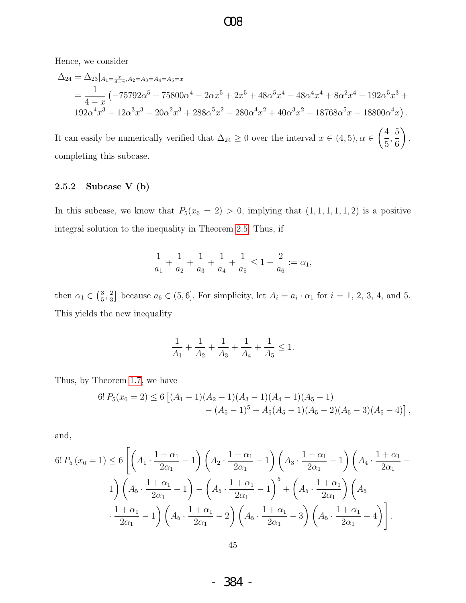Hence, we consider

$$
\Delta_{24} = \Delta_{23}|_{A_1 = \frac{x}{4-x}, A_2 = A_3 = A_4 = A_5 = x}
$$
  
=  $\frac{1}{4-x}$  ( $-75792\alpha^5 + 75800\alpha^4 - 2\alpha x^5 + 2x^5 + 48\alpha^5 x^4 - 48\alpha^4 x^4 + 8\alpha^2 x^4 - 192\alpha^5 x^3 + 192\alpha^4 x^3 - 12\alpha^3 x^3 - 20\alpha^2 x^3 + 288\alpha^5 x^2 - 280\alpha^4 x^2 + 40\alpha^3 x^2 + 18768\alpha^5 x - 18800\alpha^4 x).$ 

It can easily be numerically verified that  $\Delta_{24} \geq 0$  over the interval  $x \in (4,5)$ ,  $\alpha \in$  $\sqrt{4}$ 5 , 5 6  $\setminus$ , completing this subcase.

### 2.5.2 Subcase V (b)

In this subcase, we know that  $P_5(x_6 = 2) > 0$ , implying that  $(1, 1, 1, 1, 1, 2)$  is a positive integral solution to the inequality in Theorem [2.5.](#page-42-0) Thus, if

$$
\frac{1}{a_1} + \frac{1}{a_2} + \frac{1}{a_3} + \frac{1}{a_4} + \frac{1}{a_5} \le 1 - \frac{2}{a_6} := \alpha_1,
$$

then  $\alpha_1 \in \left(\frac{3}{5}\right)$  $\frac{3}{5}, \frac{2}{3}$  $\frac{2}{3}$  because  $a_6 \in (5,6]$ . For simplicity, let  $A_i = a_i \cdot \alpha_1$  for  $i = 1, 2, 3, 4$ , and 5. This yields the new inequality

$$
\frac{1}{A_1} + \frac{1}{A_2} + \frac{1}{A_3} + \frac{1}{A_4} + \frac{1}{A_5} \le 1.
$$

Thus, by Theorem [1.7,](#page-6-1) we have

$$
6! P_5(x_6 = 2) \le 6 [(A_1 - 1)(A_2 - 1)(A_3 - 1)(A_4 - 1)(A_5 - 1)- (A_5 - 1)^5 + A_5(A_5 - 1)(A_5 - 2)(A_5 - 3)(A_5 - 4)],
$$

and,

$$
6! P_5(x_6 = 1) \le 6 \left[ \left( A_1 \cdot \frac{1+\alpha_1}{2\alpha_1} - 1 \right) \left( A_2 \cdot \frac{1+\alpha_1}{2\alpha_1} - 1 \right) \left( A_3 \cdot \frac{1+\alpha_1}{2\alpha_1} - 1 \right) \left( A_4 \cdot \frac{1+\alpha_1}{2\alpha_1} - 1 \right) \right]
$$
  

$$
1 \right) \left( A_5 \cdot \frac{1+\alpha_1}{2\alpha_1} - 1 \right) - \left( A_5 \cdot \frac{1+\alpha_1}{2\alpha_1} - 1 \right)^5 + \left( A_5 \cdot \frac{1+\alpha_1}{2\alpha_1} \right) \left( A_5 \cdot \frac{1+\alpha_1}{2\alpha_1} - 1 \right)
$$
  

$$
\cdot \frac{1+\alpha_1}{2\alpha_1} - 1 \right) \left( A_5 \cdot \frac{1+\alpha_1}{2\alpha_1} - 2 \right) \left( A_5 \cdot \frac{1+\alpha_1}{2\alpha_1} - 3 \right) \left( A_5 \cdot \frac{1+\alpha_1}{2\alpha_1} - 4 \right) \right].
$$

- 384 -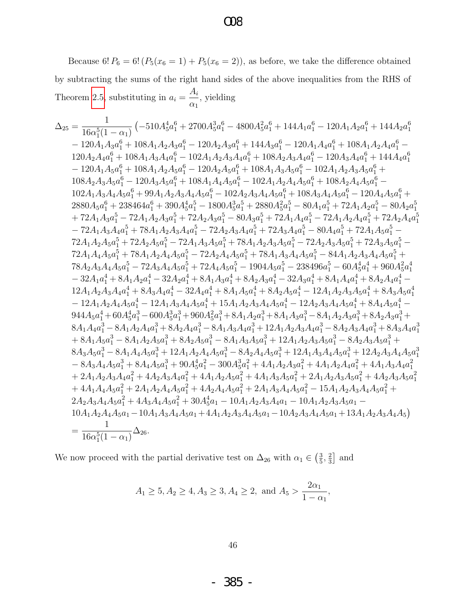### $\infty$

Because 6!  $P_6 = 6! (P_5(x_6 = 1) + P_5(x_6 = 2))$ , as before, we take the difference obtained by subtracting the sums of the right hand sides of the above inequalities from the RHS of Theorem 2.5, substituting in  $a_i = \frac{A_i}{\alpha_1}$ , yielding

$$
\Delta_{25}=\frac{1}{16\alpha_{1}^{5}(1-\alpha_{1})}\left(-510A_{5}^{4}\alpha_{1}^{6}+2700A_{5}^{3}\alpha_{1}^{6}+4800A_{5}^{2}\alpha_{1}^{6}+144A_{1}\alpha_{1}^{6}-120A_{1}A_{2}\alpha_{1}^{6}+144A_{2}\alpha_{1}^{6}}{120A_{2}A_{4}\alpha_{1}^{6}+108A_{1}A_{2}A_{3}\alpha_{1}^{6}-120A_{2}A_{3}\alpha_{1}^{6}+118A_{1}A_{2}A_{3}\alpha_{1}^{6}+108A_{1}A_{2}A_{4}\alpha_{1}^{6}+108A_{1}A_{2}A_{4}\alpha_{1}^{6}+108A_{1}A_{2}A_{4}\alpha_{1}^{6}+108A_{1}A_{2}A_{3}\alpha_{1}^{6}+108A_{1}A_{2}A_{3}\alpha_{1}^{6}+108A_{1}A_{2}A_{3}\alpha_{1}^{6}+108A_{1}A_{2}A_{3}\alpha_{1}^{6}+108A_{1}A_{2}A_{3}\alpha_{1}^{6}+108A_{1}A_{2}A_{3}\alpha_{1}^{6}+108A_{1}A_{2}A_{3}\alpha_{1}^{6}+108A_{1}A_{2}A_{3}\alpha_{1}^{6}+108A_{1}A_{2}A_{3}\alpha_{1}^{6}+108A_{2}A_{3}A_{3}\alpha_{1}^{6}+108A_{2}A_{3}\alpha_{1}^{6}+108A_{2}A_{3}\alpha_{1}^{6}+108A_{2}A_{3}\alpha_{1}^{6}+108A_{2}A_{3}\alpha_{1}^{6}+108A_{2}A_{3}\alpha_{1}^{6}+108A_{2}A_{3}\alpha_{1}^{6}+108A_{2}A_{3}\alpha_{1}^{6}+108A_{2}A_{3}\alpha_{1}^{6}+108A_{2}A_{3}\alpha_{1}^{6}+108A_{2}A_{3}\alpha_{1}^{6}+18A_{2}A_{3}\alpha_{1}^{6}+180A_{3}\alpha_{1}^{6}+180A_{3}\alpha_{1}^{6}+180A_{3
$$

We now proceed with the partial derivative test on  $\Delta_{26}$  with  $\alpha_1 \in \left(\frac{3}{5},\frac{2}{3}\right]$  and

$$
A_1 \ge 5, A_2 \ge 4, A_3 \ge 3, A_4 \ge 2, \text{ and } A_5 > \frac{2\alpha_1}{1 - \alpha_1},
$$

 $46\,$ 

385 -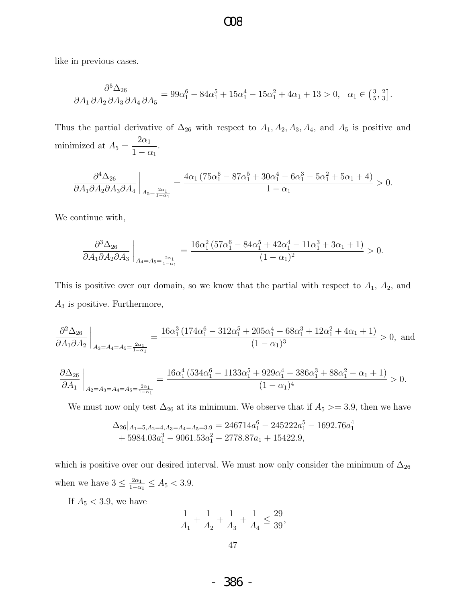like in previous cases.

$$
\frac{\partial^5 \Delta_{26}}{\partial A_1 \partial A_2 \partial A_3 \partial A_4 \partial A_5} = 99\alpha_1^6 - 84\alpha_1^5 + 15\alpha_1^4 - 15\alpha_1^2 + 4\alpha_1 + 13 > 0, \quad \alpha_1 \in \left(\frac{3}{5}, \frac{2}{3}\right].
$$

O08

Thus the partial derivative of  $\Delta_{26}$  with respect to  $A_1, A_2, A_3, A_4$ , and  $A_5$  is positive and minimized at  $A_5 =$  $2\alpha_1$  $1 - \alpha_1$ .

$$
\frac{\partial^4 \Delta_{26}}{\partial A_1 \partial A_2 \partial A_3 \partial A_4}\bigg|_{A_5=\frac{2\alpha_1}{1-\alpha_1}} = \frac{4\alpha_1 \left(75\alpha_1^6 - 87\alpha_1^5 + 30\alpha_1^4 - 6\alpha_1^3 - 5\alpha_1^2 + 5\alpha_1 + 4\right)}{1-\alpha_1} > 0.
$$

We continue with,

$$
\frac{\partial^3 \Delta_{26}}{\partial A_1 \partial A_2 \partial A_3} \bigg|_{A_4 = A_5 = \frac{2\alpha_1}{1 - \alpha_1}} = \frac{16\alpha_1^2 \left(57\alpha_1^6 - 84\alpha_1^5 + 42\alpha_1^4 - 11\alpha_1^3 + 3\alpha_1 + 1\right)}{(1 - \alpha_1)^2} > 0.
$$

This is positive over our domain, so we know that the partial with respect to  $A_1$ ,  $A_2$ , and  $A_3$  is positive. Furthermore,

$$
\frac{\partial^2 \Delta_{26}}{\partial A_1 \partial A_2}\bigg|_{A_3 = A_4 = A_5 = \frac{2\alpha_1}{1 - \alpha_1}} = \frac{16\alpha_1^3 \left(174\alpha_1^6 - 312\alpha_1^5 + 205\alpha_1^4 - 68\alpha_1^3 + 12\alpha_1^2 + 4\alpha_1 + 1\right)}{(1 - \alpha_1)^3} > 0, \text{ and}
$$

$$
\frac{\partial \Delta_{26}}{\partial A_1}\bigg|_{A_2=A_3=A_4=A_5=\frac{2\alpha_1}{1-\alpha_1}}=\frac{16\alpha_1^4 \left(534\alpha_1^6-1133\alpha_1^5+929\alpha_1^4-386\alpha_1^3+88\alpha_1^2-\alpha_1+1\right)}{(1-\alpha_1)^4}>0.
$$

We must now only test  $\Delta_{26}$  at its minimum. We observe that if  $A_5 \geq 3.9$ , then we have

$$
\Delta_{26}|_{A_1=5, A_2=4, A_3=A_4=A_5=3.9} = 246714a_1^6 - 245222a_1^5 - 1692.76a_1^4
$$
  
+ 5984.03a\_1^3 - 9061.53a\_1^2 - 2778.87a\_1 + 15422.9,

which is positive over our desired interval. We must now only consider the minimum of  $\Delta_{26}$ when we have  $3 \leq \frac{2\alpha_1}{1-\alpha}$  $\frac{2\alpha_1}{1-\alpha_1} \leq A_5 < 3.9.$ 

If  $A_5 < 3.9$ , we have

$$
\frac{1}{A_1} + \frac{1}{A_2} + \frac{1}{A_3} + \frac{1}{A_4} \le \frac{29}{39},
$$

- 386 -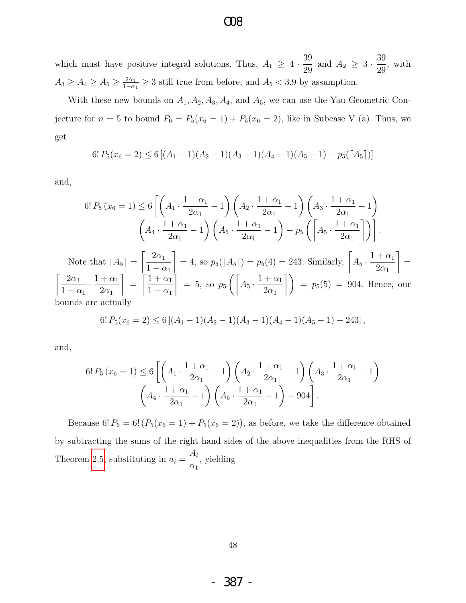which must have positive integral solutions. Thus,  $A_1 \geq 4 \cdot \frac{39}{20}$  $\frac{39}{29}$  and  $A_2 \geq 3 \cdot \frac{39}{29}$ 29 , with  $A_3 \geq A_4 \geq A_5 \geq \frac{2\alpha_1}{1-\alpha}$  $\frac{2\alpha_1}{1-\alpha_1} \geq 3$  still true from before, and  $A_5 < 3.9$  by assumption.

With these new bounds on  $A_1, A_2, A_3, A_4$ , and  $A_5$ , we can use the Yau Geometric Conjecture for  $n = 5$  to bound  $P_6 = P_5(x_6 = 1) + P_5(x_6 = 2)$ , like in Subcase V (a). Thus, we get

$$
6! P_5(x_6 = 2) \le 6 [(A_1 - 1)(A_2 - 1)(A_3 - 1)(A_4 - 1)(A_5 - 1) - p_5([A_5])]
$$

and,

$$
6! P_5(x_6 = 1) \le 6 \left[ \left( A_1 \cdot \frac{1+\alpha_1}{2\alpha_1} - 1 \right) \left( A_2 \cdot \frac{1+\alpha_1}{2\alpha_1} - 1 \right) \left( A_3 \cdot \frac{1+\alpha_1}{2\alpha_1} - 1 \right) \right]
$$
\n
$$
\left( A_4 \cdot \frac{1+\alpha_1}{2\alpha_1} - 1 \right) \left( A_5 \cdot \frac{1+\alpha_1}{2\alpha_1} - 1 \right) - p_5 \left( \left[ A_5 \cdot \frac{1+\alpha_1}{2\alpha_1} \right] \right).
$$
\nNote that 
$$
\left[ A_5 \right] = \left[ \frac{2\alpha_1}{1-\alpha_1} \right] = 4
$$
, so 
$$
p_5(\left[ A_5 \right]) = p_5(4) = 243
$$
. Similarly, 
$$
\left[ A_5 \cdot \frac{1+\alpha_1}{2\alpha_1} \right] = \frac{2\alpha_1}{1-\alpha_1} \cdot \frac{1+\alpha_1}{2\alpha_1} \right] = \left[ \frac{1+\alpha_1}{1-\alpha_1} \right] = 5
$$
, so 
$$
p_5\left( \left[ A_5 \cdot \frac{1+\alpha_1}{2\alpha_1} \right] \right) = p_5(5) = 904
$$
. Hence, our *pounds are actually*

bounds are actually

$$
6! P_5(x_6=2) \leq 6 [(A_1-1)(A_2-1)(A_3-1)(A_4-1)(A_5-1)-243],
$$

and,

 $\sqrt{ }$ 

$$
6! P_5(x_6 = 1) \le 6 \left[ \left( A_1 \cdot \frac{1 + \alpha_1}{2\alpha_1} - 1 \right) \left( A_2 \cdot \frac{1 + \alpha_1}{2\alpha_1} - 1 \right) \left( A_3 \cdot \frac{1 + \alpha_1}{2\alpha_1} - 1 \right) \right. \\
\left. \left( A_4 \cdot \frac{1 + \alpha_1}{2\alpha_1} - 1 \right) \left( A_5 \cdot \frac{1 + \alpha_1}{2\alpha_1} - 1 \right) - 904 \right].
$$

Because 6!  $P_6 = 6! (P_5(x_6 = 1) + P_5(x_6 = 2))$ , as before, we take the difference obtained by subtracting the sums of the right hand sides of the above inequalities from the RHS of Theorem [2.5,](#page-42-0) substituting in  $a_i =$  $A_i$  $\alpha_1$ , yielding

48

- 387 -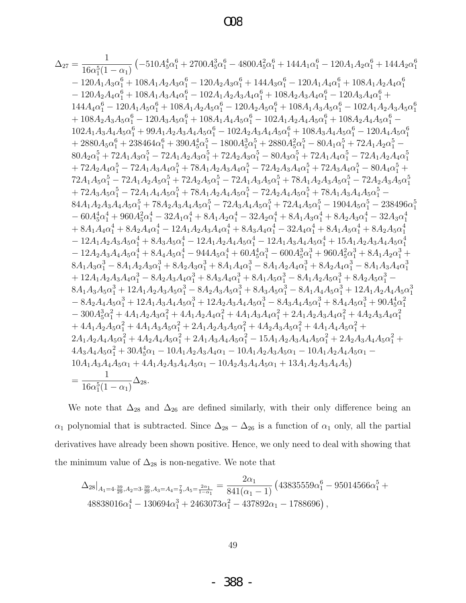$$
\Delta_{27}=\frac{1}{16\alpha_{1}^{5}(1-\alpha_{1})}\left(-510A_{5}^{4}\alpha_{1}^{6}+2700A_{5}^{3}\alpha_{1}^{6}-4800A_{5}^{2}\alpha_{1}^{6}+144A_{1}\alpha_{1}^{6}-120A_{1}A_{2}\alpha_{1}^{6}+144A_{2}\alpha_{1}^{6}}{-120A_{1}A_{3}\alpha_{1}^{6}+108A_{1}A_{2}A_{3}\alpha_{1}^{6}+108A_{1}A_{2}A_{3}\alpha_{1}^{6}+120A_{2}A_{3}\alpha_{1}^{6}+144A_{3}\alpha_{1}^{6}-120A_{1}A_{4}\alpha_{1}^{6}+108A_{1}A_{2}A_{4}\alpha_{1}^{6}}{-120A_{2}A_{3}\alpha_{1}^{6}+108A_{1}A_{2}A_{3}\alpha_{1}^{6}-120A_{2}A_{3}\alpha_{1}^{6}+108A_{1}A_{2}A_{3}A_{4}\alpha_{1}^{6}+108A_{1}A_{2}A_{3}\alpha_{1}^{6}+108A_{1}A_{3}A_{4}\alpha_{1}^{6}+108A_{1}A_{3}A_{4}\alpha_{1}^{6}+108A_{1}A_{3}A_{4}\alpha_{1}^{6}+108A_{1}A_{3}A_{4}\alpha_{1}^{6}+108A_{1}A_{3}A_{4}\alpha_{1}^{6}+108A_{2}A_{3}A_{4}\alpha_{1}^{6}+108A_{2}A_{3}A_{4}\alpha_{1}^{6}+108A_{2}A_{3}A_{4}\alpha_{1}^{6}+108A_{2}A_{3}A_{4}\alpha_{1}^{6}+108A_{2}A_{3}A_{4}\alpha_{1}^{6}+108A_{2}A_{3}A_{4}\alpha_{1}^{6}+108A_{2}A_{3}A_{4}\alpha_{1}^{6}+108A_{2}A_{3}A_{4}\alpha_{1}^{6}+108A_{2}A_{3}A_{4}\alpha_{1}^{6}+108A_{2}A_{3}A_{4}\alpha_{1}^{6}+108A_{2}A_{3}A_{4}\alpha_{1}^{6}+108A_{2}A_{
$$

We note that  $\Delta_{28}$  and  $\Delta_{26}$  are defined similarly, with their only difference being an  $\alpha_1$  polynomial that is subtracted. Since  $\Delta_{28} - \Delta_{26}$  is a function of  $\alpha_1$  only, all the partial derivatives have already been shown positive. Hence, we only need to deal with showing that the minimum value of  $\Delta_{28}$  is non-negative. We note that

$$
\Delta_{28}\big|_{A_1=4\cdot\frac{39}{29},A_2=3\cdot\frac{39}{29},A_3=A_4=\frac{7}{2},A_5=\frac{2\alpha_1}{1-\alpha_1}} = \frac{2\alpha_1}{841(\alpha_1-1)}\left(43835559\alpha_1^6 - 95014566\alpha_1^5 + 48838016\alpha_1^4 - 130694\alpha_1^3 + 2463073\alpha_1^2 - 437892\alpha_1 - 1788696\right),\,
$$

388 -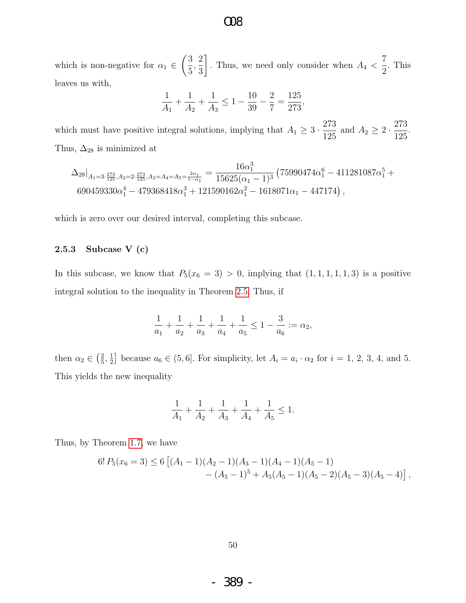which is non-negative for  $\alpha_1 \in$  $\sqrt{3}$ 5 , 2 3 1 . Thus, we need only consider when  $A_4$  < 7 2 . This leaves us with,

$$
\frac{1}{A_1} + \frac{1}{A_2} + \frac{1}{A_3} \le 1 - \frac{10}{39} - \frac{2}{7} = \frac{125}{273},
$$

which must have positive integral solutions, implying that  $A_1 \geq 3 \cdot \frac{273}{105}$  $\frac{273}{125}$  and  $A_2 \ge 2 \cdot \frac{273}{125}$ 125 . Thus,  $\Delta_{28}$  is minimized at

$$
\Delta_{28}\big|_{A_1=3\cdot\frac{273}{125},A_2=2\cdot\frac{273}{125},A_3=A_4=A_5=\frac{2\alpha_1}{1-\alpha_1}}=\frac{16\alpha_1^3}{15625(\alpha_1-1)^3}\left(75990474\alpha_1^6-411281087\alpha_1^5+\\690459330\alpha_1^4-479368418\alpha_1^3+121590162\alpha_1^2-1618071\alpha_1-447174\right),
$$

which is zero over our desired interval, completing this subcase.

#### 2.5.3 Subcase V (c)

In this subcase, we know that  $P_5(x_6 = 3) > 0$ , implying that  $(1, 1, 1, 1, 1, 3)$  is a positive integral solution to the inequality in Theorem [2.5.](#page-42-0) Thus, if

$$
\frac{1}{a_1} + \frac{1}{a_2} + \frac{1}{a_3} + \frac{1}{a_4} + \frac{1}{a_5} \le 1 - \frac{3}{a_6} := \alpha_2,
$$

then  $\alpha_2 \in \left(\frac{2}{5}\right)$  $\frac{2}{5}, \frac{1}{2}$  $\frac{1}{2}$  because  $a_6 \in (5, 6]$ . For simplicity, let  $A_i = a_i \cdot \alpha_2$  for  $i = 1, 2, 3, 4$ , and 5. This yields the new inequality

$$
\frac{1}{A_1} + \frac{1}{A_2} + \frac{1}{A_3} + \frac{1}{A_4} + \frac{1}{A_5} \le 1.
$$

Thus, by Theorem [1.7,](#page-6-1) we have

$$
6! P_5(x_6=3) \le 6 [(A_1-1)(A_2-1)(A_3-1)(A_4-1)(A_5-1)-(A_5-1)^5 + A_5(A_5-1)(A_5-2)(A_5-3)(A_5-4)],
$$

- 389 -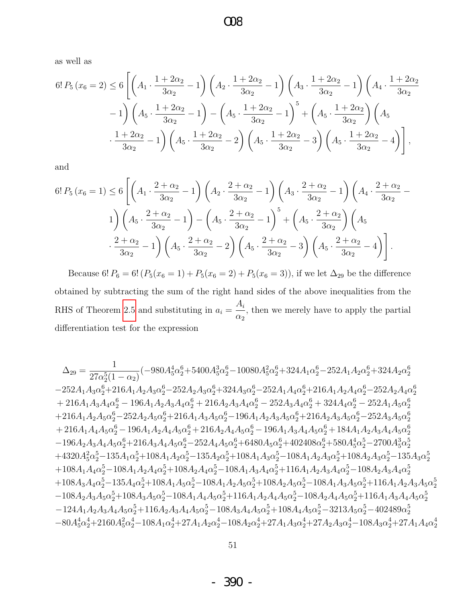as well as

$$
6! P_5(x_6 = 2) \le 6 \left[ \left( A_1 \cdot \frac{1 + 2\alpha_2}{3\alpha_2} - 1 \right) \left( A_2 \cdot \frac{1 + 2\alpha_2}{3\alpha_2} - 1 \right) \left( A_3 \cdot \frac{1 + 2\alpha_2}{3\alpha_2} - 1 \right) \left( A_4 \cdot \frac{1 + 2\alpha_2}{3\alpha_2} - 1 \right) - 1 \right] \left( A_5 \cdot \frac{1 + 2\alpha_2}{3\alpha_2} - 1 \right) - \left( A_5 \cdot \frac{1 + 2\alpha_2}{3\alpha_2} - 1 \right)^5 + \left( A_5 \cdot \frac{1 + 2\alpha_2}{3\alpha_2} \right) \left( A_5 \cdot \frac{1 + 2\alpha_2}{3\alpha_2} - 1 \right) \left( A_5 \cdot \frac{1 + 2\alpha_2}{3\alpha_2} - 2 \right) \left( A_5 \cdot \frac{1 + 2\alpha_2}{3\alpha_2} - 3 \right) \left( A_5 \cdot \frac{1 + 2\alpha_2}{3\alpha_2} - 4 \right) \right],
$$

and

$$
6! P_5(x_6 = 1) \le 6 \left[ \left( A_1 \cdot \frac{2 + \alpha_2}{3\alpha_2} - 1 \right) \left( A_2 \cdot \frac{2 + \alpha_2}{3\alpha_2} - 1 \right) \left( A_3 \cdot \frac{2 + \alpha_2}{3\alpha_2} - 1 \right) \left( A_4 \cdot \frac{2 + \alpha_2}{3\alpha_2} - 1 \right) \right] \times \left( A_5 \cdot \frac{2 + \alpha_2}{3\alpha_2} - 1 \right) - \left( A_5 \cdot \frac{2 + \alpha_2}{3\alpha_2} - 1 \right)^5 + \left( A_5 \cdot \frac{2 + \alpha_2}{3\alpha_2} \right) \left( A_5 \cdot \frac{2 + \alpha_2}{3\alpha_2} - 1 \right) \times \left( A_5 \cdot \frac{2 + \alpha_2}{3\alpha_2} - 2 \right) \left( A_5 \cdot \frac{2 + \alpha_2}{3\alpha_2} - 3 \right) \left( A_5 \cdot \frac{2 + \alpha_2}{3\alpha_2} - 4 \right) \right].
$$

Because 6!  $P_6 = 6! (P_5(x_6 = 1) + P_5(x_6 = 2) + P_5(x_6 = 3))$ , if we let  $\Delta_{29}$  be the difference obtained by subtracting the sum of the right hand sides of the above inequalities from the RHS of Theorem [2.5](#page-42-0) and substituting in  $a_i =$  $A_i$  $\alpha_2$ , then we merely have to apply the partial differentiation test for the expression

$$
\Delta_{29}=\frac{1}{27\alpha_{2}^{5}(1-\alpha_{2})}(-980A_{5}^{4}\alpha_{2}^{6}+5400A_{5}^{3}\alpha_{2}^{6}-10080A_{5}^{2}\alpha_{2}^{6}+324A_{1}\alpha_{2}^{6}-252A_{1}A_{2}\alpha_{2}^{6}+324A_{2}\alpha_{2}^{6}\\-252A_{1}A_{3}\alpha_{2}^{6}+216A_{1}A_{2}A_{3}\alpha_{2}^{6}-252A_{2}A_{3}\alpha_{2}^{6}+324A_{3}\alpha_{2}^{6}-252A_{1}A_{4}\alpha_{2}^{6}+216A_{1}A_{2}A_{4}\alpha_{2}^{6}-252A_{2}A_{4}\alpha_{2}^{6}\\+216A_{1}A_{3}A_{4}\alpha_{2}^{6}-196A_{1}A_{2}A_{3}A_{4}\alpha_{2}^{6}+216A_{2}A_{3}A_{4}\alpha_{2}^{6}-252A_{3}A_{4}\alpha_{2}^{6}+324A_{4}\alpha_{2}^{6}-252A_{1}A_{5}\alpha_{2}^{6}\\+216A_{1}A_{2}A_{5}\alpha_{2}^{6}-252A_{2}A_{5}\alpha_{2}^{6}+216A_{1}A_{3}A_{5}\alpha_{2}^{6}-196A_{1}A_{2}A_{3}A_{5}\alpha_{2}^{6}+216A_{2}A_{3}A_{5}\alpha_{2}^{6}-252A_{3}A_{5}\alpha_{2}^{6}\\+216A_{1}A_{4}A_{5}\alpha_{2}^{6}-196A_{1}A_{2}A_{4}A_{5}\alpha_{2}^{6}+216A_{2}A_{4}A_{5}\alpha_{2}^{6}-196A_{1}A_{3}A_{4}A_{5}\alpha_{2}^{6}+184A_{1}A_{2}A_{3}A_{4}A_{5}\alpha_{2}^{6}\\-196A_{2}A_{3}A_{4}A_{5}\alpha_{2}^{6}+216A_{3}A_{4}A_{5}\alpha_{2}^{6}+216A_{2}A_{4}A_{5}\alpha_{2}^{6}+196A_{1}A_{3}A_{4}A_{5}\alpha_{2}^{6}+184A_{1}A_{2
$$

- 390 -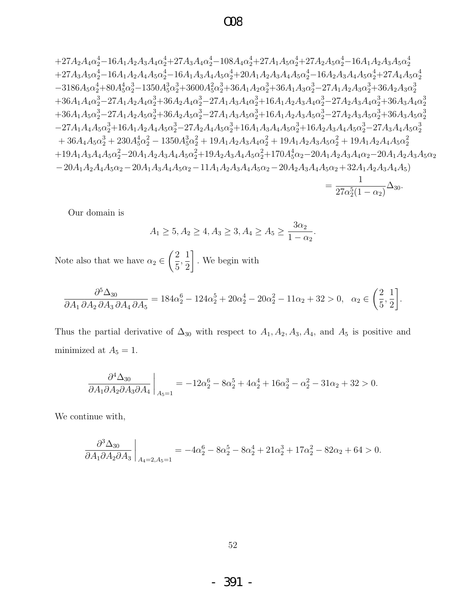### $\Omega$

$$
+27A_{2}A_{4}\alpha _{2}^{4}-16A_{1}A_{2}A_{3}A_{4}\alpha _{2}^{4}+27A_{3}A_{4}\alpha _{2}^{4}-108A_{4}\alpha _{2}^{4}+27A_{1}A_{5}\alpha _{2}^{4}+27A_{2}A_{5}\alpha _{2}^{4}-16A_{1}A_{2}A_{3}A_{5}\alpha _{2}^{4} +27A_{3}A_{5}\alpha _{2}^{4}-16A_{1}A_{2}A_{4}A_{5}\alpha _{2}^{4}-16A_{1}A_{3}A_{4}A_{5}\alpha _{2}^{4}+20A_{1}A_{2}A_{3}A_{4}A_{5}\alpha _{2}^{4}-16A_{2}A_{3}A_{4}A_{5}\alpha _{2}^{4}+27A_{4}A_{5}\alpha _{2}^{4} -3186A_{5}\alpha _{2}^{4}+80A_{5}^{4}\alpha _{2}^{3}-1350A_{5}^{3}\alpha _{2}^{3}+3600A_{5}^{2}\alpha _{2}^{3}+36A_{1}A_{2}\alpha _{2}^{3}+36A_{1}A_{3}\alpha _{2}^{3}-27A_{1}A_{2}A_{3}\alpha _{2}^{3}+36A_{2}A_{3}\alpha _{2}^{3}
$$
  
+36A\_{1}A\_{4}\alpha \_{2}^{3}-27A\_{1}A\_{2}A\_{4}\alpha \_{2}^{3}+36A\_{2}A\_{4}\alpha \_{2}^{3}-27A\_{1}A\_{3}A\_{4}\alpha \_{2}^{3}+16A\_{1}A\_{2}A\_{3}A\_{4}\alpha \_{2}^{3}-27A\_{2}A\_{3}A\_{4}\alpha \_{2}^{3}+36A\_{3}A\_{4}\alpha \_{2}^{3}  
+36A\_{1}A\_{5}\alpha \_{2}^{3}-27A\_{1}A\_{2}A\_{5}\alpha \_{2}^{3}+36A\_{2}A\_{5}\alpha \_{2}^{3}-27A\_{1}A\_{3}A\_{4}\alpha \_{2}^{3}+16A\_{1}A\_{2}A\_{3}A\_{4}\alpha \_{2}^{3}-27A\_{2}A\_{3}A\_{4}\alpha \_{2}^{3}+36A\_{3}A\_{5}\alpha \_{2}^{3}  
+36

Our domain is

$$
A_1 \ge 5, A_2 \ge 4, A_3 \ge 3, A_4 \ge A_5 \ge \frac{3\alpha_2}{1 - \alpha_2}.
$$

Note also that we have  $\alpha_2\in \left(\frac{2}{5},\frac{1}{2}\right].$  We begin with

$$
\frac{\partial^5 \Delta_{30}}{\partial A_1 \partial A_2 \partial A_3 \partial A_4 \partial A_5} = 184\alpha_2^6 - 124\alpha_2^5 + 20\alpha_2^4 - 20\alpha_2^2 - 11\alpha_2 + 32 > 0, \quad \alpha_2 \in \left(\frac{2}{5}, \frac{1}{2}\right].
$$

Thus the partial derivative of  $\Delta_{30}$  with respect to  $A_1, A_2, A_3, A_4$ , and  $A_5$  is positive and minimized at  $A_5 = 1$ .

$$
\frac{\partial^4 \Delta_{30}}{\partial A_1 \partial A_2 \partial A_3 \partial A_4}\bigg|_{A_5=1} = -12\alpha_2^6 - 8\alpha_2^5 + 4\alpha_2^4 + 16\alpha_2^3 - \alpha_2^2 - 31\alpha_2 + 32 > 0.
$$

We continue with,

$$
\left. \frac{\partial^3 \Delta_{30}}{\partial A_1 \partial A_2 \partial A_3} \right|_{A_4=2, A_5=1} = -4\alpha_2^6 - 8\alpha_2^5 - 8\alpha_2^4 + 21\alpha_2^3 + 17\alpha_2^2 - 82\alpha_2 + 64 > 0
$$

391 - $\equiv$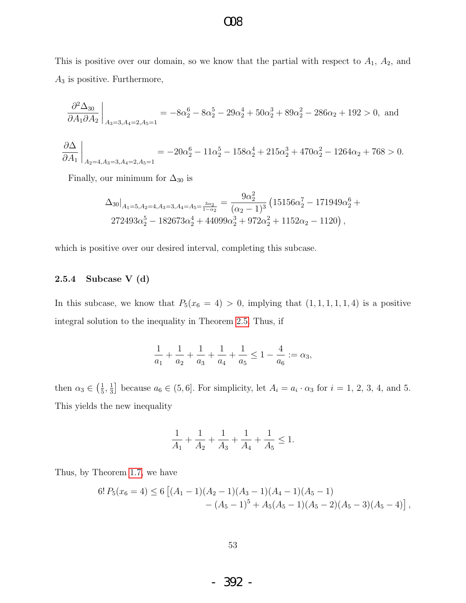This is positive over our domain, so we know that the partial with respect to  $A_1$ ,  $A_2$ , and  $A_3$  is positive. Furthermore,

$$
\frac{\partial^2 \Delta_{30}}{\partial A_1 \partial A_2}\bigg|_{A_3=3, A_4=2, A_5=1} = -8\alpha_2^6 - 8\alpha_2^5 - 29\alpha_2^4 + 50\alpha_2^3 + 89\alpha_2^2 - 286\alpha_2 + 192 > 0, \text{ and}
$$

$$
\frac{\partial \Delta}{\partial A_1}\bigg|_{A_2=4, A_3=3, A_4=2, A_5=1} = -20\alpha_2^6 - 11\alpha_2^5 - 158\alpha_2^4 + 215\alpha_2^3 + 470\alpha_2^2 - 1264\alpha_2 + 768 > 0.
$$

Finally, our minimum for  $\Delta_{30}$  is

$$
\Delta_{30}|_{A_1=5, A_2=4, A_3=3, A_4=A_5=\frac{3\alpha_2}{1-\alpha_2}} = \frac{9\alpha_2^2}{(\alpha_2-1)^3} \left(15156\alpha_2^7 - 171949\alpha_2^6 + 272493\alpha_2^5 - 182673\alpha_2^4 + 44099\alpha_2^3 + 972\alpha_2^2 + 1152\alpha_2 - 1120\right),
$$

which is positive over our desired interval, completing this subcase.

#### 2.5.4 Subcase V (d)

In this subcase, we know that  $P_5(x_6 = 4) > 0$ , implying that  $(1, 1, 1, 1, 1, 4)$  is a positive integral solution to the inequality in Theorem [2.5.](#page-42-0) Thus, if

$$
\frac{1}{a_1} + \frac{1}{a_2} + \frac{1}{a_3} + \frac{1}{a_4} + \frac{1}{a_5} \le 1 - \frac{4}{a_6} := \alpha_3,
$$

then  $\alpha_3 \in \left(\frac{1}{5}\right)$  $\frac{1}{5}, \frac{1}{3}$  $\frac{1}{3}$  because  $a_6 \in (5,6]$ . For simplicity, let  $A_i = a_i \cdot \alpha_3$  for  $i = 1, 2, 3, 4$ , and 5. This yields the new inequality

$$
\frac{1}{A_1}+\frac{1}{A_2}+\frac{1}{A_3}+\frac{1}{A_4}+\frac{1}{A_5}\leq 1.
$$

Thus, by Theorem [1.7,](#page-6-1) we have

$$
6! P_5(x_6 = 4) \le 6 [(A_1 - 1)(A_2 - 1)(A_3 - 1)(A_4 - 1)(A_5 - 1)- (A_5 - 1)^5 + A_5(A_5 - 1)(A_5 - 2)(A_5 - 3)(A_5 - 4)],
$$

- 392 -

### O08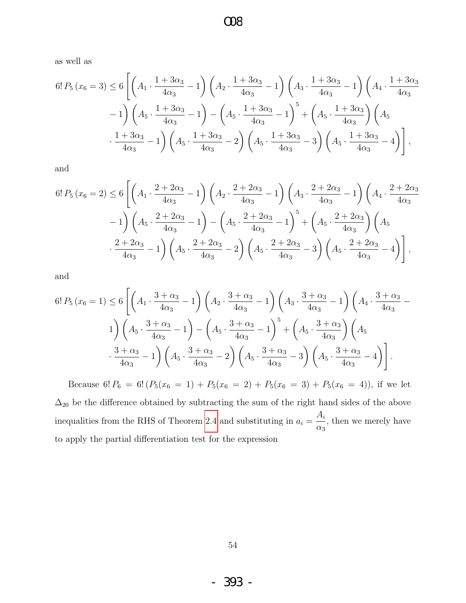$\infty$ 

as well as

$$
6! P_5(x_6 = 3) \le 6 \left[ \left( A_1 \cdot \frac{1 + 3\alpha_3}{4\alpha_3} - 1 \right) \left( A_2 \cdot \frac{1 + 3\alpha_3}{4\alpha_3} - 1 \right) \left( A_3 \cdot \frac{1 + 3\alpha_3}{4\alpha_3} - 1 \right) \left( A_4 \cdot \frac{1 + 3\alpha_3}{4\alpha_3} - 1 \right) - 1 \right] \left( A_5 \cdot \frac{1 + 3\alpha_3}{4\alpha_3} - 1 \right) - \left( A_5 \cdot \frac{1 + 3\alpha_3}{4\alpha_3} - 1 \right)^5 + \left( A_5 \cdot \frac{1 + 3\alpha_3}{4\alpha_3} \right) \left( A_5 \cdot \frac{1 + 3\alpha_3}{4\alpha_3} - 1 \right) \left( A_5 \cdot \frac{1 + 3\alpha_3}{4\alpha_3} - 2 \right) \left( A_5 \cdot \frac{1 + 3\alpha_3}{4\alpha_3} - 3 \right) \left( A_5 \cdot \frac{1 + 3\alpha_3}{4\alpha_3} - 4 \right) \right],
$$

and

$$
6! P_5(x_6 = 2) \le 6 \left[ \left( A_1 \cdot \frac{2 + 2\alpha_3}{4\alpha_3} - 1 \right) \left( A_2 \cdot \frac{2 + 2\alpha_3}{4\alpha_3} - 1 \right) \left( A_3 \cdot \frac{2 + 2\alpha_3}{4\alpha_3} - 1 \right) \left( A_4 \cdot \frac{2 + 2\alpha_3}{4\alpha_3} - 1 \right) - 1 \right] \left( A_5 \cdot \frac{2 + 2\alpha_3}{4\alpha_3} - 1 \right) - \left( A_5 \cdot \frac{2 + 2\alpha_3}{4\alpha_3} - 1 \right)^5 + \left( A_5 \cdot \frac{2 + 2\alpha_3}{4\alpha_3} \right) \left( A_5 \cdot \frac{2 + 2\alpha_3}{4\alpha_3} - 1 \right) \left( A_5 \cdot \frac{2 + 2\alpha_3}{4\alpha_3} - 2 \right) \left( A_5 \cdot \frac{2 + 2\alpha_3}{4\alpha_3} - 3 \right) \left( A_5 \cdot \frac{2 + 2\alpha_3}{4\alpha_3} - 4 \right) \right],
$$

and

$$
6! P_5(x_6 = 1) \le 6 \left[ \left( A_1 \cdot \frac{3 + \alpha_3}{4\alpha_3} - 1 \right) \left( A_2 \cdot \frac{3 + \alpha_3}{4\alpha_3} - 1 \right) \left( A_3 \cdot \frac{3 + \alpha_3}{4\alpha_3} - 1 \right) \left( A_4 \cdot \frac{3 + \alpha_3}{4\alpha_3} - 1 \right) \right] \times \left( A_5 \cdot \frac{3 + \alpha_3}{4\alpha_3} - 1 \right) - \left( A_5 \cdot \frac{3 + \alpha_3}{4\alpha_3} - 1 \right)^5 + \left( A_5 \cdot \frac{3 + \alpha_3}{4\alpha_3} \right) \left( A_5 \cdot \frac{3 + \alpha_3}{4\alpha_3} - 1 \right) \times \left( A_5 \cdot \frac{3 + \alpha_3}{4\alpha_3} - 2 \right) \left( A_5 \cdot \frac{3 + \alpha_3}{4\alpha_3} - 3 \right) \left( A_5 \cdot \frac{3 + \alpha_3}{4\alpha_3} - 4 \right) \right].
$$

Because 6!  $P_6 = 6! (P_5(x_6 = 1) + P_5(x_6 = 2) + P_5(x_6 = 3) + P_5(x_6 = 4))$ , if we let  $\Delta_{20}$  be the difference obtained by subtracting the sum of the right hand sides of the above inequalities from the RHS of Theorem 2.4 and substituting in  $a_i = \frac{A_i}{\alpha_3}$ , then we merely have to apply the partial differentiation test for the expression

393 -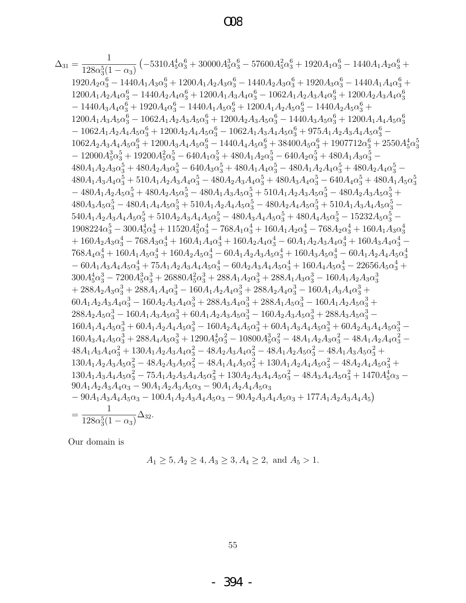## $\infty$

$$
\Delta_{31}=\frac{1}{128\alpha_{3}^{2}(1-\alpha_{3})}\left(-5310A_{3}^{4}\alpha_{3}^{6}+30000A_{3}^{3}\alpha_{3}^{6}-57600A_{5}^{2}\alpha_{3}^{6}+1920A_{1}\alpha_{3}^{6}-1440A_{1}A_{2}\alpha_{3}^{6}+1920A_{1}\alpha_{3}^{6}-1440A_{1}A_{2}\alpha_{3}^{6}+1200A_{1}A_{2}A_{3}\alpha_{3}^{6}+1200A_{1}A_{2}A_{3}\alpha_{3}^{6}+1920A_{3}\alpha_{3}^{6}-1440A_{1}A_{4}\alpha_{3}^{6}+1200A_{1}A_{2}A_{3}\alpha_{3}^{6}+1200A_{1}A_{2}A_{3}\alpha_{3}^{6}+1200A_{2}A_{3}A_{3}\alpha_{3}^{6}+1200A_{2}A_{3}A_{3}\alpha_{3}^{6}+1200A_{2}A_{3}A_{3}\alpha_{3}^{6}+1200A_{2}A_{3}A_{3}\alpha_{3}^{6}+1200A_{1}A_{2}A_{3}\alpha_{3}^{6}+1200A_{1}A_{2}A_{3}\alpha_{3}^{6}+1200A_{1}A_{2}A_{3}\alpha_{3}^{6}+1200A_{1}A_{2}A_{3}\alpha_{3}^{6}+1200A_{1}A_{2}A_{3}\alpha_{3}^{6}+1200A_{1}A_{2}A_{3}\alpha_{3}^{6}+1200A_{1}A_{2}A_{3}\alpha_{3}^{6}+1200A_{1}A_{2}A_{3}\alpha_{3}^{6}+1200A_{1}A_{2}A_{3}\alpha_{3}^{6}+1200A_{2}A_{3}A_{3}\alpha_{3}^{6}+1200A_{2}A_{3}A_{3}\alpha_{3}^{6}+1200A_{1}A_{3}A_{3}\alpha_{3}^{6}+1200A_{1}A_{3}A_{3}\alpha_{3}^{6}+1200A_{1}A_{3}A_{3}\alpha_{3}^{6}+1200A_{2}A_{3}A_{3}\alpha_{3}^{6}+1200A_{2}A_{3}A_{
$$

Our domain is  $% \left\vert \cdot \right\vert$ 

$$
A_1 \ge 5, A_2 \ge 4, A_3 \ge 3, A_4 \ge 2, \text{ and } A_5 > 1.
$$

 $55\,$ 

 $-394$  -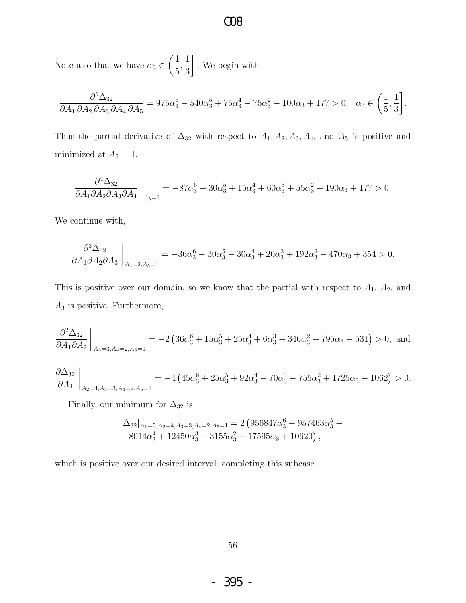Note also that we have  $\alpha_3 \in$  $\sqrt{1}$ 5 , 1 3 1 . We begin with

$$
\frac{\partial^5 \Delta_{32}}{\partial A_1 \partial A_2 \partial A_3 \partial A_4 \partial A_5} = 975\alpha_3^6 - 540\alpha_3^5 + 75\alpha_3^4 - 75\alpha_3^2 - 100\alpha_3 + 177 > 0, \quad \alpha_3 \in \left(\frac{1}{5}, \frac{1}{3}\right].
$$

Thus the partial derivative of  $\Delta_{32}$  with respect to  $A_1, A_2, A_3, A_4$ , and  $A_5$  is positive and minimized at  $A_5 = 1$ .

$$
\frac{\partial^4 \Delta_{32}}{\partial A_1 \partial A_2 \partial A_3 \partial A_4}\bigg|_{A_5=1} = -87\alpha_3^6 - 30\alpha_3^5 + 15\alpha_3^4 + 60\alpha_3^3 + 55\alpha_3^2 - 190\alpha_3 + 177 > 0.
$$

We continue with,

$$
\frac{\partial^3 \Delta_{32}}{\partial A_1 \partial A_2 \partial A_3}\bigg|_{A_4=2, A_5=1} = -36\alpha_3^6 - 30\alpha_3^5 - 30\alpha_3^4 + 20\alpha_3^3 + 192\alpha_3^2 - 470\alpha_3 + 354 > 0.
$$

This is positive over our domain, so we know that the partial with respect to  $A_1$ ,  $A_2$ , and  $A_3$  is positive. Furthermore,

$$
\frac{\partial^2 \Delta_{32}}{\partial A_1 \partial A_2}\bigg|_{A_3=3, A_4=2, A_5=1} = -2\left(36\alpha_3^6 + 15\alpha_3^5 + 25\alpha_3^4 + 6\alpha_3^3 - 346\alpha_3^2 + 795\alpha_3 - 531\right) > 0, \text{ and}
$$

$$
\frac{\partial \Delta_{32}}{\partial A_1}\bigg|_{A_2=4, A_3=3, A_4=2, A_5=1} = -4\left(45\alpha_3^6 + 25\alpha_3^5 + 92\alpha_3^4 - 70\alpha_3^3 - 755\alpha_3^2 + 1725\alpha_3 - 1062\right) > 0.
$$

Finally, our minimum for  $\Delta_{32}$  is

$$
\Delta_{32}|_{A_1=5, A_2=4, A_3=3, A_4=2, A_5=1} = 2 \left( 956847 \alpha_3^6 - 957463 \alpha_3^5 - 8014 \alpha_3^4 + 12450 \alpha_3^3 + 3155 \alpha_3^2 - 17595 \alpha_3 + 10620 \right),
$$

which is positive over our desired interval, completing this subcase.

- 395 -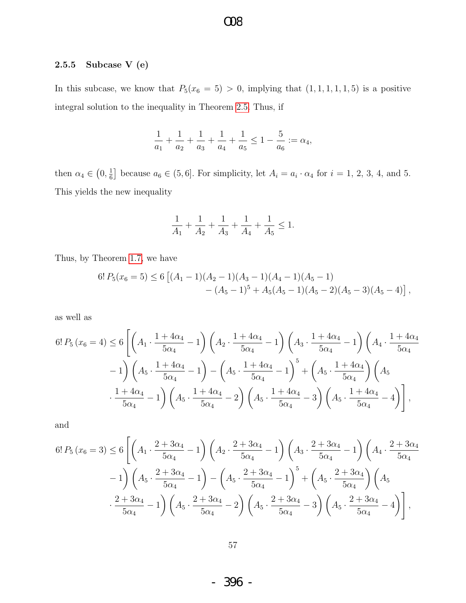### $\infty$

#### Subcase V (e)  $\bf 2.5.5$

In this subcase, we know that  $P_5(x_6 = 5) > 0$ , implying that  $(1, 1, 1, 1, 1, 5)$  is a positive integral solution to the inequality in Theorem 2.5. Thus, if

$$
\frac{1}{a_1} + \frac{1}{a_2} + \frac{1}{a_3} + \frac{1}{a_4} + \frac{1}{a_5} \le 1 - \frac{5}{a_6} := \alpha_4,
$$

then  $\alpha_4 \in (0, \frac{1}{6}]$  because  $a_6 \in (5, 6]$ . For simplicity, let  $A_i = a_i \cdot \alpha_4$  for  $i = 1, 2, 3, 4$ , and 5. This yields the new inequality

$$
\frac{1}{A_1}+\frac{1}{A_2}+\frac{1}{A_3}+\frac{1}{A_4}+\frac{1}{A_5}\leq 1.
$$

Thus, by Theorem 1.7, we have

$$
6! P_5(x_6=5) \le 6 [(A_1-1)(A_2-1)(A_3-1)(A_4-1)(A_5-1)-(A_5-1)^5 + A_5(A_5-1)(A_5-2)(A_5-3)(A_5-4)],
$$

as well as

$$
6! P_5(x_6 = 4) \le 6 \left[ \left( A_1 \cdot \frac{1 + 4\alpha_4}{5\alpha_4} - 1 \right) \left( A_2 \cdot \frac{1 + 4\alpha_4}{5\alpha_4} - 1 \right) \left( A_3 \cdot \frac{1 + 4\alpha_4}{5\alpha_4} - 1 \right) \left( A_4 \cdot \frac{1 + 4\alpha_4}{5\alpha_4} - 1 \right) \right] - 1 \left( A_5 \cdot \frac{1 + 4\alpha_4}{5\alpha_4} - 1 \right) - \left( A_5 \cdot \frac{1 + 4\alpha_4}{5\alpha_4} - 1 \right)^5 + \left( A_5 \cdot \frac{1 + 4\alpha_4}{5\alpha_4} \right) \left( A_5 \cdot \frac{1 + 4\alpha_4}{5\alpha_4} - 1 \right) \left( A_5 \cdot \frac{1 + 4\alpha_4}{5\alpha_4} - 2 \right) \left( A_5 \cdot \frac{1 + 4\alpha_4}{5\alpha_4} - 3 \right) \left( A_5 \cdot \frac{1 + 4\alpha_4}{5\alpha_4} - 4 \right) \right],
$$

and

$$
6! P_5(x_6 = 3) \le 6 \left[ \left( A_1 \cdot \frac{2 + 3\alpha_4}{5\alpha_4} - 1 \right) \left( A_2 \cdot \frac{2 + 3\alpha_4}{5\alpha_4} - 1 \right) \left( A_3 \cdot \frac{2 + 3\alpha_4}{5\alpha_4} - 1 \right) \left( A_4 \cdot \frac{2 + 3\alpha_4}{5\alpha_4} - 1 \right) \right] - 1 \left( A_5 \cdot \frac{2 + 3\alpha_4}{5\alpha_4} - 1 \right) - \left( A_5 \cdot \frac{2 + 3\alpha_4}{5\alpha_4} - 1 \right)^5 + \left( A_5 \cdot \frac{2 + 3\alpha_4}{5\alpha_4} \right) \left( A_5 \cdot \frac{2 + 3\alpha_4}{5\alpha_4} - 1 \right) \left( A_5 \cdot \frac{2 + 3\alpha_4}{5\alpha_4} - 2 \right) \left( A_5 \cdot \frac{2 + 3\alpha_4}{5\alpha_4} - 3 \right) \left( A_5 \cdot \frac{2 + 3\alpha_4}{5\alpha_4} - 4 \right) \right],
$$

396 - $\blacksquare$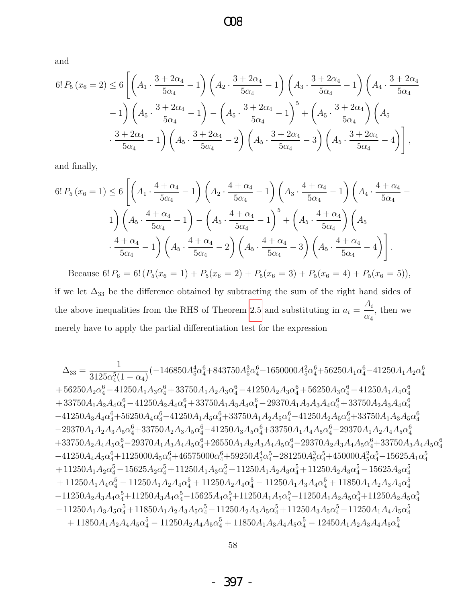and

$$
6! P_5(x_6 = 2) \le 6 \left[ \left( A_1 \cdot \frac{3 + 2\alpha_4}{5\alpha_4} - 1 \right) \left( A_2 \cdot \frac{3 + 2\alpha_4}{5\alpha_4} - 1 \right) \left( A_3 \cdot \frac{3 + 2\alpha_4}{5\alpha_4} - 1 \right) \left( A_4 \cdot \frac{3 + 2\alpha_4}{5\alpha_4} - 1 \right) \right] - 1 \left( A_5 \cdot \frac{3 + 2\alpha_4}{5\alpha_4} - 1 \right) - \left( A_5 \cdot \frac{3 + 2\alpha_4}{5\alpha_4} - 1 \right)^5 + \left( A_5 \cdot \frac{3 + 2\alpha_4}{5\alpha_4} \right) \left( A_5 \cdot \frac{3 + 2\alpha_4}{5\alpha_4} - 1 \right) \left( A_5 \cdot \frac{3 + 2\alpha_4}{5\alpha_4} - 2 \right) \left( A_5 \cdot \frac{3 + 2\alpha_4}{5\alpha_4} - 3 \right) \left( A_5 \cdot \frac{3 + 2\alpha_4}{5\alpha_4} - 4 \right) \right],
$$

and finally,

$$
6! P_5(x_6 = 1) \le 6 \left[ \left( A_1 \cdot \frac{4 + \alpha_4}{5\alpha_4} - 1 \right) \left( A_2 \cdot \frac{4 + \alpha_4}{5\alpha_4} - 1 \right) \left( A_3 \cdot \frac{4 + \alpha_4}{5\alpha_4} - 1 \right) \left( A_4 \cdot \frac{4 + \alpha_4}{5\alpha_4} - 1 \right) \right] \times \left( A_5 \cdot \frac{4 + \alpha_4}{5\alpha_4} - 1 \right) - \left( A_5 \cdot \frac{4 + \alpha_4}{5\alpha_4} - 1 \right)^5 + \left( A_5 \cdot \frac{4 + \alpha_4}{5\alpha_4} \right) \left( A_5 \cdot \frac{4 + \alpha_4}{5\alpha_4} - 1 \right) \times \frac{4 + \alpha_4}{5\alpha_4} - 1 \right) \left( A_5 \cdot \frac{4 + \alpha_4}{5\alpha_4} - 2 \right) \left( A_5 \cdot \frac{4 + \alpha_4}{5\alpha_4} - 3 \right) \left( A_5 \cdot \frac{4 + \alpha_4}{5\alpha_4} - 4 \right) \right].
$$

Because 6!  $P_6 = 6! (P_5(x_6 = 1) + P_5(x_6 = 2) + P_5(x_6 = 3) + P_5(x_6 = 4) + P_5(x_6 = 5)),$ if we let  $\Delta_{33}$  be the difference obtained by subtracting the sum of the right hand sides of the above inequalities from the RHS of Theorem [2.5](#page-42-0) and substituting in  $a_i =$  $A_i$  $\alpha_4$ , then we

merely have to apply the partial differentiation test for the expression

$$
\Delta_{33}=\frac{1}{3125\alpha_{4}^{5}(1-\alpha_{4})}(-146850A_{5}^{4}\alpha_{4}^{6}+843750A_{5}^{3}\alpha_{4}^{6}-1650000A_{5}^{2}\alpha_{4}^{6}+56250A_{1}\alpha_{4}^{6}-41250A_{1}A_{2}\alpha_{4}^{6} \\+56250A_{2}\alpha_{4}^{6}-41250A_{1}A_{3}\alpha_{4}^{6}+33750A_{1}A_{2}A_{3}\alpha_{4}^{6}-41250A_{2}A_{3}\alpha_{4}^{6}+56250A_{3}\alpha_{4}^{6}-41250A_{1}A_{4}\alpha_{4}^{6} \\+33750A_{1}A_{2}A_{4}\alpha_{4}^{6}-41250A_{2}A_{4}\alpha_{4}^{6}+33750A_{1}A_{3}A_{4}\alpha_{4}^{6}-29370A_{1}A_{2}A_{3}A_{4}\alpha_{4}^{6}+33750A_{2}A_{3}A_{4}\alpha_{4}^{6} \\-41250A_{3}A_{4}\alpha_{4}^{6}+56250A_{4}\alpha_{4}^{6}-41250A_{1}A_{5}\alpha_{4}^{6}+33750A_{1}A_{2}A_{5}\alpha_{4}^{6}-41250A_{2}A_{5}\alpha_{4}^{6}+33750A_{1}A_{3}A_{4}\alpha_{4}^{6} \\-29370A_{1}A_{2}A_{3}A_{5}\alpha_{4}^{6}+33750A_{2}A_{3}A_{5}\alpha_{4}^{6}+12250A_{3}A_{5}\alpha_{4}^{6}+33750A_{1}A_{4}A_{5}\alpha_{4}^{6}-29370A_{1}A_{2}A_{4}A_{5}\alpha_{4}^{6} \\+33750A_{2}A_{4}A_{5}\alpha_{4}^{6}-29370A_{1}A_{3}A_{4}A_{5}\alpha_{4}^{6}+26550A_{1}A_{2}A_{3}A_{4}A_{5}\alpha_{4}^{6}-29370A_{2}A_{3}A_{4}A_{5}\alpha_{4}^{6}+33750A_{3}A_{4
$$

- 397 -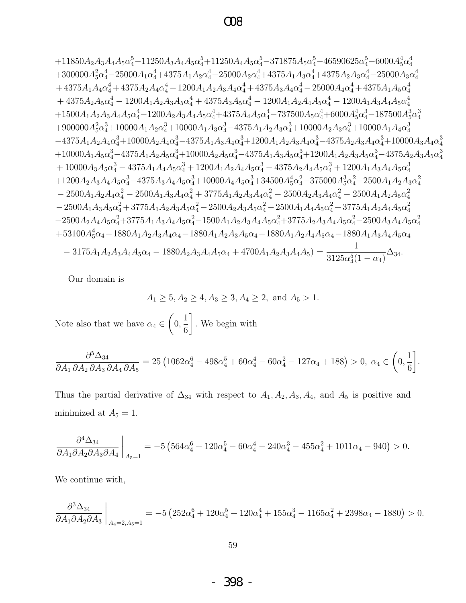$$
+11850A_2A_3A_4A_5\alpha _4^5-11250A_3A_4A_5\alpha _4^5+11250A_4A_5\alpha _4^5-371875A_5\alpha _4^5-46590625\alpha _4^5-6000A_5^4\alpha _4^4\\+300000A_5^2\alpha _4^4-25000A_1\alpha _4^4+4375A_1A_2\alpha _4^4-25000A_2\alpha _4^4+4375A_1A_3\alpha _4^4+4375A_2A_3\alpha _4^4-25000A_3\alpha _4^4\\+4375A_1A_4\alpha _4^4+4375A_2A_4\alpha _4^4-1200A_1A_2A_3A_4\alpha _4^4+4375A_3A_4\alpha _4^4-25000A_4\alpha _4^4+4375A_1A_5\alpha _4^4\\+4375A_2A_5\alpha _4^4-1200A_1A_2A_3A_5\alpha _4^4+4375A_3A_5\alpha _4^4-1200A_1A_2A_4A_5\alpha _4^4-1200A_1A_3A_4A_5\alpha _4^4
$$

$$
+1500A_1A_2A_3A_4A_5\alpha _4^4-1200A_2A_3A_4A_5\alpha _4^4+4375A_4A_5\alpha _4^4-737500A_5\alpha _4^4+6000A_5^4\alpha _4^3-187500A_5^3\alpha _4^3
$$

$$
+900000A_5^2\alpha _4^3+10000A_1A_2\alpha _4^3+10000A_1A_3\alpha _4^3-4375A_1A_2A_3\alpha _4^3+10000A_2A_3\alpha _4^3+10000A_3A_6\alpha _4^3
$$

$$
+900000A_5^2\alpha _4^3+10000A_2A_4\alpha _4^3-4375A_1A_3A_4\alpha _4^3+1200A_1A_2A_3A_4
$$

Our domain is

$$
A_1 \ge 5, A_2 \ge 4, A_3 \ge 3, A_4 \ge 2, \text{ and } A_5 > 1.
$$

Note also that we have  $\alpha_4\in\left(0,\frac{1}{6}\right].$  We begin with

$$
\frac{\partial^5 \Delta_{34}}{\partial A_1 \partial A_2 \partial A_3 \partial A_4 \partial A_5} = 25 \left( 1062 \alpha_4^6 - 498 \alpha_4^5 + 60 \alpha_4^4 - 60 \alpha_4^2 - 127 \alpha_4 + 188 \right) > 0, \ \alpha_4 \in \left( 0, \frac{1}{6} \right].
$$

Thus the partial derivative of  $\Delta_{34}$  with respect to  $A_1, A_2, A_3, A_4$ , and  $A_5$  is positive and minimized at  $A_5 = 1$ .

$$
\frac{\partial^4 \Delta_{34}}{\partial A_1 \partial A_2 \partial A_3 \partial A_4}\bigg|_{A_5=1} = -5\left(564\alpha_4^6 + 120\alpha_4^5 - 60\alpha_4^4 - 240\alpha_4^3 - 455\alpha_4^2 + 1011\alpha_4 - 940\right) > 0.
$$

We continue with,

$$
\frac{\partial^3 \Delta_{34}}{\partial A_1 \partial A_2 \partial A_3}\bigg|_{A_4=2, A_5=1} = -5\left(252\alpha_4^6 + 120\alpha_4^5 + 120\alpha_4^4 + 155\alpha_4^3 - 1165\alpha_4^2 + 2398\alpha_4 - 1880\right) > 0.
$$

398 - $\blacksquare$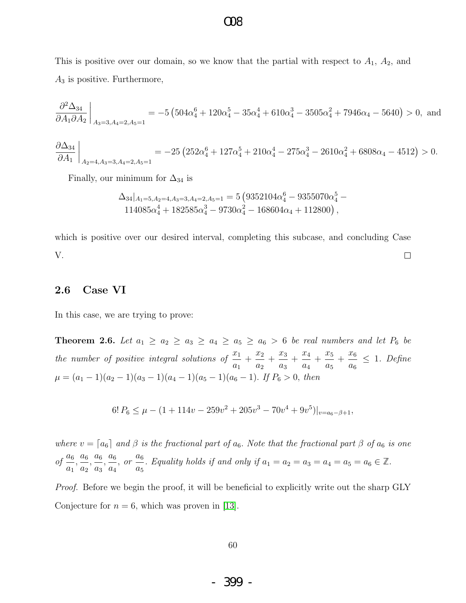This is positive over our domain, so we know that the partial with respect to  $A_1$ ,  $A_2$ , and  $A_3$  is positive. Furthermore,

$$
\frac{\partial^2 \Delta_{34}}{\partial A_1 \partial A_2}\bigg|_{A_3=3, A_4=2, A_5=1} = -5\left(504\alpha_4^6 + 120\alpha_4^5 - 35\alpha_4^4 + 610\alpha_4^3 - 3505\alpha_4^2 + 7946\alpha_4 - 5640\right) > 0, \text{ and}
$$

$$
\frac{\partial \Delta_{34}}{\partial A_1}\bigg|_{A_2=4, A_3=3, A_4=2, A_5=1} = -25 \left(252\alpha_4^6 + 127\alpha_4^5 + 210\alpha_4^4 - 275\alpha_4^3 - 2610\alpha_4^2 + 6808\alpha_4 - 4512\right) > 0.
$$

Finally, our minimum for  $\Delta_{34}$  is

$$
\Delta_{34}|_{A_1=5, A_2=4, A_3=3, A_4=2, A_5=1} = 5 \left(9352104\alpha_4^6 - 9355070\alpha_4^5 - 114085\alpha_4^4 + 182585\alpha_4^3 - 9730\alpha_4^2 - 168604\alpha_4 + 112800\right),
$$

which is positive over our desired interval, completing this subcase, and concluding Case V.  $\Box$ 

#### 2.6 Case VI

<span id="page-61-0"></span>In this case, we are trying to prove:

**Theorem 2.6.** Let  $a_1 \ge a_2 \ge a_3 \ge a_4 \ge a_5 \ge a_6 > 6$  be real numbers and let  $P_6$  be the number of positive integral solutions of  $\frac{x_1}{x_2}$  $a_1$  $+\frac{x_2}{x_1}$  $a_2$  $+\frac{x_3}{x_3}$  $a_3$  $+\frac{x_4}{x_5}$  $a_4$  $+\frac{x_5}{x_5}$  $a_5$  $+\frac{x_6}{x_6}$  $a_6$ ≤ 1. Define  $\mu = (a_1 - 1)(a_2 - 1)(a_3 - 1)(a_4 - 1)(a_5 - 1)(a_6 - 1)$ . If  $P_6 > 0$ , then

 $6! P_6 \leq \mu - (1 + 114v - 259v^2 + 205v^3 - 70v^4 + 9v^5)|_{v=a_6-\beta+1},$ 

where  $v = [a_6]$  and  $\beta$  is the fractional part of  $a_6$ . Note that the fractional part  $\beta$  of  $a_6$  is one  $of \frac{a_6}{a_6}$  $a_1$  $, \frac{a_6}{a_6}$  $a_2$  $, \frac{a_6}{a_6}$  $a_3$  $, \frac{a_6}{a_6}$  $a_4$  $, or \frac{a_6}{a_6}$  $a_5$ . Equality holds if and only if  $a_1 = a_2 = a_3 = a_4 = a_5 = a_6 \in \mathbb{Z}$ .

<span id="page-61-1"></span>Proof. Before we begin the proof, it will be beneficial to explicitly write out the sharp GLY Conjecture for  $n = 6$ , which was proven in [\[13\]](#page-66-10).

- 399 -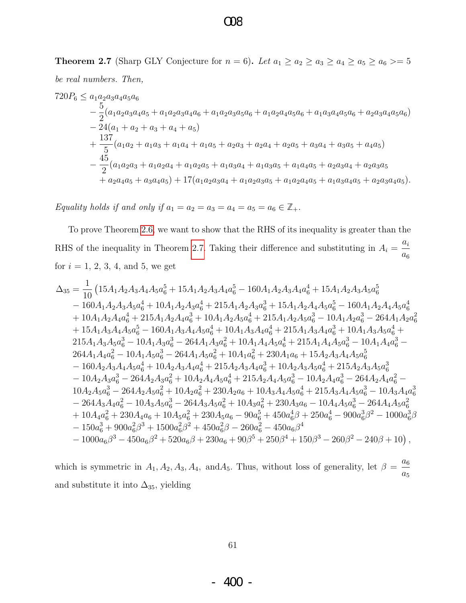### $OR$

**Theorem 2.7** (Sharp GLY Conjecture for  $n = 6$ ). Let  $a_1 \ge a_2 \ge a_3 \ge a_4 \ge a_5 \ge a_6 \ge 5$ be real numbers. Then,

 $720P_6 \leq a_1a_2a_3a_4a_5a_6$  $-\frac{5}{2}(a_1a_2a_3a_4a_5+a_1a_2a_3a_4a_6+a_1a_2a_3a_5a_6+a_1a_2a_4a_5a_6+a_1a_3a_4a_5a_6+a_2a_3a_4a_5a_6)$  $-\overline{2}4(a_1+a_2+a_3+a_4+a_5)$  $+\frac{137}{5}(a_1a_2+a_1a_3+a_1a_4+a_1a_5+a_2a_3+a_2a_4+a_2a_5+a_3a_4+a_3a_5+a_4a_5)$  $-\frac{45}{2}(a_1a_2a_3+a_1a_2a_4+a_1a_2a_5+a_1a_3a_4+a_1a_3a_5+a_1a_4a_5+a_2a_3a_4+a_2a_3a_5$  $a_1^2 + a_2 a_4 a_5 + a_3 a_4 a_5 + 17(a_1 a_2 a_3 a_4 + a_1 a_2 a_3 a_5 + a_1 a_2 a_4 a_5 + a_1 a_3 a_4 a_5 + a_2 a_3 a_4 a_5).$ 

Equality holds if and only if  $a_1 = a_2 = a_3 = a_4 = a_5 = a_6 \in \mathbb{Z}_+$ .

To prove Theorem 2.6, we want to show that the RHS of its inequality is greater than the RHS of the inequality in Theorem 2.7. Taking their difference and substituting in  $A_i = \frac{a_i}{a_6}$ for  $i = 1, 2, 3, 4$ , and 5, we get

$$
\begin{aligned} \Delta_{35} &= \frac{1}{10} \left(15A_{1}A_{2}A_{3}A_{4}A_{5}a_{6}^{5}+15A_{1}A_{2}A_{3}A_{4}a_{6}^{5}-160A_{1}A_{2}A_{3}A_{4}a_{6}^{4}+15A_{1}A_{2}A_{3}A_{5}a_{6}^{5} \right.\\ &\quad \left.-160A_{1}A_{2}A_{3}A_{5}a_{6}^{4}+10A_{1}A_{2}A_{3}a_{6}^{4}+215A_{1}A_{2}A_{3}a_{6}^{3}+15A_{1}A_{2}A_{4}A_{5}a_{6}^{5}-160A_{1}A_{2}A_{4}A_{5}a_{6}^{4} \right.\\ &\quad \left.+10A_{1}A_{2}A_{4}a_{6}^{4}+215A_{1}A_{2}A_{4}a_{6}^{3}+10A_{1}A_{2}A_{5}a_{6}^{4}+215A_{1}A_{2}A_{5}a_{6}^{3}-10A_{1}A_{2}a_{6}^{3}-264A_{1}A_{2}a_{6}^{2} \right.\\ &\quad \left.+15A_{1}A_{3}A_{4}A_{5}a_{6}^{5}-160A_{1}A_{3}A_{4}A_{5}a_{6}^{4}+10A_{1}A_{3}A_{4}a_{6}^{4}+215A_{1}A_{3}A_{4}a_{6}^{3}+10A_{1}A_{3}A_{5}a_{6}^{4}+ \right.\\ &\quad \left.215A_{1}A_{3}A_{3}a_{6}^{3}-10A_{1}A_{3}a_{6}^{3}-264A_{1}A_{3}a_{6}^{2}+10A_{1}A_{4}A_{5}a_{6}^{4}+215A_{1}A_{4}A_{5}a_{6}^{3}-10A_{1}A_{4}a_{6}^{3}- \right.\\ &\quad \left.264A_{1}A_{4}a_{6}^{2}-10A_{1}A_{5}a_{6}^{3}-264A_{1}A_{5}a_{6}^{2}+10A_{1}a_{6}^{2}+230A_{1}a_{6}+15A_{2}A_{3}A_{4}A
$$

which is symmetric in  $A_1, A_2, A_3, A_4$ , and  $A_5$ . Thus, without loss of generality, let  $\beta = \frac{a_6}{a_5}$ and substitute it into  $\Delta_{35}$ , yielding

61

400-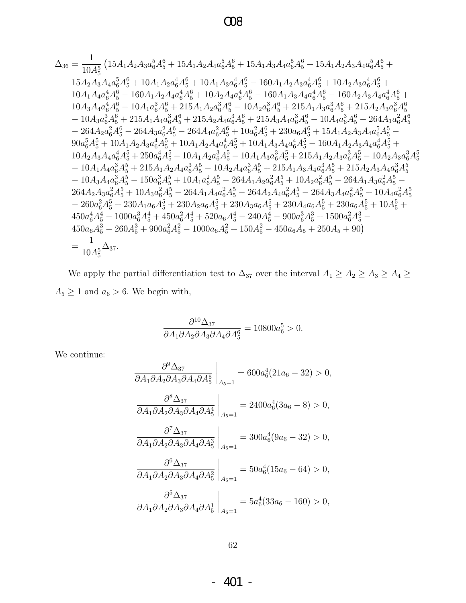### $\infty$

$$
\Delta_{36} = \frac{1}{10 A_{5}^{5}} \left(15 A_{1} A_{2} A_{3} a_{6}^{5} A_{5}^{6} + 15 A_{1} A_{2} A_{4} a_{6}^{5} A_{5}^{6} + 15 A_{1} A_{3} A_{4} a_{6}^{5} A_{5}^{6} + 15 A_{1} A_{2} A_{3} A_{4} a_{6}^{5} A_{5}^{6} + 15 A_{2} A_{3} A_{4} a_{6}^{5} A_{5}^{6} + 10 A_{1} A_{2} a_{6}^{4} A_{5}^{6} + 10 A_{1} A_{2} a_{6}^{4} A_{5}^{6} - 160 A_{1} A_{2} A_{3} a_{6}^{4} A_{5}^{6} + 10 A_{2} A_{3} a_{6}^{4} A_{5}^{6} + 10 A_{2} A_{4} a_{6}^{4} A_{5}^{6} - 160 A_{1} A_{2} A_{4} a_{6}^{4} A_{5}^{6} - 160 A_{1} A_{3} A_{4} a_{6}^{4} A_{5}^{6} - 160 A_{2} A_{3} a_{4} a_{6}^{4} A_{5}^{6} + 10 A_{2} A_{4} a_{6}^{4} A_{5}^{6} + 10 A_{2} A_{4} a_{6}^{4} A_{5}^{6} - 10 A_{1} a_{6}^{3} A_{5}^{6} + 215 A_{1} A_{2} a_{6}^{3} A_{5}^{6} - 10 A_{1} a_{6}^{3} A_{5}^{6} + 215 A_{2} A_{3} a_{6}^{3} A_{5}^{6} + 215 A_{2} A_{4} a_{6}^{3} A_{5}^{6} + 215 A_{2} A_{4} a_{6}^{3} A_{5}^{6} + 215 A_{2} A_{4} a_{6}^{3} A_{5}^{6} + 215 A_{3} A_{4} a_{6}^{3} A_{5}^{6} - 264 A_{1} a_{6}^{2} A_{5}^{6} - 264 A_{1} a_{6}^{2} A_{5}^{6} + 215 A_{2} A_{4} a_{6}^{2} A_{5}^{6} + 10 A_{1} A_{2} A_{3} a_{4} a_{6}^{
$$

We apply the partial differentiation test to  $\Delta_{37}$  over the interval  $A_1\ge A_2\ge A_3\ge A_4\ge$  $A_5 \ge 1$  and  $a_6 > 6$ . We begin with,

$$
\frac{\partial^{10} \Delta_{37}}{\partial A_1 \partial A_2 \partial A_3 \partial A_4 \partial A_5^6} = 10800a_6^5 > 0.
$$

We continue:  $% \left\vert \left( \mathbf{r}_{i}\right) \right\rangle$ 

$$
\frac{\partial^9 \Delta_{37}}{\partial A_1 \partial A_2 \partial A_3 \partial A_4 \partial A_5^5}\Big|_{A_5=1} = 600a_6^4(21a_6 - 32) > 0,
$$
  

$$
\frac{\partial^8 \Delta_{37}}{\partial A_1 \partial A_2 \partial A_3 \partial A_4 \partial A_5^4}\Big|_{A_5=1} = 2400a_6^4(3a_6 - 8) > 0,
$$
  

$$
\frac{\partial^7 \Delta_{37}}{\partial A_1 \partial A_2 \partial A_3 \partial A_4 \partial A_5^3}\Big|_{A_5=1} = 300a_6^4(9a_6 - 32) > 0,
$$
  

$$
\frac{\partial^6 \Delta_{37}}{\partial A_1 \partial A_2 \partial A_3 \partial A_4 \partial A_5^2}\Big|_{A_5=1} = 50a_6^4(15a_6 - 64) > 0,
$$
  

$$
\frac{\partial^5 \Delta_{37}}{\partial A_1 \partial A_2 \partial A_3 \partial A_4 \partial A_5^1}\Big|_{A_5=1} = 5a_6^4(33a_6 - 160) > 0,
$$

 $-401$  -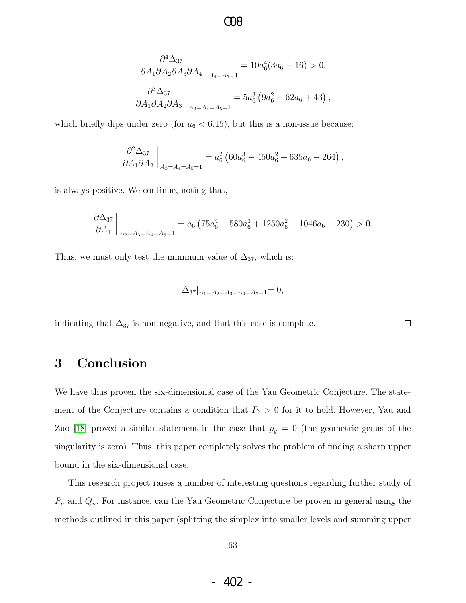$$
\cos
$$

$$
\frac{\partial^4 \Delta_{37}}{\partial A_1 \partial A_2 \partial A_3 \partial A_4} \bigg|_{A_4 = A_5 = 1} = 10 a_6^4 (3 a_6 - 16) > 0,
$$
  

$$
\frac{\partial^3 \Delta_{37}}{\partial A_1 \partial A_2 \partial A_3} \bigg|_{A_3 = A_4 = A_5 = 1} = 5 a_6^3 (9 a_6^2 - 62 a_6 + 43),
$$

which briefly dips under zero (for  $a_6 < 6.15$ ), but this is a non-issue because:

$$
\left. \frac{\partial^2 \Delta_{37}}{\partial A_1 \partial A_2} \right|_{A_3 = A_4 = A_5 = 1} = a_6^2 \left( 60 a_6^3 - 450 a_6^2 + 635 a_6 - 264 \right),
$$

is always positive. We continue, noting that,

$$
\frac{\partial \Delta_{37}}{\partial A_1}\bigg|_{A_2 = A_3 = A_4 = A_5 = 1} = a_6 \left(75a_6^4 - 580a_6^3 + 1250a_6^2 - 1046a_6 + 230\right) > 0.
$$

Thus, we must only test the minimum value of  $\Delta_{37}$ , which is:

$$
\Delta_{37}|_{A_1=A_2=A_3=A_4=A_5=1}=0,
$$

 $\Box$ 

indicating that  $\Delta_{37}$  is non-negative, and that this case is complete.

### 3 Conclusion

We have thus proven the six-dimensional case of the Yau Geometric Conjecture. The statement of the Conjecture contains a condition that  $P_6 > 0$  for it to hold. However, Yau and Zuo [\[18\]](#page-67-4) proved a similar statement in the case that  $p_g = 0$  (the geometric genus of the singularity is zero). Thus, this paper completely solves the problem of finding a sharp upper bound in the six-dimensional case.

This research project raises a number of interesting questions regarding further study of  $P_n$  and  $Q_n$ . For instance, can the Yau Geometric Conjecture be proven in general using the methods outlined in this paper (splitting the simplex into smaller levels and summing upper

- 402 -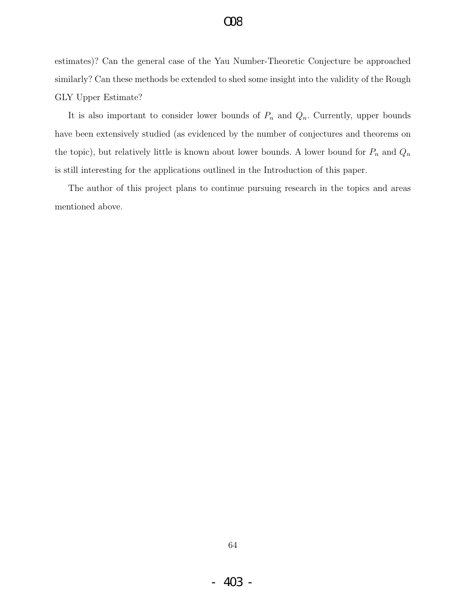estimates)? Can the general case of the Yau Number-Theoretic Conjecture be approached similarly? Can these methods be extended to shed some insight into the validity of the Rough GLY Upper Estimate?

It is also important to consider lower bounds of  $P_n$  and  $Q_n$ . Currently, upper bounds have been extensively studied (as evidenced by the number of conjectures and theorems on the topic), but relatively little is known about lower bounds. A lower bound for  $P_n$  and  $Q_n$ is still interesting for the applications outlined in the Introduction of this paper.

The author of this project plans to continue pursuing research in the topics and areas mentioned above.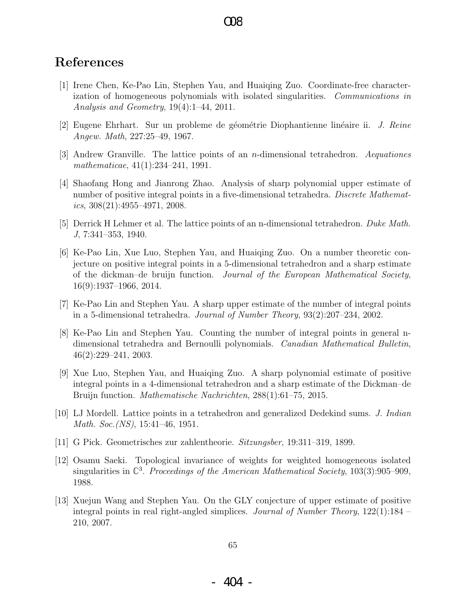### References

- <span id="page-66-3"></span>[1] Irene Chen, Ke-Pao Lin, Stephen Yau, and Huaiqing Zuo. Coordinate-free characterization of homogeneous polynomials with isolated singularities. Communications in Analysis and Geometry, 19(4):1–44, 2011.
- <span id="page-66-6"></span>[2] Eugene Ehrhart. Sur un probleme de géométrie Diophantienne linéaire ii. *J. Reine* Angew. Math, 227:25–49, 1967.
- <span id="page-66-0"></span>[3] Andrew Granville. The lattice points of an n-dimensional tetrahedron. Aequationes mathematicae, 41(1):234–241, 1991.
- <span id="page-66-9"></span>[4] Shaofang Hong and Jianrong Zhao. Analysis of sharp polynomial upper estimate of number of positive integral points in a five-dimensional tetrahedra. Discrete Mathematics,  $308(21):4955-4971$ ,  $2008$ .
- <span id="page-66-7"></span>[5] Derrick H Lehmer et al. The lattice points of an n-dimensional tetrahedron. Duke Math. J, 7:341–353, 1940.
- <span id="page-66-2"></span>[6] Ke-Pao Lin, Xue Luo, Stephen Yau, and Huaiqing Zuo. On a number theoretic conjecture on positive integral points in a 5-dimensional tetrahedron and a sharp estimate of the dickman–de bruijn function. Journal of the European Mathematical Society, 16(9):1937–1966, 2014.
- <span id="page-66-11"></span>[7] Ke-Pao Lin and Stephen Yau. A sharp upper estimate of the number of integral points in a 5-dimensional tetrahedra. Journal of Number Theory, 93(2):207–234, 2002.
- <span id="page-66-8"></span>[8] Ke-Pao Lin and Stephen Yau. Counting the number of integral points in general ndimensional tetrahedra and Bernoulli polynomials. Canadian Mathematical Bulletin, 46(2):229–241, 2003.
- <span id="page-66-1"></span>[9] Xue Luo, Stephen Yau, and Huaiqing Zuo. A sharp polynomial estimate of positive integral points in a 4-dimensional tetrahedron and a sharp estimate of the Dickman–de Bruijn function. Mathematische Nachrichten, 288(1):61–75, 2015.
- <span id="page-66-5"></span>[10] LJ Mordell. Lattice points in a tetrahedron and generalized Dedekind sums. J. Indian Math. Soc.(NS), 15:41–46, 1951.
- <span id="page-66-4"></span>[11] G Pick. Geometrisches zur zahlentheorie. Sitzungsber, 19:311–319, 1899.
- <span id="page-66-12"></span>[12] Osamu Saeki. Topological invariance of weights for weighted homogeneous isolated singularities in  $\mathbb{C}^3$ . Proceedings of the American Mathematical Society, 103(3):905–909, 1988.
- <span id="page-66-10"></span>[13] Xuejun Wang and Stephen Yau. On the GLY conjecture of upper estimate of positive integral points in real right-angled simplices. *Journal of Number Theory*,  $122(1):184$ 210, 2007.

65

- 404 -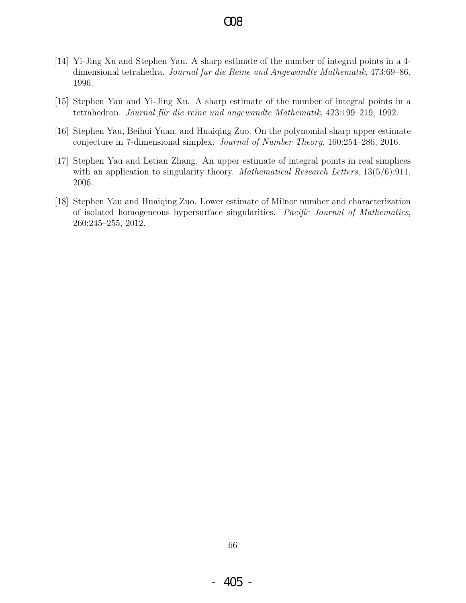- <span id="page-67-1"></span>[14] Yi-Jing Xu and Stephen Yau. A sharp estimate of the number of integral points in a 4 dimensional tetrahedra. Journal fur die Reine und Angewandte Mathematik, 473:69–86, 1996.
- <span id="page-67-0"></span>[15] Stephen Yau and Yi-Jing Xu. A sharp estimate of the number of integral points in a tetrahedron. Journal für die reine und angewandte Mathematik, 423:199–219, 1992.
- <span id="page-67-3"></span>[16] Stephen Yau, Beihui Yuan, and Huaiqing Zuo. On the polynomial sharp upper estimate conjecture in 7-dimensional simplex. Journal of Number Theory, 160:254–286, 2016.
- <span id="page-67-2"></span>[17] Stephen Yau and Letian Zhang. An upper estimate of integral points in real simplices with an application to singularity theory. *Mathematical Research Letters*,  $13(5/6):911$ , 2006.
- <span id="page-67-4"></span>[18] Stephen Yau and Huaiqing Zuo. Lower estimate of Milnor number and characterization of isolated homogeneous hypersurface singularities. Pacific Journal of Mathematics, 260:245–255, 2012.